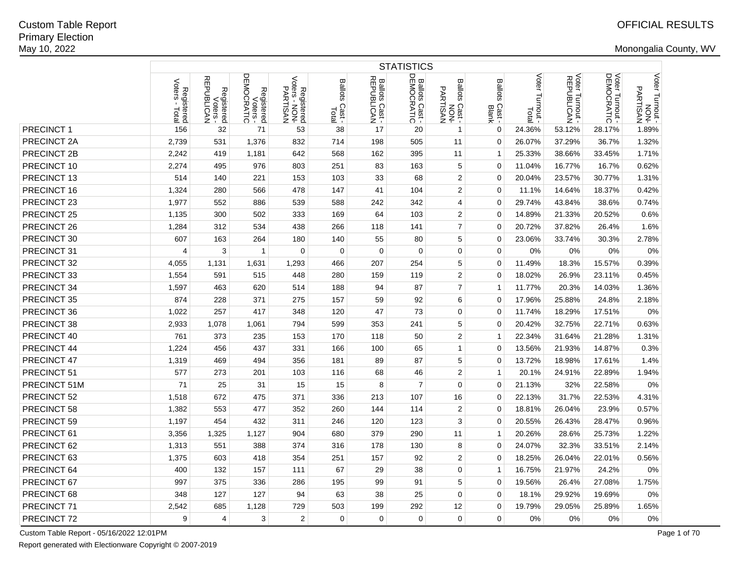|              | <b>STATISTICS</b>                     |                                      |                                      |                                         |                         |                              |                |                                    |                                   |                           |                               |                               |                                                       |
|--------------|---------------------------------------|--------------------------------------|--------------------------------------|-----------------------------------------|-------------------------|------------------------------|----------------|------------------------------------|-----------------------------------|---------------------------|-------------------------------|-------------------------------|-------------------------------------------------------|
|              | Voters<br>Registered<br>Dters - Total | Registered<br>Voters -<br>REPUBLICAN | Registered<br>Voters -<br>DEMOCRATIC | Registered<br>Voters - NON-<br>PARTISAN | Ballots Cast -<br>Total | Ballots Cast -<br>REPUBLICAN | Ballots Cast - | Ballots Cast -<br>NON-<br>PARTISAN | <b>Ballots</b><br>Cast -<br>Blank | Voter<br>Turnout<br>Total | Voter Turnout -<br>REPUBLICAN | Voter Turnout -<br>DEMOCRATIC | Voter Turnout -<br>Noter Turnout -<br><b>PARTISAN</b> |
| PRECINCT 1   | 156                                   | 32                                   | 71                                   | 53                                      | 38                      | 17                           | 20             | $\mathbf{1}$                       | $\mathbf 0$                       | 24.36%                    | 53.12%                        | 28.17%                        | 1.89%                                                 |
| PRECINCT 2A  | 2,739                                 | 531                                  | 1,376                                | 832                                     | 714                     | 198                          | 505            | 11                                 | $\mathbf 0$                       | 26.07%                    | 37.29%                        | 36.7%                         | 1.32%                                                 |
| PRECINCT 2B  | 2,242                                 | 419                                  | 1,181                                | 642                                     | 568                     | 162                          | 395            | 11                                 | $\mathbf{1}$                      | 25.33%                    | 38.66%                        | 33.45%                        | 1.71%                                                 |
| PRECINCT 10  | 2,274                                 | 495                                  | 976                                  | 803                                     | 251                     | 83                           | 163            | 5                                  | $\mathbf 0$                       | 11.04%                    | 16.77%                        | 16.7%                         | 0.62%                                                 |
| PRECINCT 13  | 514                                   | 140                                  | 221                                  | 153                                     | 103                     | 33                           | 68             | $\boldsymbol{2}$                   | $\mathbf 0$                       | 20.04%                    | 23.57%                        | 30.77%                        | 1.31%                                                 |
| PRECINCT 16  | 1,324                                 | 280                                  | 566                                  | 478                                     | 147                     | 41                           | 104            | $\overline{2}$                     | $\Omega$                          | 11.1%                     | 14.64%                        | 18.37%                        | 0.42%                                                 |
| PRECINCT 23  | 1,977                                 | 552                                  | 886                                  | 539                                     | 588                     | 242                          | 342            | $\overline{4}$                     | $\mathbf 0$                       | 29.74%                    | 43.84%                        | 38.6%                         | 0.74%                                                 |
| PRECINCT 25  | 1,135                                 | 300                                  | 502                                  | 333                                     | 169                     | 64                           | 103            | 2                                  | $\mathbf 0$                       | 14.89%                    | 21.33%                        | 20.52%                        | 0.6%                                                  |
| PRECINCT 26  | 1,284                                 | 312                                  | 534                                  | 438                                     | 266                     | 118                          | 141            | $\overline{7}$                     | $\mathbf 0$                       | 20.72%                    | 37.82%                        | 26.4%                         | 1.6%                                                  |
| PRECINCT 30  | 607                                   | 163                                  | 264                                  | 180                                     | 140                     | 55                           | 80             | 5                                  | $\mathbf 0$                       | 23.06%                    | 33.74%                        | 30.3%                         | 2.78%                                                 |
| PRECINCT 31  | 4                                     | 3                                    | -1                                   | 0                                       | 0                       | $\mathbf 0$                  | $\mathbf 0$    | $\mathbf 0$                        | $\mathbf 0$                       | 0%                        | 0%                            | 0%                            | 0%                                                    |
| PRECINCT 32  | 4,055                                 | 1,131                                | 1,631                                | 1,293                                   | 466                     | 207                          | 254            | 5                                  | $\Omega$                          | 11.49%                    | 18.3%                         | 15.57%                        | 0.39%                                                 |
| PRECINCT 33  | 1,554                                 | 591                                  | 515                                  | 448                                     | 280                     | 159                          | 119            | $\overline{2}$                     | $\mathbf 0$                       | 18.02%                    | 26.9%                         | 23.11%                        | 0.45%                                                 |
| PRECINCT 34  | 1,597                                 | 463                                  | 620                                  | 514                                     | 188                     | 94                           | 87             | $\overline{7}$                     | $\mathbf{1}$                      | 11.77%                    | 20.3%                         | 14.03%                        | 1.36%                                                 |
| PRECINCT 35  | 874                                   | 228                                  | 371                                  | 275                                     | 157                     | 59                           | 92             | 6                                  | $\mathbf 0$                       | 17.96%                    | 25.88%                        | 24.8%                         | 2.18%                                                 |
| PRECINCT 36  | 1,022                                 | 257                                  | 417                                  | 348                                     | 120                     | 47                           | 73             | $\mathbf 0$                        | $\mathbf 0$                       | 11.74%                    | 18.29%                        | 17.51%                        | 0%                                                    |
| PRECINCT 38  | 2,933                                 | 1,078                                | 1,061                                | 794                                     | 599                     | 353                          | 241            | 5                                  | $\mathbf 0$                       | 20.42%                    | 32.75%                        | 22.71%                        | 0.63%                                                 |
| PRECINCT 40  | 761                                   | 373                                  | 235                                  | 153                                     | 170                     | 118                          | 50             | $\overline{2}$                     | $\mathbf{1}$                      | 22.34%                    | 31.64%                        | 21.28%                        | 1.31%                                                 |
| PRECINCT 44  | 1,224                                 | 456                                  | 437                                  | 331                                     | 166                     | 100                          | 65             | $\mathbf{1}$                       | $\mathbf 0$                       | 13.56%                    | 21.93%                        | 14.87%                        | 0.3%                                                  |
| PRECINCT 47  | 1,319                                 | 469                                  | 494                                  | 356                                     | 181                     | 89                           | 87             | $\mathbf 5$                        | $\mathbf 0$                       | 13.72%                    | 18.98%                        | 17.61%                        | 1.4%                                                  |
| PRECINCT 51  | 577                                   | 273                                  | 201                                  | 103                                     | 116                     | 68                           | 46             | $\overline{2}$                     | $\mathbf{1}$                      | 20.1%                     | 24.91%                        | 22.89%                        | 1.94%                                                 |
| PRECINCT 51M | 71                                    | 25                                   | 31                                   | 15                                      | 15                      | 8                            | 7              | 0                                  | $\mathbf 0$                       | 21.13%                    | 32%                           | 22.58%                        | 0%                                                    |
| PRECINCT 52  | 1,518                                 | 672                                  | 475                                  | 371                                     | 336                     | 213                          | 107            | 16                                 | $\mathbf 0$                       | 22.13%                    | 31.7%                         | 22.53%                        | 4.31%                                                 |
| PRECINCT 58  | 1,382                                 | 553                                  | 477                                  | 352                                     | 260                     | 144                          | 114            | $\boldsymbol{2}$                   | $\mathbf 0$                       | 18.81%                    | 26.04%                        | 23.9%                         | 0.57%                                                 |
| PRECINCT 59  | 1,197                                 | 454                                  | 432                                  | 311                                     | 246                     | 120                          | 123            | 3                                  | $\mathbf 0$                       | 20.55%                    | 26.43%                        | 28.47%                        | 0.96%                                                 |
| PRECINCT 61  | 3,356                                 | 1,325                                | 1,127                                | 904                                     | 680                     | 379                          | 290            | 11                                 | $\mathbf{1}$                      | 20.26%                    | 28.6%                         | 25.73%                        | 1.22%                                                 |
| PRECINCT 62  | 1,313                                 | 551                                  | 388                                  | 374                                     | 316                     | 178                          | 130            | 8                                  | $\mathbf 0$                       | 24.07%                    | 32.3%                         | 33.51%                        | 2.14%                                                 |
| PRECINCT 63  | 1,375                                 | 603                                  | 418                                  | 354                                     | 251                     | 157                          | 92             | $\overline{2}$                     | $\mathbf 0$                       | 18.25%                    | 26.04%                        | 22.01%                        | 0.56%                                                 |
| PRECINCT 64  | 400                                   | 132                                  | 157                                  | 111                                     | 67                      | 29                           | 38             | 0                                  | $\mathbf 1$                       | 16.75%                    | 21.97%                        | 24.2%                         | 0%                                                    |
| PRECINCT 67  | 997                                   | 375                                  | 336                                  | 286                                     | 195                     | 99                           | 91             | 5                                  | $\Omega$                          | 19.56%                    | 26.4%                         | 27.08%                        | 1.75%                                                 |
| PRECINCT 68  | 348                                   | 127                                  | 127                                  | 94                                      | 63                      | 38                           | 25             | $\mathbf 0$                        | $\mathbf 0$                       | 18.1%                     | 29.92%                        | 19.69%                        | 0%                                                    |
| PRECINCT 71  | 2,542                                 | 685                                  | 1,128                                | 729                                     | 503                     | 199                          | 292            | 12                                 | $\Omega$                          | 19.79%                    | 29.05%                        | 25.89%                        | 1.65%                                                 |
| PRECINCT 72  | 9                                     | $\overline{4}$                       | 3                                    | $\overline{2}$                          | 0                       | $\mathbf 0$                  | $\mathbf 0$    | 0                                  | $\mathbf 0$                       | 0%                        | 0%                            | 0%                            | 0%                                                    |

Custom Table Report - 05/16/2022 12:01PM

Report generated with Electionware Copyright © 2007-2019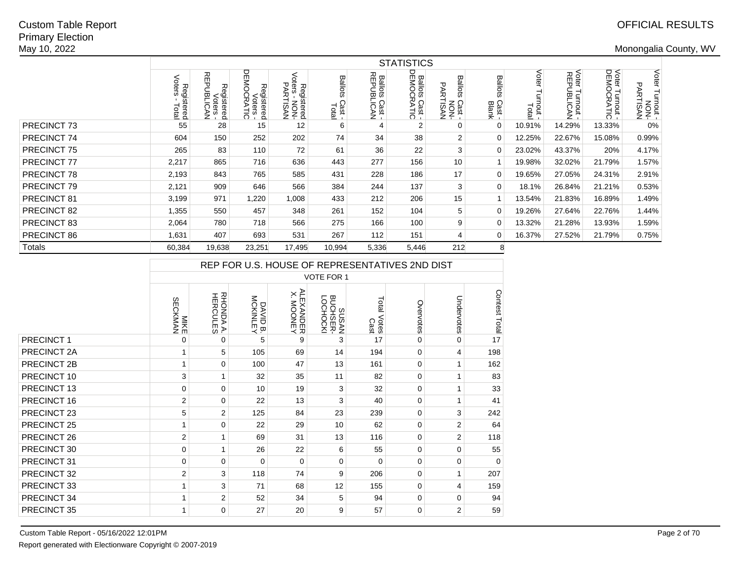|                    | <b>STATISTICS</b>            |                                             |                                                 |                                                   |                            |                                            |                                     |                                              |                                   |                       |                               |                                         |                                             |  |
|--------------------|------------------------------|---------------------------------------------|-------------------------------------------------|---------------------------------------------------|----------------------------|--------------------------------------------|-------------------------------------|----------------------------------------------|-----------------------------------|-----------------------|-------------------------------|-----------------------------------------|---------------------------------------------|--|
|                    | Registered<br>Voters - Total | 짂<br>观<br>tegistered<br>Voters -<br>UBLICAN | <b>DEMO</b><br>Registered<br>Voters -<br>CRATIC | క<br>ਰ ਹ<br>Registered<br>ters - NON-<br>PARTISAN | Ballots<br>Cast -<br>Total | <b>Ballots</b><br>REPUBI<br>Cast -<br>CoAN | <b>Ballots Cast -</b><br>DEMOCRATIC | Ballo<br>allots Cast -<br>- NON-<br>PARTISAN | <b>Ballots</b><br>Cast -<br>Blank | Voter<br>mou<br>Total | Voter Turnout -<br>REPUBLICAN | Voter 1<br>DEMO<br>Turnout -<br>OCRATIC | Voter<br>er Turnout -<br>- HON-<br>PARTISAN |  |
| PRECINCT 73        | 55                           | 28                                          | 15                                              | 12                                                | 6                          | 4                                          | 2                                   | 0                                            | 0                                 | 10.91%                | 14.29%                        | 13.33%                                  | 0%                                          |  |
| PRECINCT 74        | 604                          | 150                                         | 252                                             | 202                                               | 74                         | 34                                         | 38                                  | $\overline{2}$                               | 0                                 | 12.25%                | 22.67%                        | 15.08%                                  | 0.99%                                       |  |
| <b>PRECINCT 75</b> | 265                          | 83                                          | 110                                             | 72                                                | 61                         | 36                                         | 22                                  | 3                                            | $\Omega$                          | 23.02%                | 43.37%                        | 20%                                     | 4.17%                                       |  |
| <b>PRECINCT 77</b> | 2,217                        | 865                                         | 716                                             | 636                                               | 443                        | 277                                        | 156                                 | 10                                           |                                   | 19.98%                | 32.02%                        | 21.79%                                  | 1.57%                                       |  |
| PRECINCT 78        | 2,193                        | 843                                         | 765                                             | 585                                               | 431                        | 228                                        | 186                                 | 17                                           | 0                                 | 19.65%                | 27.05%                        | 24.31%                                  | 2.91%                                       |  |
| PRECINCT 79        | 2,121                        | 909                                         | 646                                             | 566                                               | 384                        | 244                                        | 137                                 | 3                                            | 0                                 | 18.1%                 | 26.84%                        | 21.21%                                  | 0.53%                                       |  |
| PRECINCT 81        | 3,199                        | 971                                         | 1,220                                           | 1,008                                             | 433                        | 212                                        | 206                                 | 15                                           |                                   | 13.54%                | 21.83%                        | 16.89%                                  | 1.49%                                       |  |
| PRECINCT 82        | 1,355                        | 550                                         | 457                                             | 348                                               | 261                        | 152                                        | 104                                 | 5                                            | 0                                 | 19.26%                | 27.64%                        | 22.76%                                  | 1.44%                                       |  |
| PRECINCT 83        | 2,064                        | 780                                         | 718                                             | 566                                               | 275                        | 166                                        | 100                                 | 9                                            | $\Omega$                          | 13.32%                | 21.28%                        | 13.93%                                  | 1.59%                                       |  |
| PRECINCT 86        | 1,631                        | 407                                         | 693                                             | 531                                               | 267                        | 112                                        | 151                                 | 4                                            | $\Omega$                          | 16.37%                | 27.52%                        | 21.79%                                  | 0.75%                                       |  |
| Totals             | 60,384                       | 19,638                                      | 23,251                                          | 17,495                                            | 10,994                     | 5,336                                      | 5,446                               | 212                                          | 8                                 |                       |                               |                                         |                                             |  |

|             | REP FOR U.S. HOUSE OF REPRESENTATIVES 2ND DIST |                              |                      |                        |                               |                     |           |                |               |  |  |  |  |
|-------------|------------------------------------------------|------------------------------|----------------------|------------------------|-------------------------------|---------------------|-----------|----------------|---------------|--|--|--|--|
|             |                                                |                              |                      |                        | <b>VOTE FOR 1</b>             |                     |           |                |               |  |  |  |  |
|             | MAMAN<br>SECKMAN                               | <b>RHONDA A.</b><br>HERCULES | DAVID B.<br>MCKINLEY | ALEXANDER<br>X. MOONEY | SUSAN<br>BUCHSER-<br>BUCHOCKI | Total Votes<br>Cast | Overvotes | Undervotes     | Contest Total |  |  |  |  |
| PRECINCT 1  | $\Omega$                                       | $\Omega$                     | 5                    | 9                      | 3                             | 17                  | $\Omega$  | $\Omega$       | 17            |  |  |  |  |
| PRECINCT 2A | 1                                              | 5                            | 105                  | 69                     | 14                            | 194                 | $\Omega$  | 4              | 198           |  |  |  |  |
| PRECINCT 2B | 1                                              | 0                            | 100                  | 47                     | 13                            | 161                 | 0         | 1              | 162           |  |  |  |  |
| PRECINCT 10 | 3                                              | 1                            | 32                   | 35                     | 11                            | 82                  | $\Omega$  | 1              | 83            |  |  |  |  |
| PRECINCT 13 | $\Omega$                                       | $\Omega$                     | 10                   | 19                     | 3                             | 32                  | $\Omega$  | 1              | 33            |  |  |  |  |
| PRECINCT 16 | $\overline{2}$                                 | $\Omega$                     | 22                   | 13                     | 3                             | 40                  | $\Omega$  | 1              | 41            |  |  |  |  |
| PRECINCT 23 | 5                                              | 2                            | 125                  | 84                     | 23                            | 239                 | $\Omega$  | 3              | 242           |  |  |  |  |
| PRECINCT 25 |                                                | $\Omega$                     | 22                   | 29                     | 10                            | 62                  | $\Omega$  | $\overline{2}$ | 64            |  |  |  |  |
| PRECINCT 26 | $\mathbf{2}$                                   | 1                            | 69                   | 31                     | 13                            | 116                 | $\Omega$  | $\overline{2}$ | 118           |  |  |  |  |
| PRECINCT 30 | $\mathbf 0$                                    | 1                            | 26                   | 22                     | 6                             | 55                  | $\Omega$  | $\Omega$       | 55            |  |  |  |  |
| PRECINCT 31 | $\mathbf 0$                                    | 0                            | $\Omega$             | $\Omega$               | 0                             | $\Omega$            | 0         | 0              | $\mathbf 0$   |  |  |  |  |
| PRECINCT 32 | 2                                              | 3                            | 118                  | 74                     | 9                             | 206                 | $\Omega$  | 1              | 207           |  |  |  |  |
| PRECINCT 33 | 1                                              | 3                            | 71                   | 68                     | 12                            | 155                 | $\Omega$  | 4              | 159           |  |  |  |  |
| PRECINCT 34 | 1                                              | $\overline{2}$               | 52                   | 34                     | 5                             | 94                  | $\Omega$  | $\Omega$       | 94            |  |  |  |  |
| PRECINCT 35 | 1                                              | $\mathbf 0$                  | 27                   | 20                     | 9                             | 57                  | 0         | 2              | 59            |  |  |  |  |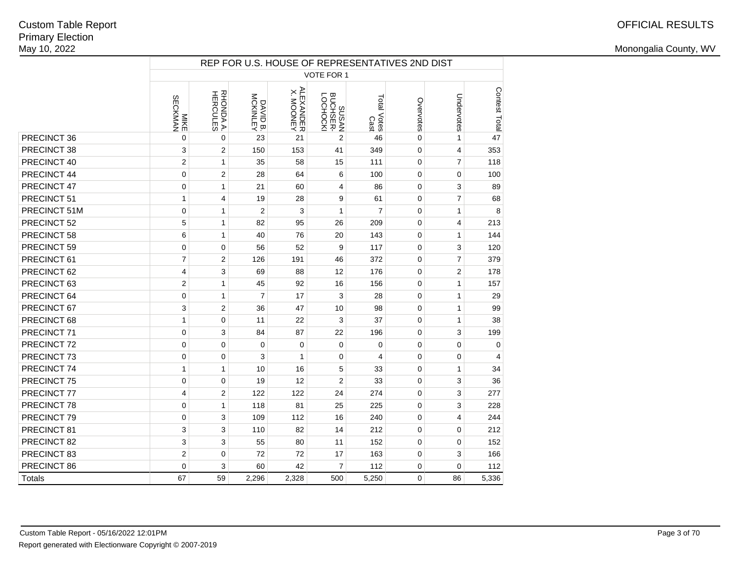|              | REP FOR U.S. HOUSE OF REPRESENTATIVES 2ND DIST<br><b>VOTE FOR 1</b> |                             |                      |                                |                               |                     |             |                         |               |  |  |  |  |  |  |
|--------------|---------------------------------------------------------------------|-----------------------------|----------------------|--------------------------------|-------------------------------|---------------------|-------------|-------------------------|---------------|--|--|--|--|--|--|
|              |                                                                     |                             |                      |                                |                               |                     |             |                         |               |  |  |  |  |  |  |
|              | MIKE<br>SECKMAN                                                     | <b>RHONDAA.</b><br>HERCULES | DAVID B.<br>MCKINLEY | <b>ALEXANDER<br/>X. MOONEY</b> | SUSAN<br>PUCHSER-<br>BUCHSER- | Total Votes<br>Cast | Overvotes   | Undervotes              | Contest Total |  |  |  |  |  |  |
| PRECINCT 36  | 0                                                                   | $\mathbf 0$                 | 23                   | 21                             | $\overline{2}$                | 46                  | $\pmb{0}$   | $\mathbf{1}$            | 47            |  |  |  |  |  |  |
| PRECINCT 38  | 3                                                                   | 2                           | 150                  | 153                            | 41                            | 349                 | $\mathbf 0$ | $\overline{\mathbf{4}}$ | 353           |  |  |  |  |  |  |
| PRECINCT 40  | $\overline{2}$                                                      | $\mathbf{1}$                | 35                   | 58                             | 15                            | 111                 | $\mathbf 0$ | $\overline{7}$          | 118           |  |  |  |  |  |  |
| PRECINCT 44  | 0                                                                   | $\overline{2}$              | 28                   | 64                             | 6                             | 100                 | $\mathbf 0$ | 0                       | 100           |  |  |  |  |  |  |
| PRECINCT 47  | 0                                                                   | $\mathbf{1}$                | 21                   | 60                             | 4                             | 86                  | $\mathbf 0$ | 3                       | 89            |  |  |  |  |  |  |
| PRECINCT 51  | $\mathbf{1}$                                                        | 4                           | 19                   | 28                             | 9                             | 61                  | $\pmb{0}$   | $\overline{7}$          | 68            |  |  |  |  |  |  |
| PRECINCT 51M | 0                                                                   | $\mathbf{1}$                | $\boldsymbol{2}$     | 3                              | $\mathbf{1}$                  | $\overline{7}$      | $\pmb{0}$   | $\mathbf{1}$            | 8             |  |  |  |  |  |  |
| PRECINCT 52  | 5                                                                   | $\mathbf{1}$                | 82                   | 95                             | 26                            | 209                 | $\mathbf 0$ | $\overline{4}$          | 213           |  |  |  |  |  |  |
| PRECINCT 58  | 6                                                                   | $\mathbf{1}$                | 40                   | 76                             | 20                            | 143                 | $\mathbf 0$ | $\mathbf{1}$            | 144           |  |  |  |  |  |  |
| PRECINCT 59  | 0                                                                   | $\mathbf 0$                 | 56                   | 52                             | 9                             | 117                 | $\mathbf 0$ | 3                       | 120           |  |  |  |  |  |  |
| PRECINCT 61  | $\overline{7}$                                                      | $\overline{2}$              | 126                  | 191                            | 46                            | 372                 | $\mathbf 0$ | $\overline{7}$          | 379           |  |  |  |  |  |  |
| PRECINCT 62  | 4                                                                   | 3                           | 69                   | 88                             | 12                            | 176                 | 0           | $\overline{2}$          | 178           |  |  |  |  |  |  |
| PRECINCT 63  | $\overline{2}$                                                      | 1                           | 45                   | 92                             | 16                            | 156                 | 0           | $\mathbf{1}$            | 157           |  |  |  |  |  |  |
| PRECINCT 64  | 0                                                                   | $\mathbf{1}$                | $\overline{7}$       | 17                             | 3                             | 28                  | $\mathbf 0$ | $\mathbf{1}$            | 29            |  |  |  |  |  |  |
| PRECINCT 67  | 3                                                                   | $\overline{2}$              | 36                   | 47                             | 10                            | 98                  | 0           | $\mathbf{1}$            | 99            |  |  |  |  |  |  |
| PRECINCT 68  | 1                                                                   | $\mathbf 0$                 | 11                   | 22                             | 3                             | 37                  | $\mathbf 0$ | $\mathbf{1}$            | 38            |  |  |  |  |  |  |
| PRECINCT 71  | 0                                                                   | 3                           | 84                   | 87                             | 22                            | 196                 | $\mathbf 0$ | 3                       | 199           |  |  |  |  |  |  |
| PRECINCT 72  | 0                                                                   | $\mathbf 0$                 | $\mathbf 0$          | $\mathbf 0$                    | $\mathbf 0$                   | $\mathbf 0$         | $\mathbf 0$ | $\pmb{0}$               | 0             |  |  |  |  |  |  |
| PRECINCT 73  | 0                                                                   | 0                           | 3                    | 1                              | $\mathbf 0$                   | 4                   | $\mathsf 0$ | 0                       | 4             |  |  |  |  |  |  |
| PRECINCT 74  | $\mathbf{1}$                                                        | $\mathbf{1}$                | 10                   | 16                             | 5                             | 33                  | $\mathsf 0$ | $\mathbf{1}$            | 34            |  |  |  |  |  |  |
| PRECINCT 75  | 0                                                                   | $\mathbf 0$                 | 19                   | 12                             | $\overline{2}$                | 33                  | $\mathbf 0$ | 3                       | 36            |  |  |  |  |  |  |
| PRECINCT 77  | 4                                                                   | 2                           | 122                  | 122                            | 24                            | 274                 | $\mathbf 0$ | 3                       | 277           |  |  |  |  |  |  |
| PRECINCT 78  | 0                                                                   | 1                           | 118                  | 81                             | 25                            | 225                 | 0           | 3                       | 228           |  |  |  |  |  |  |
| PRECINCT 79  | 0                                                                   | 3                           | 109                  | 112                            | 16                            | 240                 | $\pmb{0}$   | $\overline{\mathbf{4}}$ | 244           |  |  |  |  |  |  |
| PRECINCT 81  | 3                                                                   | 3                           | 110                  | 82                             | 14                            | 212                 | $\pmb{0}$   | $\pmb{0}$               | 212           |  |  |  |  |  |  |
| PRECINCT 82  | 3                                                                   | 3                           | 55                   | 80                             | 11                            | 152                 | $\mathbf 0$ | 0                       | 152           |  |  |  |  |  |  |
| PRECINCT 83  | $\overline{2}$                                                      | $\mathbf 0$                 | 72                   | 72                             | 17                            | 163                 | $\mathbf 0$ | 3                       | 166           |  |  |  |  |  |  |
| PRECINCT 86  | 0                                                                   | 3                           | 60                   | 42                             | $\overline{7}$                | 112                 | 0           | $\mathbf 0$             | 112           |  |  |  |  |  |  |
| Totals       | 67                                                                  | 59                          | 2,296                | 2,328                          | 500                           | 5,250               | 0           | 86                      | 5,336         |  |  |  |  |  |  |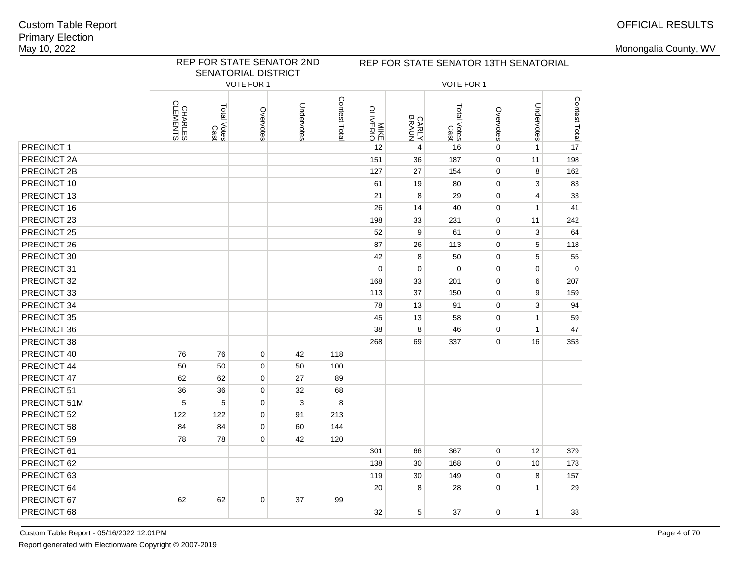# OFFICIAL RESULTS

|              |                     | SENATORIAL DISTRICT |             | REP FOR STATE SENATOR 2ND |               |                         |                       |                     | REP FOR STATE SENATOR 13TH SENATORIAL |              |               |
|--------------|---------------------|---------------------|-------------|---------------------------|---------------|-------------------------|-----------------------|---------------------|---------------------------------------|--------------|---------------|
|              |                     |                     | VOTE FOR 1  |                           |               |                         |                       | VOTE FOR 1          |                                       |              |               |
|              | CHARLES<br>CLEMENTS | Total Votes<br>Cast | Overvotes   | Undervotes                | Contest Total | <b>MIKE</b><br>OLIVERIO | <b>CARLY</b><br>BRAUN | Total Votes<br>Cast | Overvotes                             | Undervotes   | Contest Total |
| PRECINCT 1   |                     |                     |             |                           |               | 12                      | 4                     | 16                  | 0                                     | $\mathbf{1}$ |               |
| PRECINCT 2A  |                     |                     |             |                           |               | 151                     | 36                    | 187                 | $\mathbf 0$                           | 11           | 198           |
| PRECINCT 2B  |                     |                     |             |                           |               | 127                     | 27                    | 154                 | $\pmb{0}$                             | 8            | 162           |
| PRECINCT 10  |                     |                     |             |                           |               | 61                      | 19                    | 80                  | $\pmb{0}$                             | 3            | 83            |
| PRECINCT 13  |                     |                     |             |                           |               | 21                      | 8                     | 29                  | $\pmb{0}$                             | 4            | 33            |
| PRECINCT 16  |                     |                     |             |                           |               | 26                      | 14                    | 40                  | $\pmb{0}$                             | $\mathbf{1}$ | 41            |
| PRECINCT 23  |                     |                     |             |                           |               | 198                     | 33                    | 231                 | $\pmb{0}$                             | 11           | 242           |
| PRECINCT 25  |                     |                     |             |                           |               | 52                      | 9                     | 61                  | $\mathbf 0$                           | 3            | 64            |
| PRECINCT 26  |                     |                     |             |                           |               | 87                      | 26                    | 113                 | $\mathbf 0$                           | 5            | 118           |
| PRECINCT 30  |                     |                     |             |                           |               | 42                      | 8                     | 50                  | $\mathbf 0$                           | 5            | 55            |
| PRECINCT 31  |                     |                     |             |                           |               | $\pmb{0}$               | $\mathbf 0$           | $\Omega$            | $\pmb{0}$                             | $\mathbf 0$  | $\pmb{0}$     |
| PRECINCT 32  |                     |                     |             |                           |               | 168                     | 33                    | 201                 | $\pmb{0}$                             | 6            | 207           |
| PRECINCT 33  |                     |                     |             |                           |               | 113                     | 37                    | 150                 | $\pmb{0}$                             | 9            | 159           |
| PRECINCT 34  |                     |                     |             |                           |               | 78                      | 13                    | 91                  | $\pmb{0}$                             | 3            | 94            |
| PRECINCT 35  |                     |                     |             |                           |               | 45                      | 13                    | 58                  | $\pmb{0}$                             | $\mathbf{1}$ | 59            |
| PRECINCT 36  |                     |                     |             |                           |               | 38                      | 8                     | 46                  | 0                                     | $\mathbf{1}$ | 47            |
| PRECINCT 38  |                     |                     |             |                           |               | 268                     | 69                    | 337                 | $\mathbf 0$                           | 16           | 353           |
| PRECINCT 40  | 76                  | 76                  | $\mathbf 0$ | 42                        | 118           |                         |                       |                     |                                       |              |               |
| PRECINCT 44  | 50                  | 50                  | 0           | 50                        | 100           |                         |                       |                     |                                       |              |               |
| PRECINCT 47  | 62                  | 62                  | $\mathbf 0$ | 27                        | 89            |                         |                       |                     |                                       |              |               |
| PRECINCT 51  | 36                  | 36                  | $\mathbf 0$ | 32                        | 68            |                         |                       |                     |                                       |              |               |
| PRECINCT 51M | 5                   | 5                   | $\mathbf 0$ | 3                         | 8             |                         |                       |                     |                                       |              |               |
| PRECINCT 52  | 122                 | 122                 | $\mathbf 0$ | 91                        | 213           |                         |                       |                     |                                       |              |               |
| PRECINCT 58  | 84                  | 84                  | $\mathbf 0$ | 60                        | 144           |                         |                       |                     |                                       |              |               |
| PRECINCT 59  | 78                  | 78                  | $\mathbf 0$ | 42                        | 120           |                         |                       |                     |                                       |              |               |
| PRECINCT 61  |                     |                     |             |                           |               | 301                     | 66                    | 367                 | $\mathbf 0$                           | 12           | 379           |
| PRECINCT 62  |                     |                     |             |                           |               | 138                     | 30                    | 168                 | $\pmb{0}$                             | 10           | 178           |
| PRECINCT 63  |                     |                     |             |                           |               | 119                     | 30                    | 149                 | $\mathbf 0$                           | 8            | 157           |
| PRECINCT 64  |                     |                     |             |                           |               | 20                      | 8                     | 28                  | $\mathbf 0$                           | $\mathbf{1}$ | 29            |
| PRECINCT 67  | 62                  | 62                  | $\mathbf 0$ | 37                        | 99            |                         |                       |                     |                                       |              |               |
| PRECINCT 68  |                     |                     |             |                           |               | 32                      | 5                     | 37                  | $\mathbf 0$                           | $\mathbf{1}$ | 38            |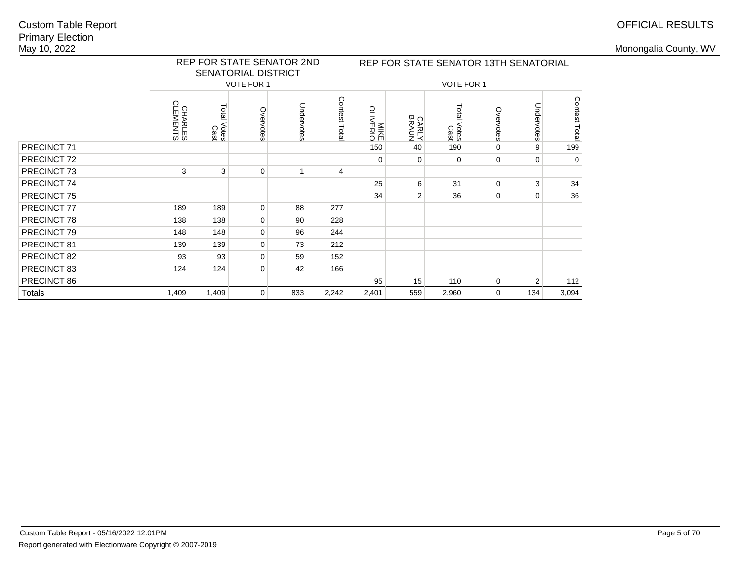## OFFICIAL RESULTS

|               |                     |                     | <b>SENATORIAL DISTRICT</b> | REP FOR STATE SENATOR 2ND |               |                  |                       |                     |             | REP FOR STATE SENATOR 13TH SENATORIAL |               |
|---------------|---------------------|---------------------|----------------------------|---------------------------|---------------|------------------|-----------------------|---------------------|-------------|---------------------------------------|---------------|
|               |                     |                     | <b>VOTE FOR 1</b>          |                           |               |                  |                       | VOTE FOR 1          |             |                                       |               |
|               | CHARLES<br>CLEMENTS | Total Votes<br>Cast | Overvotes                  | Undervotes                | Contest Total | MIKE<br>OLIVERIO | <b>CARLY</b><br>BRAUN | Total Votes<br>Cast | Overvotes   | Undervotes                            | Contest Total |
| PRECINCT 71   |                     |                     |                            |                           |               | 150              | 40                    | 190                 | 0           | 9                                     | 199           |
| PRECINCT 72   |                     |                     |                            |                           |               | 0                | 0                     | 0                   | $\mathbf 0$ | $\mathbf 0$                           | $\mathbf 0$   |
| PRECINCT 73   | 3                   | 3                   | 0                          |                           | 4             |                  |                       |                     |             |                                       |               |
| PRECINCT 74   |                     |                     |                            |                           |               | 25               | 6                     | 31                  | 0           | 3                                     | 34            |
| PRECINCT 75   |                     |                     |                            |                           |               | 34               | $\overline{2}$        | 36                  | 0           | $\mathbf 0$                           | 36            |
| PRECINCT 77   | 189                 | 189                 | 0                          | 88                        | 277           |                  |                       |                     |             |                                       |               |
| PRECINCT 78   | 138                 | 138                 | 0                          | 90                        | 228           |                  |                       |                     |             |                                       |               |
| PRECINCT 79   | 148                 | 148                 | 0                          | 96                        | 244           |                  |                       |                     |             |                                       |               |
| PRECINCT 81   | 139                 | 139                 | 0                          | 73                        | 212           |                  |                       |                     |             |                                       |               |
| PRECINCT 82   | 93                  | 93                  | 0                          | 59                        | 152           |                  |                       |                     |             |                                       |               |
| PRECINCT 83   | 124                 | 124                 | 0                          | 42                        | 166           |                  |                       |                     |             |                                       |               |
| PRECINCT 86   |                     |                     |                            |                           |               | 95               | 15                    | 110                 | 0           | $\overline{2}$                        | 112           |
| <b>Totals</b> | 1,409               | 1,409               | 0                          | 833                       | 2,242         | 2,401            | 559                   | 2,960               | $\mathbf 0$ | 134                                   | 3,094         |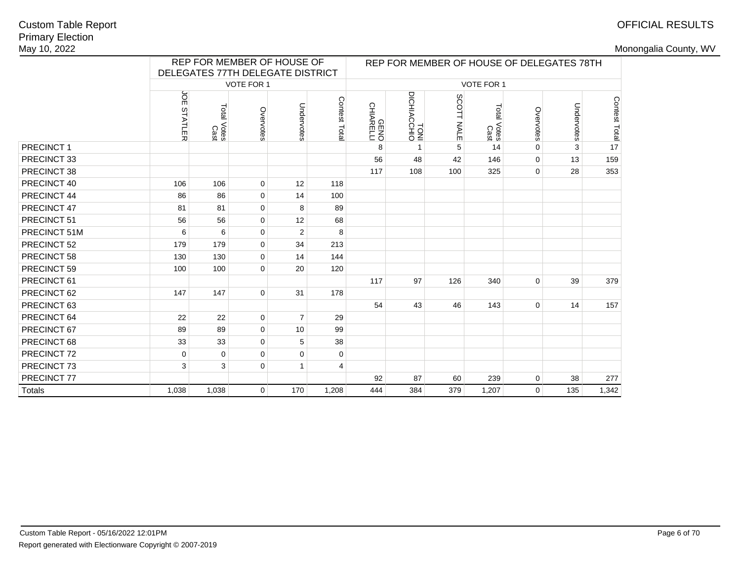# OFFICIAL RESULTS

|              |                      | REP FOR MEMBER OF HOUSE OF       |                |                |              |                          |                     |            |                        |                | REP FOR MEMBER OF HOUSE OF DELEGATES 78TH |                    |
|--------------|----------------------|----------------------------------|----------------|----------------|--------------|--------------------------|---------------------|------------|------------------------|----------------|-------------------------------------------|--------------------|
|              |                      | DELEGATES 77TH DELEGATE DISTRICT |                |                |              |                          |                     |            |                        |                |                                           |                    |
|              |                      |                                  | VOTE FOR 1     |                |              |                          |                     |            | VOTE FOR 1             |                |                                           |                    |
|              | ЙČ<br><b>STATLER</b> | Total<br>Votes<br>Cast           | Overvotes      | Undervotes     | Contest Tota | <b>GENO</b><br>CHIARELLI | TONI<br>DICHIACCHIO | SCOTT NALE | Total<br>Votes<br>Cast | Overvotes      | Undervotes                                | Contest Total<br>L |
| PRECINCT 1   |                      |                                  |                |                |              | 8                        | $\mathbf{1}$        | 5          | 14                     | $\Omega$       | 3                                         |                    |
| PRECINCT 33  |                      |                                  |                |                |              | 56                       | 48                  | 42         | 146                    | $\mathbf 0$    | 13                                        | 159                |
| PRECINCT 38  |                      |                                  |                |                |              | 117                      | 108                 | 100        | 325                    | 0              | 28                                        | 353                |
| PRECINCT 40  | 106                  | 106                              | $\mathbf 0$    | 12             | 118          |                          |                     |            |                        |                |                                           |                    |
| PRECINCT 44  | 86                   | 86                               | $\mathbf 0$    | 14             | 100          |                          |                     |            |                        |                |                                           |                    |
| PRECINCT 47  | 81                   | 81                               | $\mathbf 0$    | 8              | 89           |                          |                     |            |                        |                |                                           |                    |
| PRECINCT 51  | 56                   | 56                               | $\mathbf 0$    | 12             | 68           |                          |                     |            |                        |                |                                           |                    |
| PRECINCT 51M | 6                    | 6                                | $\mathbf 0$    | 2              | 8            |                          |                     |            |                        |                |                                           |                    |
| PRECINCT 52  | 179                  | 179                              | $\mathbf 0$    | 34             | 213          |                          |                     |            |                        |                |                                           |                    |
| PRECINCT 58  | 130                  | 130                              | $\mathbf 0$    | 14             | 144          |                          |                     |            |                        |                |                                           |                    |
| PRECINCT 59  | 100                  | 100                              | $\mathbf 0$    | 20             | 120          |                          |                     |            |                        |                |                                           |                    |
| PRECINCT 61  |                      |                                  |                |                |              | 117                      | 97                  | 126        | 340                    | 0              | 39                                        | 379                |
| PRECINCT 62  | 147                  | 147                              | $\mathbf 0$    | 31             | 178          |                          |                     |            |                        |                |                                           |                    |
| PRECINCT 63  |                      |                                  |                |                |              | 54                       | 43                  | 46         | 143                    | $\mathbf 0$    | 14                                        | 157                |
| PRECINCT 64  | 22                   | 22                               | $\mathbf 0$    | $\overline{7}$ | 29           |                          |                     |            |                        |                |                                           |                    |
| PRECINCT 67  | 89                   | 89                               | $\mathbf 0$    | 10             | 99           |                          |                     |            |                        |                |                                           |                    |
| PRECINCT 68  | 33                   | 33                               | $\mathbf 0$    | 5              | 38           |                          |                     |            |                        |                |                                           |                    |
| PRECINCT 72  | 0                    | 0                                | $\Omega$       | $\mathbf 0$    | 0            |                          |                     |            |                        |                |                                           |                    |
| PRECINCT 73  | 3                    | 3                                | $\mathbf 0$    | $\mathbf{1}$   | 4            |                          |                     |            |                        |                |                                           |                    |
| PRECINCT 77  |                      |                                  |                |                |              | 92                       | 87                  | 60         | 239                    | 0              | 38                                        | 277                |
| Totals       | 1,038                | 1,038                            | $\overline{0}$ | 170            | 1,208        | 444                      | 384                 | 379        | 1,207                  | $\overline{0}$ | 135                                       | 1,342              |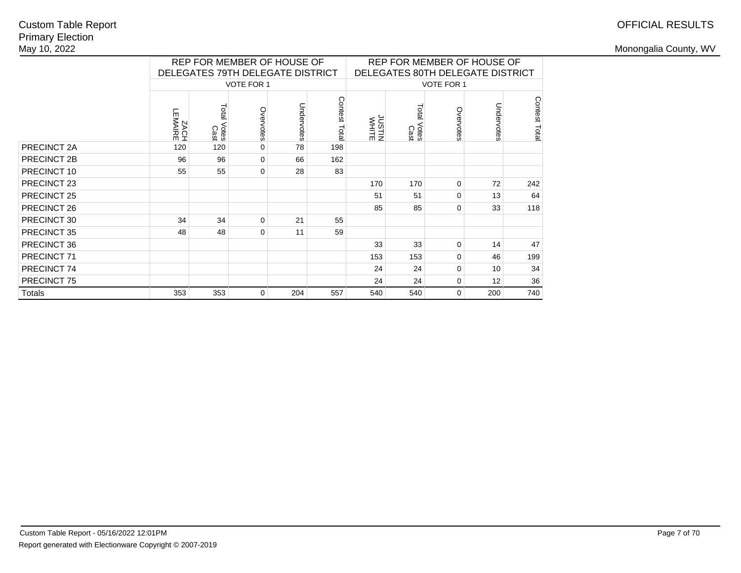# OFFICIAL RESULTS

|               |                    |                     | REP FOR MEMBER OF HOUSE OF<br>DELEGATES 79TH DELEGATE DISTRICT |            |               | REP FOR MEMBER OF HOUSE OF<br>DELEGATES 80TH DELEGATE DISTRICT |                     |                   |            |               |  |
|---------------|--------------------|---------------------|----------------------------------------------------------------|------------|---------------|----------------------------------------------------------------|---------------------|-------------------|------------|---------------|--|
|               |                    |                     | <b>VOTE FOR 1</b>                                              |            |               |                                                                |                     | <b>VOTE FOR 1</b> |            |               |  |
|               | LEMAIRE<br>LEMAIRE | Total Votes<br>Cast | Overvotes                                                      | Undervotes | Contest Total | JUSTIN<br>WHITE                                                | Total Votes<br>Cast | Overvotes         | Undervotes | Contest Total |  |
| PRECINCT 2A   | 120                | 120                 | $\mathbf 0$                                                    | 78         | 198           |                                                                |                     |                   |            |               |  |
| PRECINCT 2B   | 96                 | 96                  | $\mathbf 0$                                                    | 66         | 162           |                                                                |                     |                   |            |               |  |
| PRECINCT 10   | 55                 | 55                  | 0                                                              | 28         | 83            |                                                                |                     |                   |            |               |  |
| PRECINCT 23   |                    |                     |                                                                |            |               | 170                                                            | 170                 | 0                 | 72         | 242           |  |
| PRECINCT 25   |                    |                     |                                                                |            |               | 51                                                             | 51                  | 0                 | 13         | 64            |  |
| PRECINCT 26   |                    |                     |                                                                |            |               | 85                                                             | 85                  | 0                 | 33         | 118           |  |
| PRECINCT 30   | 34                 | 34                  | $\mathbf 0$                                                    | 21         | 55            |                                                                |                     |                   |            |               |  |
| PRECINCT 35   | 48                 | 48                  | 0                                                              | 11         | 59            |                                                                |                     |                   |            |               |  |
| PRECINCT 36   |                    |                     |                                                                |            |               | 33                                                             | 33                  | 0                 | 14         | 47            |  |
| PRECINCT 71   |                    |                     |                                                                |            |               | 153                                                            | 153                 | 0                 | 46         | 199           |  |
| PRECINCT 74   |                    |                     |                                                                |            |               | 24                                                             | 24                  | 0                 | 10         | 34            |  |
| PRECINCT 75   |                    |                     |                                                                |            |               | 24                                                             | 24                  | 0                 | 12         | 36            |  |
| <b>Totals</b> | 353                | 353                 | 0                                                              | 204        | 557           | 540                                                            | 540                 | 0                 | 200        | 740           |  |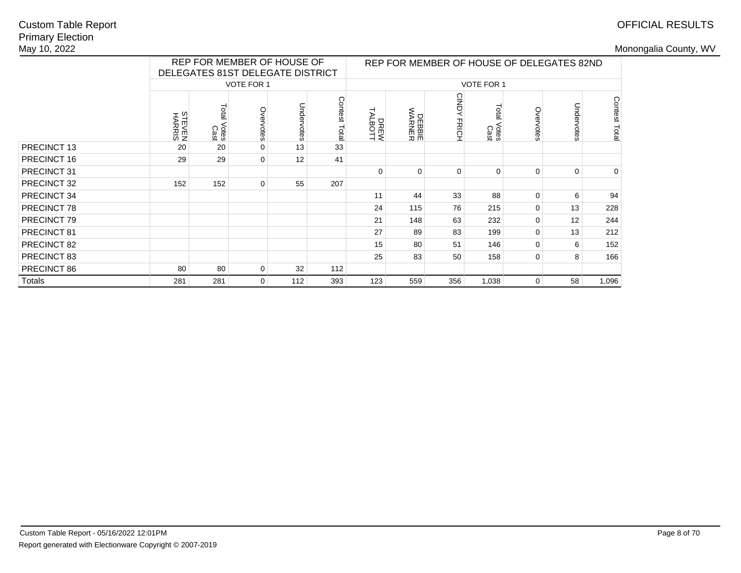# OFFICIAL RESULTS

|             |                  |                                | REP FOR MEMBER OF HOUSE OF<br>DELEGATES 81ST DELEGATE DISTRICT |            |               |                 |                         |                    | REP FOR MEMBER OF HOUSE OF DELEGATES 82ND |             |            |               |
|-------------|------------------|--------------------------------|----------------------------------------------------------------|------------|---------------|-----------------|-------------------------|--------------------|-------------------------------------------|-------------|------------|---------------|
|             |                  |                                | <b>VOTE FOR 1</b>                                              |            |               |                 |                         |                    | <b>VOTE FOR 1</b>                         |             |            |               |
|             | STEVEN<br>HARRIS | Total<br>Votes<br>Cast         | Overvotes                                                      | Undervotes | Contest Total | DREW<br>TALBOTT | <b>DEBBIE</b><br>WARNER | <b>CINDY FRICH</b> | <b>Total</b><br>Votes<br>Cast             | Overvotes   | Undervotes | Contest Total |
| PRECINCT 13 | 20               | 20                             | $\mathbf 0$                                                    | 13         | 33            |                 |                         |                    |                                           |             |            |               |
| PRECINCT 16 | 29               | 29                             | $\mathbf 0$                                                    | 12         | 41            |                 |                         |                    |                                           |             |            |               |
| PRECINCT 31 |                  |                                |                                                                |            |               |                 | $\Omega$                | $\mathbf 0$        | $\Omega$                                  | $\mathbf 0$ | 0          | $\mathbf 0$   |
| PRECINCT 32 | 152              | 152                            | $\mathbf 0$                                                    | 55         | 207           |                 |                         |                    |                                           |             |            |               |
| PRECINCT 34 |                  |                                |                                                                |            |               | 11              | 44                      | 33                 | 88                                        | $\mathbf 0$ | 6          | 94            |
| PRECINCT 78 |                  |                                |                                                                |            |               | 24              | 115                     | 76                 | 215                                       | $\mathbf 0$ | 13         | 228           |
| PRECINCT 79 |                  |                                |                                                                |            |               | 21              | 148                     | 63                 | 232                                       | 0           | 12         | 244           |
| PRECINCT 81 |                  |                                |                                                                |            |               | 27              | 89                      | 83                 | 199                                       | $\mathbf 0$ | 13         | 212           |
| PRECINCT 82 |                  |                                |                                                                |            |               | 15              | 80                      | 51                 | 146                                       | $\mathbf 0$ | 6          | 152           |
| PRECINCT 83 |                  |                                |                                                                |            |               | 25              | 83                      | 50                 | 158                                       | 0           | 8          | 166           |
| PRECINCT 86 | 80               | 80<br>32<br>$\mathbf 0$<br>112 |                                                                |            |               |                 |                         |                    |                                           |             |            |               |
| Totals      | 281              | 281                            | $\mathbf{0}$                                                   | 112        | 393           | 123             | 559                     | 356                | 1,038                                     | 0           | 58         | 1,096         |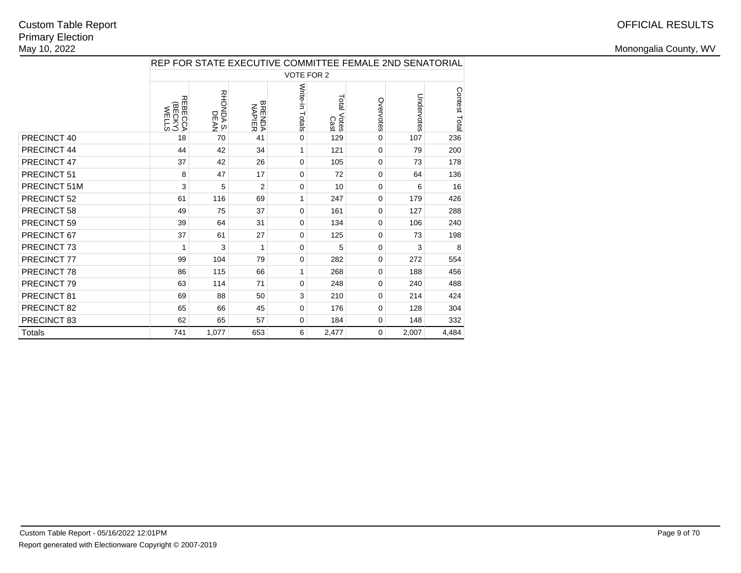|               | REP FOR STATE EXECUTIVE COMMITTEE FEMALE 2ND SENATORIAL |                          |                         |                   |                     |             |            |               |  |  |  |
|---------------|---------------------------------------------------------|--------------------------|-------------------------|-------------------|---------------------|-------------|------------|---------------|--|--|--|
|               |                                                         |                          |                         | <b>VOTE FOR 2</b> |                     |             |            |               |  |  |  |
|               | <b>REBECCA</b><br>(BECKY<br>WELLS                       | <b>RHONDA S.</b><br>DEAN | <b>BRENDA</b><br>NAPIER | Write-in Totals   | Total Votes<br>Cast | Overvotes   | Undervotes | Contest Total |  |  |  |
| PRECINCT 40   | 18                                                      | 70                       | 41                      | 0                 | 129                 | 0           | 107        | 236           |  |  |  |
| PRECINCT 44   | 44                                                      | 42                       | 34                      | $\mathbf{1}$      | 121                 | 0           | 79         | 200           |  |  |  |
| PRECINCT 47   | 37                                                      | 42                       | 26                      | 0                 | 105                 | $\mathbf 0$ | 73         | 178           |  |  |  |
| PRECINCT 51   | 8                                                       | 47                       | 17                      | 0                 | 72                  | 0           | 64         | 136           |  |  |  |
| PRECINCT 51M  | 3                                                       | 5                        | $\overline{2}$          | 0                 | 10                  | 0           | 6          | 16            |  |  |  |
| PRECINCT 52   | 61                                                      | 116                      | 69                      | 1                 | 247                 | 0           | 179        | 426           |  |  |  |
| PRECINCT 58   | 49                                                      | 75                       | 37                      | 0                 | 161                 | 0           | 127        | 288           |  |  |  |
| PRECINCT 59   | 39                                                      | 64                       | 31                      | 0                 | 134                 | 0           | 106        | 240           |  |  |  |
| PRECINCT 67   | 37                                                      | 61                       | 27                      | 0                 | 125                 | 0           | 73         | 198           |  |  |  |
| PRECINCT 73   | 1                                                       | 3                        | 1                       | $\Omega$          | 5                   | 0           | 3          | 8             |  |  |  |
| PRECINCT 77   | 99                                                      | 104                      | 79                      | 0                 | 282                 | 0           | 272        | 554           |  |  |  |
| PRECINCT 78   | 86                                                      | 115                      | 66                      | 1                 | 268                 | 0           | 188        | 456           |  |  |  |
| PRECINCT 79   | 63                                                      | 114                      | 71                      | $\Omega$          | 248                 | 0           | 240        | 488           |  |  |  |
| PRECINCT 81   | 69                                                      | 88                       | 50                      | 3                 | 210                 | 0           | 214        | 424           |  |  |  |
| PRECINCT 82   | 65                                                      | 66                       | 45                      | $\Omega$          | 176                 | 0           | 128        | 304           |  |  |  |
| PRECINCT 83   | 62                                                      | 65                       | 57                      | 0                 | 184                 | 0           | 148        | 332           |  |  |  |
| <b>Totals</b> | 741                                                     | 1,077                    | 653                     | 6                 | 2,477               | $\mathbf 0$ | 2,007      | 4,484         |  |  |  |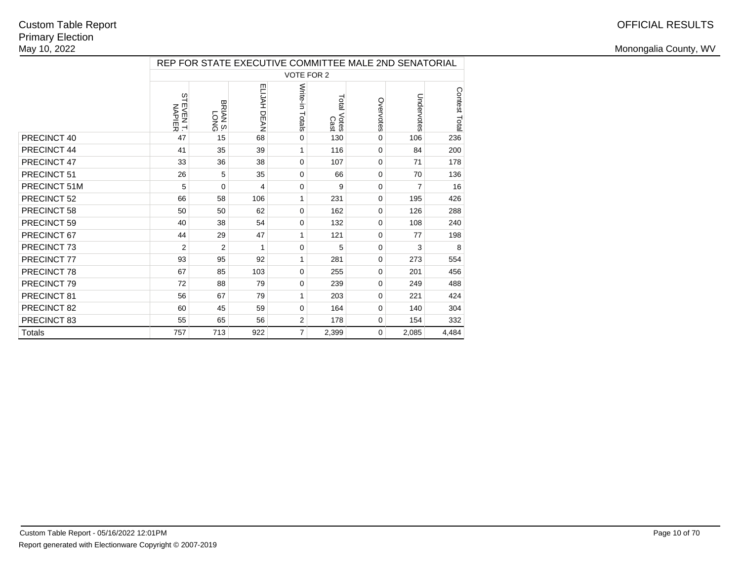|               | REP FOR STATE EXECUTIVE COMMITTEE MALE 2ND SENATORIAL |                |             |                   |                     |             |            |               |  |  |  |  |
|---------------|-------------------------------------------------------|----------------|-------------|-------------------|---------------------|-------------|------------|---------------|--|--|--|--|
|               |                                                       |                |             | <b>VOTE FOR 2</b> |                     |             |            |               |  |  |  |  |
|               | $\frac{2}{3}$<br><b>EVENT.</b><br>NAPIER              | SNOT<br>SNVIS  | ELIJAH DEAN | Write-in Totals   | Total Votes<br>Cast | Overvotes   | Undervotes | Contest Total |  |  |  |  |
| PRECINCT 40   | 47                                                    | 15             | 68          | 0                 | 130                 | 0           | 106        | 236           |  |  |  |  |
| PRECINCT 44   | 41                                                    | 35             | 39          | 1                 | 116                 | 0           | 84         | 200           |  |  |  |  |
| PRECINCT 47   | 33                                                    | 36             | 38          | 0                 | 107                 | 0           | 71         | 178           |  |  |  |  |
| PRECINCT 51   | 26                                                    | 5              | 35          | 0                 | 66                  | 0           | 70         | 136           |  |  |  |  |
| PRECINCT 51M  | 5                                                     | $\mathbf 0$    | 4           | 0                 | 9                   | 0           | 7          | 16            |  |  |  |  |
| PRECINCT 52   | 66                                                    | 58             | 106         | 1                 | 231                 | 0           | 195        | 426           |  |  |  |  |
| PRECINCT 58   | 50                                                    | 50             | 62          | $\Omega$          | 162                 | 0           | 126        | 288           |  |  |  |  |
| PRECINCT 59   | 40                                                    | 38             | 54          | $\Omega$          | 132                 | 0           | 108        | 240           |  |  |  |  |
| PRECINCT 67   | 44                                                    | 29             | 47          | 1                 | 121                 | 0           | 77         | 198           |  |  |  |  |
| PRECINCT 73   | $\overline{2}$                                        | $\overline{2}$ | 1           | $\Omega$          | 5                   | 0           | 3          | 8             |  |  |  |  |
| PRECINCT 77   | 93                                                    | 95             | 92          | 1                 | 281                 | 0           | 273        | 554           |  |  |  |  |
| PRECINCT 78   | 67                                                    | 85             | 103         | $\Omega$          | 255                 | 0           | 201        | 456           |  |  |  |  |
| PRECINCT 79   | 72                                                    | 88             | 79          | $\Omega$          | 239                 | 0           | 249        | 488           |  |  |  |  |
| PRECINCT 81   | 56                                                    | 67             | 79          | 1                 | 203                 | 0           | 221        | 424           |  |  |  |  |
| PRECINCT 82   | 60                                                    | 45             | 59          | 0                 | 164                 | 0           | 140        | 304           |  |  |  |  |
| PRECINCT 83   | 55                                                    | 65             | 56          | $\overline{2}$    | 178                 | 0           | 154        | 332           |  |  |  |  |
| <b>Totals</b> | 757                                                   | 713            | 922         | $\overline{7}$    | 2,399               | $\mathbf 0$ | 2,085      | 4,484         |  |  |  |  |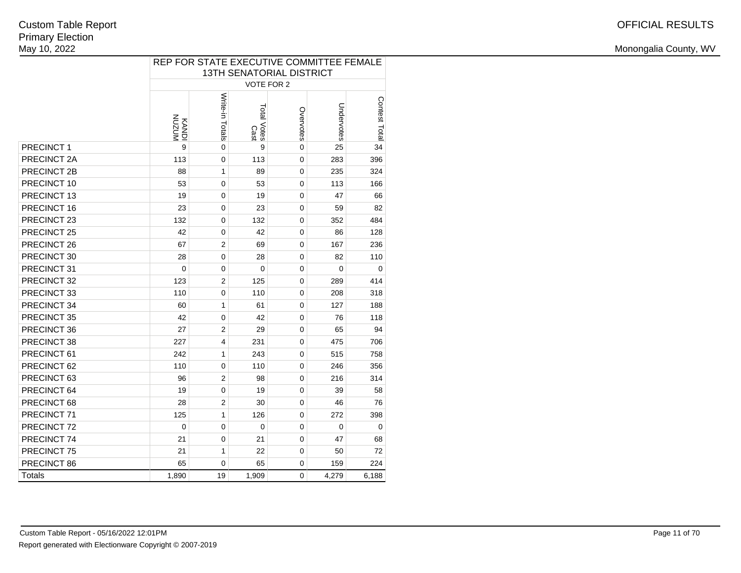|               | REP FOR STATE EXECUTIVE COMMITTEE FEMALE<br><b>13TH SENATORIAL DISTRICT</b> |                 |                     |           |            |               |  |  |  |  |  |  |
|---------------|-----------------------------------------------------------------------------|-----------------|---------------------|-----------|------------|---------------|--|--|--|--|--|--|
|               | <b>VOTE FOR 2</b>                                                           |                 |                     |           |            |               |  |  |  |  |  |  |
|               | <b>NNZON</b><br>KANDI                                                       | Write-in Totals | Total Votes<br>Cast | Overvotes | Undervotes | Contest Total |  |  |  |  |  |  |
| PRECINCT 1    | 9                                                                           | 0               | 9                   | 0         | 25         | 34            |  |  |  |  |  |  |
| PRECINCT 2A   | 113                                                                         | 0               | 113                 | 0         | 283        | 396           |  |  |  |  |  |  |
| PRECINCT 2B   | 88                                                                          | $\mathbf{1}$    | 89                  | 0         | 235        | 324           |  |  |  |  |  |  |
| PRECINCT 10   | 53                                                                          | 0               | 53                  | 0         | 113        | 166           |  |  |  |  |  |  |
| PRECINCT 13   | 19                                                                          | 0               | 19                  | 0         | 47         | 66            |  |  |  |  |  |  |
| PRECINCT 16   | 23                                                                          | 0               | 23                  | 0         | 59         | 82            |  |  |  |  |  |  |
| PRECINCT 23   | 132                                                                         | 0               | 132                 | 0         | 352        | 484           |  |  |  |  |  |  |
| PRECINCT 25   | 42                                                                          | 0               | 42                  | 0         | 86         | 128           |  |  |  |  |  |  |
| PRECINCT 26   | 67                                                                          | $\overline{2}$  | 69                  | 0         | 167        | 236           |  |  |  |  |  |  |
| PRECINCT 30   | 28                                                                          | 0               | 28                  | 0         | 82         | 110           |  |  |  |  |  |  |
| PRECINCT 31   | 0                                                                           | 0               | 0                   | 0         | 0          | 0             |  |  |  |  |  |  |
| PRECINCT 32   | 123                                                                         | $\overline{2}$  | 125                 | 0         | 289        | 414           |  |  |  |  |  |  |
| PRECINCT 33   | 110                                                                         | 0               | 110                 | 0         | 208        | 318           |  |  |  |  |  |  |
| PRECINCT 34   | 60                                                                          | 1               | 61                  | 0         | 127        | 188           |  |  |  |  |  |  |
| PRECINCT 35   | 42                                                                          | $\mathbf 0$     | 42                  | 0         | 76         | 118           |  |  |  |  |  |  |
| PRECINCT 36   | 27                                                                          | $\overline{2}$  | 29                  | 0         | 65         | 94            |  |  |  |  |  |  |
| PRECINCT 38   | 227                                                                         | 4               | 231                 | 0         | 475        | 706           |  |  |  |  |  |  |
| PRECINCT 61   | 242                                                                         | $\mathbf{1}$    | 243                 | 0         | 515        | 758           |  |  |  |  |  |  |
| PRECINCT 62   | 110                                                                         | 0               | 110                 | 0         | 246        | 356           |  |  |  |  |  |  |
| PRECINCT 63   | 96                                                                          | $\overline{2}$  | 98                  | 0         | 216        | 314           |  |  |  |  |  |  |
| PRECINCT 64   | 19                                                                          | 0               | 19                  | 0         | 39         | 58            |  |  |  |  |  |  |
| PRECINCT 68   | 28                                                                          | $\overline{2}$  | 30                  | 0         | 46         | 76            |  |  |  |  |  |  |
| PRECINCT 71   | 125                                                                         | $\mathbf{1}$    | 126                 | 0         | 272        | 398           |  |  |  |  |  |  |
| PRECINCT 72   | 0                                                                           | 0               | 0                   | 0         | 0          | 0             |  |  |  |  |  |  |
| PRECINCT 74   | 21                                                                          | 0               | 21                  | 0         | 47         | 68            |  |  |  |  |  |  |
| PRECINCT 75   | 21                                                                          | 1               | 22                  | 0         | 50         | 72            |  |  |  |  |  |  |
| PRECINCT 86   | 65                                                                          | 0               | 65                  | 0         | 159        | 224           |  |  |  |  |  |  |
| <b>Totals</b> | 1,890                                                                       | 19              | 1,909               | 0         | 4,279      | 6,188         |  |  |  |  |  |  |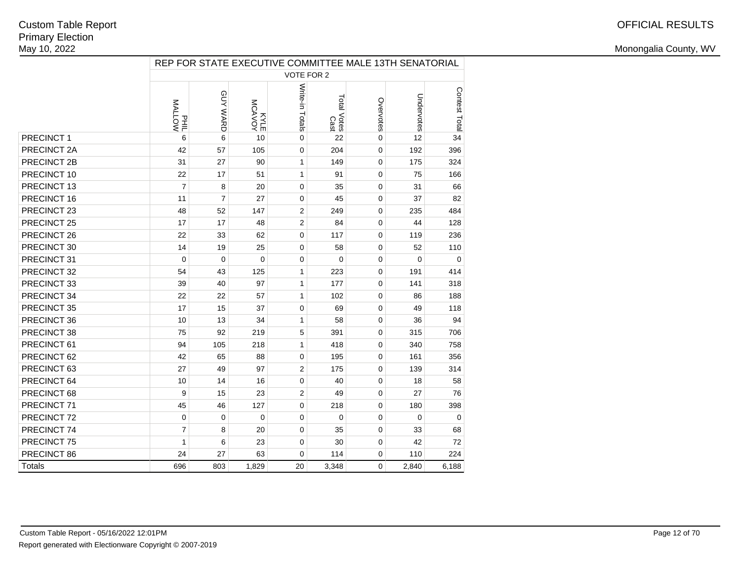|               | REP FOR STATE EXECUTIVE COMMITTEE MALE 13TH SENATORIAL |                |                  |                 |                     |             |             |               |  |  |  |
|---------------|--------------------------------------------------------|----------------|------------------|-----------------|---------------------|-------------|-------------|---------------|--|--|--|
|               |                                                        |                |                  | VOTE FOR 2      |                     |             |             |               |  |  |  |
|               | <b>MALLOW</b><br>$E_{\frac{1}{2}}$                     | GUY WARD       | MOANOM<br>MCAVOY | Write-in Totals | Total Votes<br>Cast | Overvotes   | Undervotes  | Contest Total |  |  |  |
| PRECINCT 1    | 6                                                      | 6              | 10               | $\mathbf 0$     | 22                  | $\mathbf 0$ | 12          | 34            |  |  |  |
| PRECINCT 2A   | 42                                                     | 57             | 105              | $\mathbf 0$     | 204                 | 0           | 192         | 396           |  |  |  |
| PRECINCT 2B   | 31                                                     | 27             | 90               | $\mathbf{1}$    | 149                 | $\mathbf 0$ | 175         | 324           |  |  |  |
| PRECINCT 10   | 22                                                     | 17             | 51               | $\mathbf{1}$    | 91                  | $\mathbf 0$ | 75          | 166           |  |  |  |
| PRECINCT 13   | $\overline{7}$                                         | 8              | 20               | $\mathbf 0$     | 35                  | 0           | 31          | 66            |  |  |  |
| PRECINCT 16   | 11                                                     | $\overline{7}$ | 27               | 0               | 45                  | $\Omega$    | 37          | 82            |  |  |  |
| PRECINCT 23   | 48                                                     | 52             | 147              | $\overline{2}$  | 249                 | $\mathbf 0$ | 235         | 484           |  |  |  |
| PRECINCT 25   | 17                                                     | 17             | 48               | $\overline{2}$  | 84                  | 0           | 44          | 128           |  |  |  |
| PRECINCT 26   | 22                                                     | 33             | 62               | $\mathbf{0}$    | 117                 | $\mathbf 0$ | 119         | 236           |  |  |  |
| PRECINCT 30   | 14                                                     | 19             | 25               | $\mathbf 0$     | 58                  | $\mathbf 0$ | 52          | 110           |  |  |  |
| PRECINCT 31   | $\mathbf 0$                                            | $\mathbf 0$    | $\mathbf 0$      | $\mathbf 0$     | $\mathbf 0$         | $\mathbf 0$ | $\mathbf 0$ | 0             |  |  |  |
| PRECINCT 32   | 54                                                     | 43             | 125              | $\mathbf{1}$    | 223                 | $\mathbf 0$ | 191         | 414           |  |  |  |
| PRECINCT 33   | 39                                                     | 40             | 97               | 1               | 177                 | $\mathbf 0$ | 141         | 318           |  |  |  |
| PRECINCT 34   | 22                                                     | 22             | 57               | 1               | 102                 | 0           | 86          | 188           |  |  |  |
| PRECINCT 35   | 17                                                     | 15             | 37               | $\mathbf 0$     | 69                  | $\mathbf 0$ | 49          | 118           |  |  |  |
| PRECINCT 36   | 10                                                     | 13             | 34               | $\mathbf{1}$    | 58                  | $\mathbf 0$ | 36          | 94            |  |  |  |
| PRECINCT 38   | 75                                                     | 92             | 219              | 5               | 391                 | $\Omega$    | 315         | 706           |  |  |  |
| PRECINCT 61   | 94                                                     | 105            | 218              | $\mathbf{1}$    | 418                 | $\mathbf 0$ | 340         | 758           |  |  |  |
| PRECINCT 62   | 42                                                     | 65             | 88               | $\mathbf 0$     | 195                 | 0           | 161         | 356           |  |  |  |
| PRECINCT 63   | 27                                                     | 49             | 97               | $\overline{2}$  | 175                 | 0           | 139         | 314           |  |  |  |
| PRECINCT 64   | 10                                                     | 14             | 16               | $\mathbf 0$     | 40                  | $\mathbf 0$ | 18          | 58            |  |  |  |
| PRECINCT 68   | 9                                                      | 15             | 23               | $\overline{2}$  | 49                  | $\mathbf 0$ | 27          | 76            |  |  |  |
| PRECINCT 71   | 45                                                     | 46             | 127              | $\mathbf 0$     | 218                 | $\mathbf 0$ | 180         | 398           |  |  |  |
| PRECINCT 72   | $\mathbf 0$                                            | $\mathbf 0$    | $\mathbf 0$      | $\mathbf 0$     | $\mathbf 0$         | $\mathbf 0$ | $\mathbf 0$ | $\Omega$      |  |  |  |
| PRECINCT 74   | $\overline{7}$                                         | 8              | 20               | $\mathbf 0$     | 35                  | 0           | 33          | 68            |  |  |  |
| PRECINCT 75   | $\mathbf{1}$                                           | 6              | 23               | $\mathbf 0$     | 30                  | 0           | 42          | 72            |  |  |  |
| PRECINCT 86   | 24                                                     | 27             | 63               | $\Omega$        | 114                 | $\mathbf 0$ | 110         | 224           |  |  |  |
| <b>Totals</b> | 696                                                    | 803            | 1,829            | 20              | 3,348               | $\mathbf 0$ | 2,840       | 6,188         |  |  |  |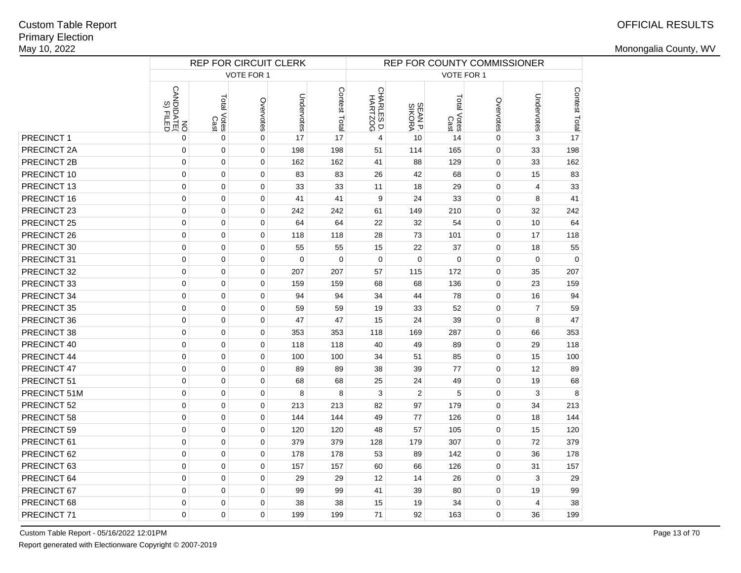|                  |                          | <b>REP FOR CIRCUIT CLERK</b> |             | REP FOR COUNTY COMMISSIONER |               |                       |                   |                     |             |                |                     |
|------------------|--------------------------|------------------------------|-------------|-----------------------------|---------------|-----------------------|-------------------|---------------------|-------------|----------------|---------------------|
|                  |                          |                              | VOTE FOR 1  |                             |               | VOTE FOR 1            |                   |                     |             |                |                     |
|                  | CANDIDATE(<br>CANDIDATE( | Total Votes<br>Cast          | Overvotes   | Undervotes                  | Contest Total | CHARLES D.<br>HARTZOG | SEAN P.<br>SIKORA | Total Votes<br>Cast | Overvotes   | Undervotes     | Contest Total<br>Le |
| <b>PRECINCT1</b> | 0                        | $\mathbf 0$                  | $\pmb{0}$   | 17                          | 17            | $\overline{4}$        | 10                | 14                  | $\pmb{0}$   | 3              |                     |
| PRECINCT 2A      | $\mathbf 0$              | $\mathbf 0$                  | $\pmb{0}$   | 198                         | 198           | 51                    | 114               | 165                 | $\mathbf 0$ | 33             | 198                 |
| PRECINCT 2B      | 0                        | $\mathbf 0$                  | $\mathbf 0$ | 162                         | 162           | 41                    | 88                | 129                 | $\pmb{0}$   | 33             | 162                 |
| PRECINCT 10      | 0                        | $\mathbf 0$                  | $\mathbf 0$ | 83                          | 83            | 26                    | 42                | 68                  | $\pmb{0}$   | 15             | 83                  |
| PRECINCT 13      | 0                        | $\mathbf 0$                  | $\mathbf 0$ | 33                          | 33            | 11                    | 18                | 29                  | $\mathbf 0$ | $\overline{4}$ | 33                  |
| PRECINCT 16      | 0                        | $\pmb{0}$                    | $\mathbf 0$ | 41                          | 41            | 9                     | 24                | 33                  | $\pmb{0}$   | 8              | 41                  |
| PRECINCT 23      | 0                        | $\pmb{0}$                    | $\pmb{0}$   | 242                         | 242           | 61                    | 149               | 210                 | $\mathbf 0$ | 32             | 242                 |
| PRECINCT 25      | $\mathbf 0$              | $\mathbf 0$                  | $\mathbf 0$ | 64                          | 64            | 22                    | 32                | 54                  | $\mathbf 0$ | 10             | 64                  |
| PRECINCT 26      | $\mathbf 0$              | $\pmb{0}$                    | $\mathbf 0$ | 118                         | 118           | 28                    | 73                | 101                 | $\mathbf 0$ | 17             | 118                 |
| PRECINCT 30      | $\mathbf 0$              | $\mathbf 0$                  | $\mathbf 0$ | 55                          | 55            | 15                    | 22                | 37                  | $\mathbf 0$ | 18             | 55                  |
| PRECINCT 31      | $\mathbf 0$              | $\mathbf 0$                  | $\mathbf 0$ | $\mathbf 0$                 | $\mathbf 0$   | $\mathbf 0$           | $\mathbf 0$       | $\overline{0}$      | $\mathbf 0$ | $\mathbf 0$    | $\mathbf 0$         |
| PRECINCT 32      | $\mathbf 0$              | $\mathbf 0$                  | $\mathbf 0$ | 207                         | 207           | 57                    | 115               | 172                 | $\mathbf 0$ | 35             | 207                 |
| PRECINCT 33      | $\mathbf 0$              | 0                            | $\mathbf 0$ | 159                         | 159           | 68                    | 68                | 136                 | $\mathbf 0$ | 23             | 159                 |
| PRECINCT 34      | $\Omega$                 | $\Omega$                     | $\mathbf 0$ | 94                          | 94            | 34                    | 44                | 78                  | $\pmb{0}$   | 16             | 94                  |
| PRECINCT 35      | 0                        | 0                            | $\mathbf 0$ | 59                          | 59            | 19                    | 33                | 52                  | 0           | $\overline{7}$ | 59                  |
| PRECINCT 36      | $\Omega$                 | 0                            | $\mathbf 0$ | 47                          | 47            | 15                    | 24                | 39                  | 0           | 8              | 47                  |
| PRECINCT 38      | 0                        | $\mathbf 0$                  | $\mathbf 0$ | 353                         | 353           | 118                   | 169               | 287                 | $\pmb{0}$   | 66             | 353                 |
| PRECINCT 40      | 0                        | $\overline{0}$               | $\mathbf 0$ | 118                         | 118           | 40                    | 49                | 89                  | $\mathbf 0$ | 29             | 118                 |
| PRECINCT 44      | $\mathbf 0$              | $\mathbf 0$                  | $\mathbf 0$ | 100                         | 100           | 34                    | 51                | 85                  | 0           | 15             | 100                 |
| PRECINCT 47      | $\mathbf 0$              | $\mathbf 0$                  | $\mathbf 0$ | 89                          | 89            | 38                    | 39                | 77                  | $\pmb{0}$   | 12             | 89                  |
| PRECINCT 51      | $\mathbf 0$              | 0                            | $\mathbf 0$ | 68                          | 68            | 25                    | 24                | 49                  | 0           | 19             | 68                  |
| PRECINCT 51M     | $\mathbf 0$              | $\pmb{0}$                    | $\mathbf 0$ | 8                           | 8             | 3                     | $\overline{2}$    | 5                   | $\pmb{0}$   | 3              | 8                   |
| PRECINCT 52      | $\mathbf 0$              | $\pmb{0}$                    | $\mathbf 0$ | 213                         | 213           | 82                    | 97                | 179                 | $\pmb{0}$   | 34             | 213                 |
| PRECINCT 58      | $\mathbf 0$              | $\mathbf 0$                  | $\mathbf 0$ | 144                         | 144           | 49                    | 77                | 126                 | $\mathbf 0$ | 18             | 144                 |
| PRECINCT 59      | $\mathbf 0$              | $\mathbf 0$                  | $\mathbf 0$ | 120                         | 120           | 48                    | 57                | 105                 | $\pmb{0}$   | 15             | 120                 |
| PRECINCT 61      | 0                        | $\mathbf 0$                  | $\mathbf 0$ | 379                         | 379           | 128                   | 179               | 307                 | $\pmb{0}$   | 72             | 379                 |
| PRECINCT 62      | $\mathbf 0$              | 0                            | $\mathbf 0$ | 178                         | 178           | 53                    | 89                | 142                 | $\mathbf 0$ | 36             | 178                 |
| PRECINCT 63      | $\mathbf 0$              | $\pmb{0}$                    | $\mathbf 0$ | 157                         | 157           | 60                    | 66                | 126                 | $\pmb{0}$   | 31             | 157                 |
| PRECINCT 64      | 0                        | $\pmb{0}$                    | $\mathbf 0$ | 29                          | 29            | 12                    | 14                | 26                  | $\mathbf 0$ | 3              | 29                  |
| PRECINCT 67      | $\mathbf 0$              | $\mathbf 0$                  | $\mathbf 0$ | 99                          | 99            | 41                    | 39                | 80                  | $\mathbf 0$ | 19             | 99                  |
| PRECINCT 68      | $\mathbf 0$              | $\mathbf 0$                  | $\mathbf 0$ | 38                          | 38            | 15                    | 19                | 34                  | $\pmb{0}$   | 4              | 38                  |
| PRECINCT 71      | $\Omega$                 | 0                            | $\mathbf 0$ | 199                         | 199           | 71                    | 92                | 163                 | $\Omega$    | 36             | 199                 |

Custom Table Report - 05/16/2022 12:01PM

Report generated with Electionware Copyright © 2007-2019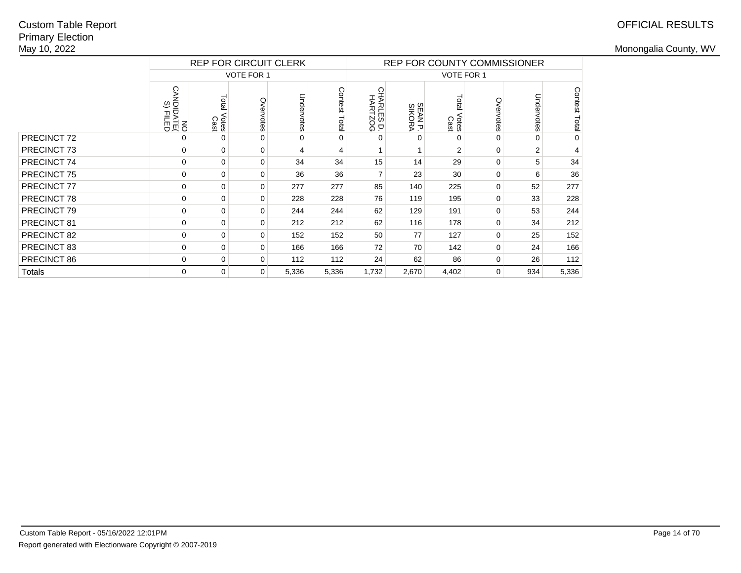## OFFICIAL RESULTS

|             |                                 | <b>REP FOR CIRCUIT CLERK</b> |                   |            |                  | <b>REP FOR COUNTY COMMISSIONER</b> |                  |                        |           |                |               |  |
|-------------|---------------------------------|------------------------------|-------------------|------------|------------------|------------------------------------|------------------|------------------------|-----------|----------------|---------------|--|
|             |                                 |                              | <b>VOTE FOR 1</b> |            |                  | VOTE FOR 1                         |                  |                        |           |                |               |  |
|             | <b>CANDIDATE(</b><br>DANDIDATE( | Total<br>Votes<br>Cast       | Overvotes         | Undervotes | Contest<br>Total | CHARLES D.<br>HARTZOG              | SEANP.<br>SIKORA | Total<br>Votes<br>Cast | Overvotes | Undervotes     | Contest Total |  |
| PRECINCT 72 | $\Omega$                        | $\Omega$                     | 0                 | $\Omega$   | $\Omega$         | $\Omega$                           | $\Omega$         | 0                      | $\Omega$  | $\Omega$       | $\pmb{0}$     |  |
| PRECINCT 73 | $\Omega$                        | $\mathbf 0$                  | 0                 | 4          | 4                |                                    |                  | $\overline{2}$         | $\Omega$  | $\overline{2}$ | 4             |  |
| PRECINCT 74 | $\mathbf 0$                     | $\mathbf 0$                  | 0                 | 34         | 34               | 15                                 | 14               | 29                     | 0         | 5              | 34            |  |
| PRECINCT 75 | $\Omega$                        | $\mathbf 0$                  | 0                 | 36         | 36               | $\overline{7}$                     | 23               | 30                     | 0         | 6              | 36            |  |
| PRECINCT 77 | $\Omega$                        | $\mathbf 0$                  | 0                 | 277        | 277              | 85                                 | 140              | 225                    | 0         | 52             | 277           |  |
| PRECINCT 78 | $\Omega$                        | $\mathbf 0$                  | 0                 | 228        | 228              | 76                                 | 119              | 195                    | 0         | 33             | 228           |  |
| PRECINCT 79 | 0                               | 0                            | 0                 | 244        | 244              | 62                                 | 129              | 191                    | 0         | 53             | 244           |  |
| PRECINCT 81 | $\Omega$                        | $\Omega$                     | $\mathbf 0$       | 212        | 212              | 62                                 | 116              | 178                    | 0         | 34             | 212           |  |
| PRECINCT 82 | $\Omega$                        | 0                            | 0                 | 152        | 152              | 50                                 | 77               | 127                    | 0         | 25             | 152           |  |
| PRECINCT 83 | $\Omega$                        | 0                            | 0                 | 166        | 166              | 72                                 | 70               | 142                    | 0         | 24             | 166           |  |
| PRECINCT 86 | $\Omega$                        | 0                            | 0                 | 112        | 112              | 24                                 | 62               | 86                     | 0         | 26             | 112           |  |
| Totals      | $\Omega$                        | $\mathbf 0$                  | 0                 | 5,336      | 5,336            | 1,732                              | 2,670            | 4,402                  | $\Omega$  | 934            | 5,336         |  |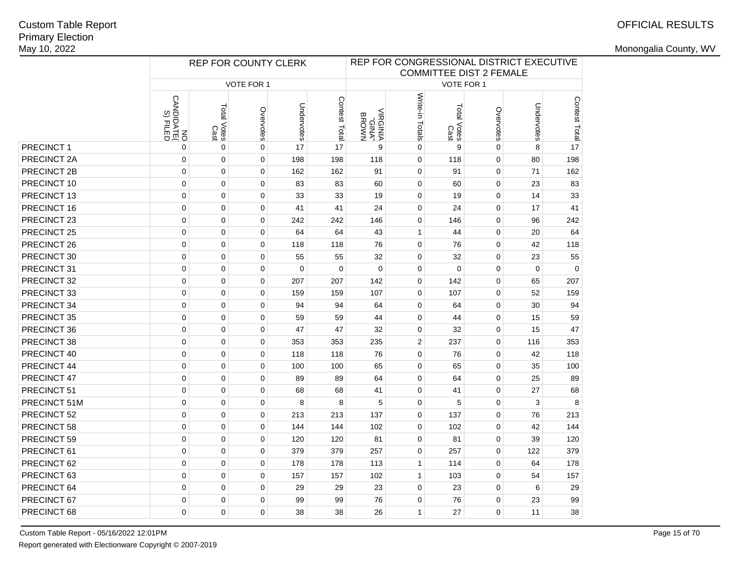# OFFICIAL RESULTS

|              |                          | REP FOR COUNTY CLERK |                   | REP FOR CONGRESSIONAL DISTRICT EXECUTIVE<br><b>COMMITTEE DIST 2 FEMALE</b> |               |                                   |                 |                     |             |             |               |  |
|--------------|--------------------------|----------------------|-------------------|----------------------------------------------------------------------------|---------------|-----------------------------------|-----------------|---------------------|-------------|-------------|---------------|--|
|              |                          |                      | <b>VOTE FOR 1</b> |                                                                            |               | VOTE FOR 1                        |                 |                     |             |             |               |  |
|              | CANDIDATE(<br>CANDIDATE( | Total Votes<br>Cast  | Overvotes         | Undervotes                                                                 | Contest Total | <b>NAONB</b><br>"ANID"<br>ANIDRIV | Write-in Totals | Total Votes<br>Cast | Overvotes   | Undervotes  | Contest Total |  |
| PRECINCT 1   | 0                        | $\mathbf 0$          | $\mathbf 0$       | 17                                                                         | 17            | 9                                 | $\mathbf 0$     | 9                   | $\Omega$    | 8           | 17            |  |
| PRECINCT 2A  | $\mathbf 0$              | $\mathbf 0$          | $\mathbf 0$       | 198                                                                        | 198           | 118                               | $\mathbf 0$     | 118                 | $\mathbf 0$ | 80          | 198           |  |
| PRECINCT 2B  | $\mathbf 0$              | $\mathbf 0$          | $\mathbf 0$       | 162                                                                        | 162           | 91                                | $\mathbf 0$     | 91                  | $\mathbf 0$ | 71          | 162           |  |
| PRECINCT 10  | $\mathbf 0$              | $\mathbf 0$          | $\mathbf 0$       | 83                                                                         | 83            | 60                                | 0               | 60                  | $\mathbf 0$ | 23          | 83            |  |
| PRECINCT 13  | $\mathbf 0$              | 0                    | $\mathbf 0$       | 33                                                                         | 33            | 19                                | 0               | 19                  | $\mathbf 0$ | 14          | 33            |  |
| PRECINCT 16  | $\mathbf 0$              | 0                    | $\mathbf 0$       | 41                                                                         | 41            | 24                                | 0               | 24                  | $\mathbf 0$ | 17          | 41            |  |
| PRECINCT 23  | $\mathbf 0$              | $\mathbf 0$          | $\mathbf 0$       | 242                                                                        | 242           | 146                               | 0               | 146                 | $\mathbf 0$ | 96          | 242           |  |
| PRECINCT 25  | $\mathbf 0$              | $\mathbf 0$          | $\mathbf 0$       | 64                                                                         | 64            | 43                                | $\mathbf{1}$    | 44                  | $\Omega$    | 20          | 64            |  |
| PRECINCT 26  | $\mathbf 0$              | $\mathbf 0$          | $\mathbf 0$       | 118                                                                        | 118           | 76                                | $\mathbf 0$     | 76                  | $\mathbf 0$ | 42          | 118           |  |
| PRECINCT 30  | $\mathbf 0$              | $\mathbf 0$          | $\mathbf 0$       | 55                                                                         | 55            | 32                                | $\mathbf 0$     | 32                  | $\mathbf 0$ | 23          | 55            |  |
| PRECINCT 31  | $\mathbf 0$              | $\mathbf 0$          | $\mathbf 0$       | $\mathbf 0$                                                                | $\mathbf 0$   | $\mathbf 0$                       | $\mathbf 0$     | $\mathbf 0$         | $\mathbf 0$ | $\mathbf 0$ | $\mathbf 0$   |  |
| PRECINCT 32  | $\mathbf 0$              | $\mathbf 0$          | $\mathbf 0$       | 207                                                                        | 207           | 142                               | 0               | 142                 | $\mathbf 0$ | 65          | 207           |  |
| PRECINCT 33  | $\mathbf 0$              | $\mathbf 0$          | $\mathbf 0$       | 159                                                                        | 159           | 107                               | 0               | 107                 | $\mathbf 0$ | 52          | 159           |  |
| PRECINCT 34  | $\mathbf 0$              | $\mathbf 0$          | $\mathbf 0$       | 94                                                                         | 94            | 64                                | $\mathbf 0$     | 64                  | $\mathbf 0$ | 30          | 94            |  |
| PRECINCT 35  | $\mathbf 0$              | $\mathbf 0$          | 0                 | 59                                                                         | 59            | 44                                | 0               | 44                  | $\mathbf 0$ | 15          | 59            |  |
| PRECINCT 36  | $\mathbf 0$              | $\mathbf 0$          | $\mathbf 0$       | 47                                                                         | 47            | 32                                | 0               | 32                  | $\mathbf 0$ | 15          | 47            |  |
| PRECINCT 38  | $\mathbf 0$              | $\mathbf 0$          | $\mathbf 0$       | 353                                                                        | 353           | 235                               | $\mathbf{2}$    | 237                 | $\mathbf 0$ | 116         | 353           |  |
| PRECINCT 40  | $\mathbf 0$              | $\mathbf 0$          | $\mathbf 0$       | 118                                                                        | 118           | 76                                | 0               | 76                  | $\mathbf 0$ | 42          | 118           |  |
| PRECINCT 44  | $\mathbf 0$              | $\mathbf 0$          | $\mathbf 0$       | 100                                                                        | 100           | 65                                | 0               | 65                  | $\mathbf 0$ | 35          | 100           |  |
| PRECINCT 47  | $\mathbf 0$              | $\mathbf 0$          | $\mathbf 0$       | 89                                                                         | 89            | 64                                | $\mathbf 0$     | 64                  | $\mathbf 0$ | 25          | 89            |  |
| PRECINCT 51  | $\mathbf 0$              | 0                    | 0                 | 68                                                                         | 68            | 41                                | 0               | 41                  | $\Omega$    | 27          | 68            |  |
| PRECINCT 51M | $\mathbf 0$              | 0                    | $\mathbf 0$       | 8                                                                          | 8             | 5                                 | 0               | 5                   | $\mathbf 0$ | 3           | 8             |  |
| PRECINCT 52  | $\mathbf 0$              | $\mathbf 0$          | $\mathbf 0$       | 213                                                                        | 213           | 137                               | 0               | 137                 | $\mathbf 0$ | 76          | 213           |  |
| PRECINCT 58  | $\mathbf 0$              | $\mathbf 0$          | $\mathbf 0$       | 144                                                                        | 144           | 102                               | $\mathbf 0$     | 102                 | $\mathbf 0$ | 42          | 144           |  |
| PRECINCT 59  | $\mathbf 0$              | $\mathbf 0$          | $\mathbf 0$       | 120                                                                        | 120           | 81                                | 0               | 81                  | $\mathbf 0$ | 39          | 120           |  |
| PRECINCT 61  | $\mathbf 0$              | $\mathbf 0$          | $\mathbf 0$       | 379                                                                        | 379           | 257                               | $\mathbf 0$     | 257                 | $\Omega$    | 122         | 379           |  |
| PRECINCT 62  | $\mathbf 0$              | $\Omega$             | $\mathbf 0$       | 178                                                                        | 178           | 113                               | $\mathbf{1}$    | 114                 | $\Omega$    | 64          | 178           |  |
| PRECINCT 63  | $\Omega$                 | $\Omega$             | $\Omega$          | 157                                                                        | 157           | 102                               | $\mathbf{1}$    | 103                 | $\Omega$    | 54          | 157           |  |
| PRECINCT 64  | $\mathbf 0$              | $\mathbf 0$          | $\mathbf 0$       | 29                                                                         | 29            | 23                                | 0               | 23                  | $\mathbf 0$ | 6           | 29            |  |
| PRECINCT 67  | $\mathbf 0$              | 0                    | $\mathbf 0$       | 99                                                                         | 99            | 76                                | 0               | 76                  | $\mathbf 0$ | 23          | 99            |  |
| PRECINCT 68  | $\mathbf 0$              | $\Omega$             | $\Omega$          | 38                                                                         | 38            | 26                                | $\mathbf{1}$    | 27                  | $\Omega$    | 11          | 38            |  |
|              |                          |                      |                   |                                                                            |               |                                   |                 |                     |             |             |               |  |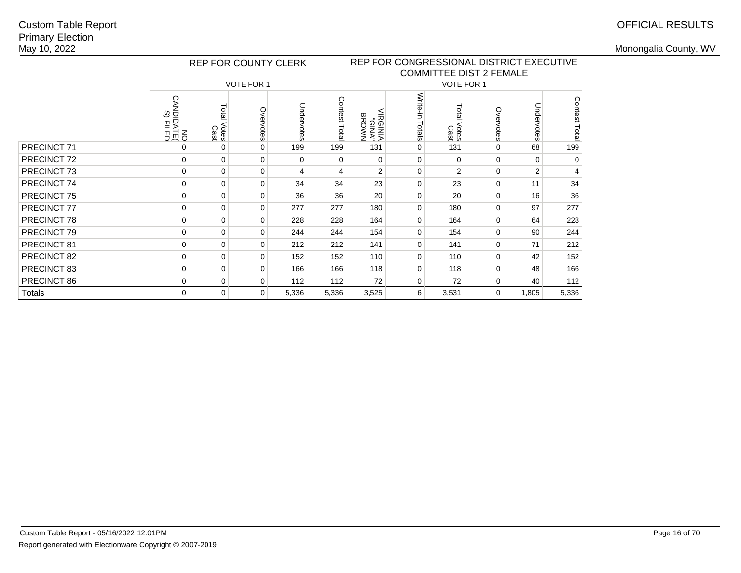# OFFICIAL RESULTS

|               |                            |                     |                   | <b>REP FOR COUNTY CLERK</b> |               | REP FOR CONGRESSIONAL DISTRICT EXECUTIVE<br><b>COMMITTEE DIST 2 FEMALE</b> |                 |                        |           |                |               |  |  |
|---------------|----------------------------|---------------------|-------------------|-----------------------------|---------------|----------------------------------------------------------------------------|-----------------|------------------------|-----------|----------------|---------------|--|--|
|               |                            |                     | <b>VOTE FOR 1</b> |                             |               | <b>VOTE FOR 1</b>                                                          |                 |                        |           |                |               |  |  |
|               | ON<br>DIPATE<br>CANDIDATED | Total Votes<br>Cast | Overvotes         | Undervotes                  | Contest Total | <b>IRGINIA</b><br>"AMP"<br>BROWN                                           | Write-in Totals | Total<br>Votes<br>Cast | Overvotes | Undervotes     | Contest Total |  |  |
| PRECINCT 71   | 0                          | $\mathbf 0$         | $\Omega$          | 199                         | 199           | 131                                                                        | $\Omega$        | 131                    | 0         | 68             | 199           |  |  |
| PRECINCT 72   | 0                          | 0                   | $\mathbf 0$       | 0                           | 0             | 0                                                                          | $\mathbf 0$     | 0                      | 0         | 0              | $\Omega$      |  |  |
| PRECINCT 73   | 0                          | 0                   | 0                 | 4                           | 4             | $\overline{2}$                                                             | $\Omega$        | 2                      | $\Omega$  | $\overline{2}$ | 4             |  |  |
| PRECINCT 74   | 0                          | 0                   | 0                 | 34                          | 34            | 23                                                                         | 0               | 23                     | $\Omega$  | 11             | 34            |  |  |
| PRECINCT 75   | 0                          | $\mathbf 0$         | 0                 | 36                          | 36            | 20                                                                         | 0               | 20                     | 0         | 16             | 36            |  |  |
| PRECINCT 77   | 0                          | $\mathbf 0$         | $\mathbf 0$       | 277                         | 277           | 180                                                                        | $\mathbf 0$     | 180                    | 0         | 97             | 277           |  |  |
| PRECINCT 78   | 0                          | $\mathbf 0$         | $\Omega$          | 228                         | 228           | 164                                                                        | $\Omega$        | 164                    | 0         | 64             | 228           |  |  |
| PRECINCT 79   | 0                          | 0                   | $\Omega$          | 244                         | 244           | 154                                                                        | 0               | 154                    | 0         | 90             | 244           |  |  |
| PRECINCT 81   | 0                          | $\mathbf 0$         | $\Omega$          | 212                         | 212           | 141                                                                        | $\Omega$        | 141                    | $\Omega$  | 71             | 212           |  |  |
| PRECINCT 82   | 0                          | 0                   | $\Omega$          | 152                         | 152           | 110                                                                        | $\mathbf 0$     | 110                    | $\Omega$  | 42             | 152           |  |  |
| PRECINCT 83   | 0                          | 0                   | $\Omega$          | 166                         | 166           | 118                                                                        | $\Omega$        | 118                    | 0         | 48             | 166           |  |  |
| PRECINCT 86   | 0                          | 0                   | 0                 | 112                         | 112           | 72                                                                         | 0               | 72                     | 0         | 40             | 112           |  |  |
| <b>Totals</b> | 0                          | $\mathbf 0$         | 0                 | 5,336                       | 5,336         | 3,525                                                                      | 6               | 3,531                  | 0         | 1,805          | 5,336         |  |  |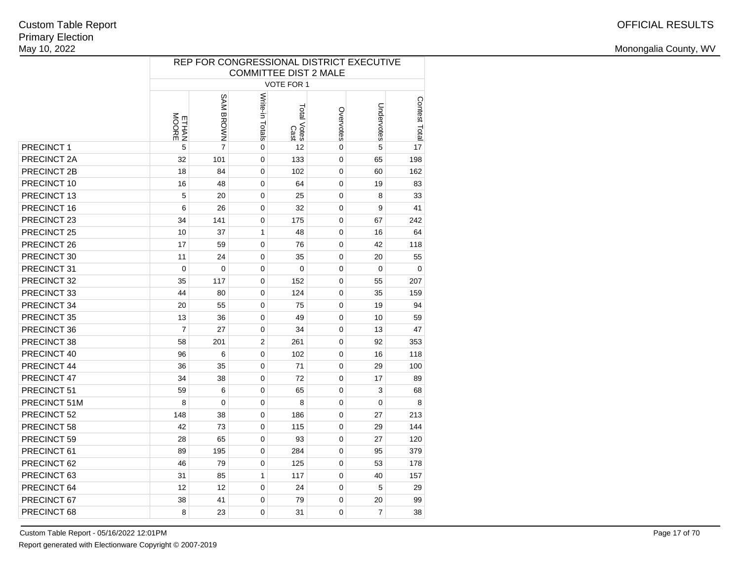|              | REP FOR CONGRESSIONAL DISTRICT EXECUTIVE<br><b>COMMITTEE DIST 2 MALE</b> |                |                 |                     |                |            |               |  |  |  |  |  |
|--------------|--------------------------------------------------------------------------|----------------|-----------------|---------------------|----------------|------------|---------------|--|--|--|--|--|
|              |                                                                          |                |                 |                     |                |            |               |  |  |  |  |  |
|              |                                                                          |                |                 | <b>VOTE FOR 1</b>   |                |            |               |  |  |  |  |  |
|              | ETHAN<br>MOORE                                                           | SAM BROWN      | Write-in Totals | Total Votes<br>Cast | Overvotes      | Undervotes | Contest Total |  |  |  |  |  |
| PRECINCT 1   | 5                                                                        | $\overline{7}$ | $\mathbf 0$     | 12                  | $\overline{0}$ | 5          | 17            |  |  |  |  |  |
| PRECINCT 2A  | 32                                                                       | 101            | $\mathbf 0$     | 133                 | $\mathbf 0$    | 65         | 198           |  |  |  |  |  |
| PRECINCT 2B  | 18                                                                       | 84             | $\mathbf 0$     | 102                 | $\mathbf 0$    | 60         | 162           |  |  |  |  |  |
| PRECINCT 10  | 16                                                                       | 48             | 0               | 64                  | 0              | 19         | 83            |  |  |  |  |  |
| PRECINCT 13  | 5                                                                        | 20             | $\mathbf 0$     | 25                  | 0              | 8          | 33            |  |  |  |  |  |
| PRECINCT 16  | 6                                                                        | 26             | $\mathbf 0$     | 32                  | 0              | 9          | 41            |  |  |  |  |  |
| PRECINCT 23  | 34                                                                       | 141            | $\mathbf 0$     | 175                 | 0              | 67         | 242           |  |  |  |  |  |
| PRECINCT 25  | 10                                                                       | 37             | 1               | 48                  | 0              | 16         | 64            |  |  |  |  |  |
| PRECINCT 26  | 17                                                                       | 59             | 0               | 76                  | 0              | 42         | 118           |  |  |  |  |  |
| PRECINCT 30  | 11                                                                       | 24             | $\mathbf 0$     | 35                  | 0              | 20         | 55            |  |  |  |  |  |
| PRECINCT 31  | 0                                                                        | 0              | $\mathbf 0$     | $\mathbf 0$         | 0              | 0          | 0             |  |  |  |  |  |
| PRECINCT 32  | 35                                                                       | 117            | $\mathbf 0$     | 152                 | 0              | 55         | 207           |  |  |  |  |  |
| PRECINCT 33  | 44                                                                       | 80             | 0               | 124                 | 0              | 35         | 159           |  |  |  |  |  |
| PRECINCT 34  | 20                                                                       | 55             | $\mathbf 0$     | 75                  | 0              | 19         | 94            |  |  |  |  |  |
| PRECINCT 35  | 13                                                                       | 36             | $\mathbf 0$     | 49                  | 0              | 10         | 59            |  |  |  |  |  |
| PRECINCT 36  | $\overline{7}$                                                           | 27             | $\mathbf 0$     | 34                  | 0              | 13         | 47            |  |  |  |  |  |
| PRECINCT 38  | 58                                                                       | 201            | $\overline{2}$  | 261                 | 0              | 92         | 353           |  |  |  |  |  |
| PRECINCT 40  | 96                                                                       | 6              | 0               | 102                 | 0              | 16         | 118           |  |  |  |  |  |
| PRECINCT 44  | 36                                                                       | 35             | $\mathbf 0$     | 71                  | 0              | 29         | 100           |  |  |  |  |  |
| PRECINCT 47  | 34                                                                       | 38             | $\mathbf 0$     | 72                  | 0              | 17         | 89            |  |  |  |  |  |
| PRECINCT 51  | 59                                                                       | 6              | $\mathbf 0$     | 65                  | 0              | 3          | 68            |  |  |  |  |  |
| PRECINCT 51M | 8                                                                        | 0              | $\mathbf 0$     | 8                   | 0              | 0          | 8             |  |  |  |  |  |
| PRECINCT 52  | 148                                                                      | 38             | 0               | 186                 | 0              | 27         | 213           |  |  |  |  |  |
| PRECINCT 58  | 42                                                                       | 73             | $\mathbf 0$     | 115                 | 0              | 29         | 144           |  |  |  |  |  |
| PRECINCT 59  | 28                                                                       | 65             | $\mathbf 0$     | 93                  | 0              | 27         | 120           |  |  |  |  |  |
| PRECINCT 61  | 89                                                                       | 195            | 0               | 284                 | 0              | 95         | 379           |  |  |  |  |  |
| PRECINCT 62  | 46                                                                       | 79             | $\mathbf 0$     | 125                 | 0              | 53         | 178           |  |  |  |  |  |
| PRECINCT 63  | 31                                                                       | 85             | $\mathbf{1}$    | 117                 | 0              | 40         | 157           |  |  |  |  |  |
| PRECINCT 64  | 12                                                                       | 12             | 0               | 24                  | 0              | 5          | 29            |  |  |  |  |  |
| PRECINCT 67  | 38                                                                       | 41             | 0               | 79                  | 0              | 20         | 99            |  |  |  |  |  |
| PRECINCT 68  | 8                                                                        | 23             | $\mathbf 0$     | 31                  | 0              | 7          | 38            |  |  |  |  |  |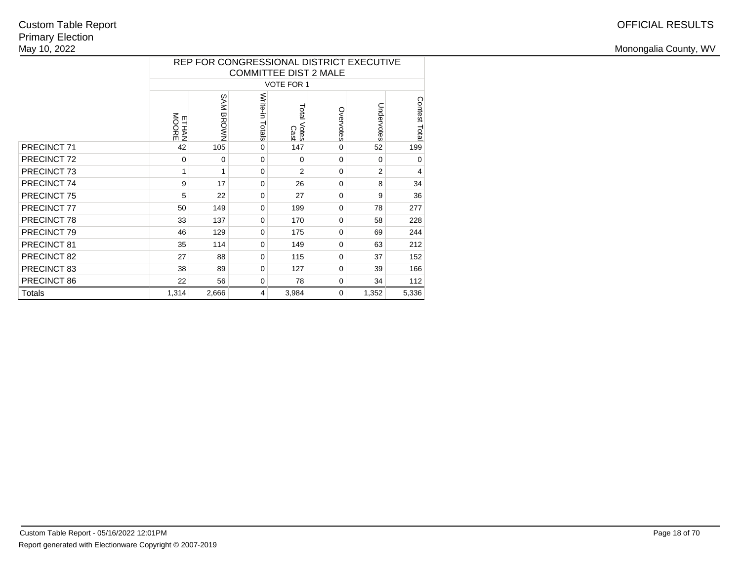|               |                |           |                    | <b>COMMITTEE DIST 2 MALE</b> |             | REP FOR CONGRESSIONAL DISTRICT EXECUTIVE |                |
|---------------|----------------|-----------|--------------------|------------------------------|-------------|------------------------------------------|----------------|
|               |                |           |                    | <b>VOTE FOR 1</b>            |             |                                          |                |
|               | ETHAN<br>MOORE | SAM BROWN | Write-in<br>Totals | Total Votes<br>Total Votes   | Overvotes   | Undervotes                               | Contest Total  |
| PRECINCT 71   | 42             | 105       | 0                  | 147                          | 0           | 52                                       | 199            |
| PRECINCT 72   | 0              | $\Omega$  | $\Omega$           | $\Omega$                     | $\Omega$    | $\Omega$                                 | $\mathbf 0$    |
| PRECINCT 73   | 1              | 1         | $\Omega$           | $\overline{2}$               | $\Omega$    | 2                                        | $\overline{4}$ |
| PRECINCT 74   | 9              | 17        | 0                  | 26                           | 0           | 8                                        | 34             |
| PRECINCT 75   | 5              | 22        | $\Omega$           | 27                           | $\mathbf 0$ | 9                                        | 36             |
| PRECINCT 77   | 50             | 149       | $\Omega$           | 199                          | $\Omega$    | 78                                       | 277            |
| PRECINCT 78   | 33             | 137       | $\Omega$           | 170                          | $\Omega$    | 58                                       | 228            |
| PRECINCT 79   | 46             | 129       | 0                  | 175                          | 0           | 69                                       | 244            |
| PRECINCT 81   | 35             | 114       | 0                  | 149                          | $\Omega$    | 63                                       | 212            |
| PRECINCT 82   | 27             | 88        | $\Omega$           | 115                          | $\Omega$    | 37                                       | 152            |
| PRECINCT 83   | 38             | 89        | $\Omega$           | 127                          | $\Omega$    | 39                                       | 166            |
| PRECINCT 86   | 22             | 56        | 0                  | 78                           | $\mathbf 0$ | 34                                       | 112            |
| <b>Totals</b> | 1,314          | 2,666     | 4                  | 3,984                        | 0           | 1,352                                    | 5,336          |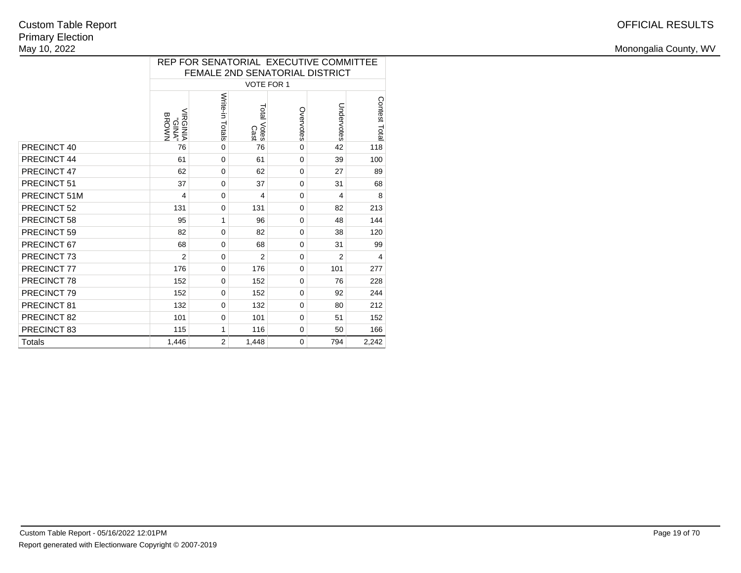|                        |                                         |                 |                     |             | REP FOR SENATORIAL EXECUTIVE COMMITTEE<br>FEMALE 2ND SENATORIAL DISTRICT |               |
|------------------------|-----------------------------------------|-----------------|---------------------|-------------|--------------------------------------------------------------------------|---------------|
|                        |                                         |                 | <b>VOTE FOR 1</b>   |             |                                                                          |               |
|                        | <b>ANID.</b><br>VINDHIN<br><b>BROWN</b> | Write-in Totals | Total Votes<br>Cast | Overvotes   | Undervotes                                                               | Contest Total |
| PRECINCT 40            | 76                                      | $\mathbf 0$     | 76                  | $\mathbf 0$ | 42                                                                       | 118           |
| PRECINCT 44            | 61                                      | $\mathbf 0$     | 61                  | $\Omega$    | 39                                                                       | 100           |
| PRECINCT 47            | 62                                      | $\Omega$        | 62                  | $\Omega$    | 27                                                                       | 89            |
| PRECINCT 51            | 37                                      | $\mathbf 0$     | 37                  | $\Omega$    | 31                                                                       | 68            |
| PRECINCT 51M           | 4                                       | $\Omega$        | 4                   | $\Omega$    | $\overline{\mathbf{4}}$                                                  | 8             |
| PRECINCT 52            | 131                                     | 0               | 131                 | 0           | 82                                                                       | 213           |
| PRECINCT 58            | 95                                      | 1               | 96                  | $\Omega$    | 48                                                                       | 144           |
| PRECINCT 59            | 82                                      | $\mathbf 0$     | 82                  | $\Omega$    | 38                                                                       | 120           |
| PRECINCT 67            | 68                                      | $\mathbf 0$     | 68                  | $\mathbf 0$ | 31                                                                       | 99            |
| PRECINCT <sub>73</sub> | $\overline{2}$                          | $\mathbf 0$     | $\overline{2}$      | $\mathbf 0$ | $\overline{2}$                                                           | 4             |
| PRECINCT 77            | 176                                     | $\Omega$        | 176                 | $\Omega$    | 101                                                                      | 277           |
| PRECINCT 78            | 152                                     | $\Omega$        | 152                 | $\Omega$    | 76                                                                       | 228           |
| PRECINCT 79            | 152                                     | $\Omega$        | 152                 | $\Omega$    | 92                                                                       | 244           |
| PRECINCT 81            | 132                                     | $\Omega$        | 132                 | $\Omega$    | 80                                                                       | 212           |
| PRECINCT 82            | 101                                     | $\mathbf 0$     | 101                 | $\mathbf 0$ | 51                                                                       | 152           |
| PRECINCT 83            | 115                                     | 1               | 116                 | $\mathbf 0$ | 50                                                                       | 166           |
| <b>Totals</b>          | 1,446                                   | $\overline{2}$  | 1,448               | 0           | 794                                                                      | 2,242         |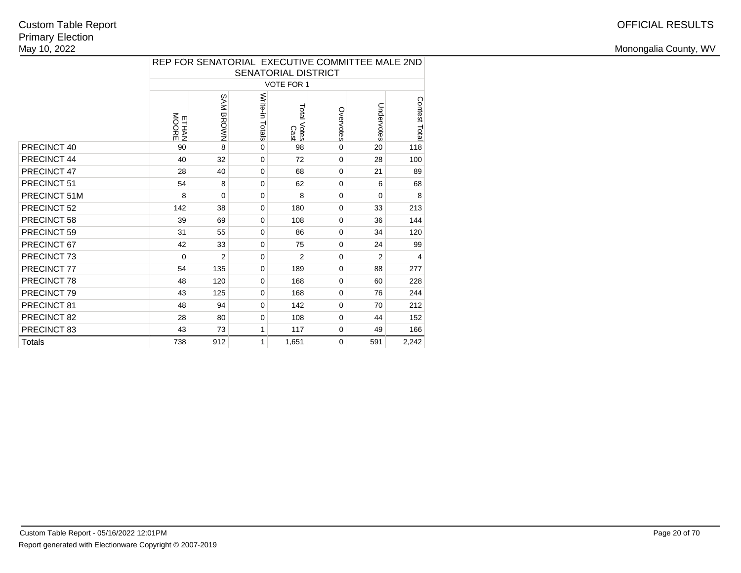|               |                |                |                 | SENATORIAL DISTRICT |              | REP FOR SENATORIAL EXECUTIVE COMMITTEE MALE 2ND |               |
|---------------|----------------|----------------|-----------------|---------------------|--------------|-------------------------------------------------|---------------|
|               |                |                |                 | <b>VOTE FOR 1</b>   |              |                                                 |               |
|               | ETHAN<br>MOORE | SAM BROWN      | Write-in Totals | Total Votes<br>Cast | Overvotes    | Undervotes                                      | Contest Total |
| PRECINCT 40   | 90             | 8              | $\Omega$        | 98                  | $\mathbf{0}$ | 20                                              | 118           |
| PRECINCT 44   | 40             | 32             | $\mathbf 0$     | 72                  | $\Omega$     | 28                                              | 100           |
| PRECINCT 47   | 28             | 40             | $\mathbf 0$     | 68                  | 0            | 21                                              | 89            |
| PRECINCT 51   | 54             | 8              | $\mathbf 0$     | 62                  | $\Omega$     | 6                                               | 68            |
| PRECINCT 51M  | 8              | 0              | $\mathbf 0$     | 8                   | $\Omega$     | $\Omega$                                        | 8             |
| PRECINCT 52   | 142            | 38             | $\mathbf 0$     | 180                 | $\mathbf{0}$ | 33                                              | 213           |
| PRECINCT 58   | 39             | 69             | $\mathbf 0$     | 108                 | $\Omega$     | 36                                              | 144           |
| PRECINCT 59   | 31             | 55             | $\mathbf 0$     | 86                  | $\Omega$     | 34                                              | 120           |
| PRECINCT 67   | 42             | 33             | $\mathbf 0$     | 75                  | $\Omega$     | 24                                              | 99            |
| PRECINCT 73   | $\Omega$       | $\overline{2}$ | $\mathbf 0$     | $\overline{2}$      | $\Omega$     | $\overline{2}$                                  | 4             |
| PRECINCT 77   | 54             | 135            | $\mathbf 0$     | 189                 | 0            | 88                                              | 277           |
| PRECINCT 78   | 48             | 120            | $\mathbf 0$     | 168                 | $\Omega$     | 60                                              | 228           |
| PRECINCT 79   | 43             | 125            | $\mathbf 0$     | 168                 | $\Omega$     | 76                                              | 244           |
| PRECINCT 81   | 48             | 94             | $\mathbf 0$     | 142                 | 0            | 70                                              | 212           |
| PRECINCT 82   | 28             | 80             | $\mathbf 0$     | 108                 | $\Omega$     | 44                                              | 152           |
| PRECINCT 83   | 43             | 73             | 1               | 117                 | 0            | 49                                              | 166           |
| <b>Totals</b> | 738            | 912            | 1               | 1,651               | $\Omega$     | 591                                             | 2,242         |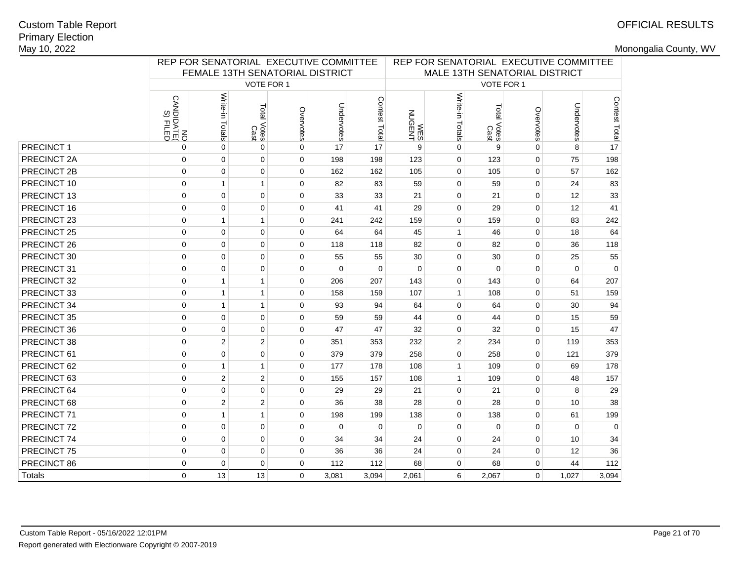# OFFICIAL RESULTS

|               |                                           | REP FOR SENATORIAL EXECUTIVE COMMITTEE<br>FEMALE 13TH SENATORIAL DISTRICT |                        |             |            |               |                               | REP FOR SENATORIAL EXECUTIVE COMMITTEE |                          |              |             |                     |  |
|---------------|-------------------------------------------|---------------------------------------------------------------------------|------------------------|-------------|------------|---------------|-------------------------------|----------------------------------------|--------------------------|--------------|-------------|---------------------|--|
|               |                                           |                                                                           |                        |             |            |               | MALE 13TH SENATORIAL DISTRICT |                                        |                          |              |             |                     |  |
|               |                                           |                                                                           | VOTE FOR 1             |             |            |               |                               |                                        | VOTE FOR 1               |              |             |                     |  |
|               | <b>CANDIDATE</b><br>CANDIDATE<br>S) FILED | Write-in<br>Totals                                                        | Total<br>Votes<br>Cast | Overvotes   | Undervotes | Contest Total | WES<br>NUGENT                 | Write-in Totals                        | Total<br>l Votes<br>Cast | Overvotes    | Undervotes  | Contest Total<br>Le |  |
| PRECINCT 1    | 0                                         | $\mathbf 0$                                                               | $\mathbf 0$            | 0           | 17         | 17            | 9                             | $\mathbf 0$                            | 9                        | $\mathbf{0}$ | 8           |                     |  |
| PRECINCT 2A   | $\mathbf 0$                               | $\mathbf 0$                                                               | $\mathbf 0$            | 0           | 198        | 198           | 123                           | $\mathbf 0$                            | 123                      | $\mathbf 0$  | 75          | 198                 |  |
| PRECINCT 2B   | $\mathbf 0$                               | $\mathbf 0$                                                               | $\pmb{0}$              | $\mathbf 0$ | 162        | 162           | 105                           | $\mathbf 0$                            | 105                      | $\mathbf 0$  | 57          | 162                 |  |
| PRECINCT 10   | $\mathbf 0$                               | $\mathbf{1}$                                                              | $\mathbf{1}$           | $\mathbf 0$ | 82         | 83            | 59                            | $\mathbf 0$                            | 59                       | $\mathbf 0$  | 24          | 83                  |  |
| PRECINCT 13   | $\mathbf 0$                               | $\mathbf 0$                                                               | 0                      | 0           | 33         | 33            | 21                            | $\mathbf 0$                            | 21                       | $\mathbf 0$  | 12          | 33                  |  |
| PRECINCT 16   | $\mathbf 0$                               | $\mathbf 0$                                                               | $\mathbf 0$            | $\mathbf 0$ | 41         | 41            | 29                            | $\mathbf 0$                            | 29                       | $\mathbf 0$  | 12          | 41                  |  |
| PRECINCT 23   | $\mathbf 0$                               | $\mathbf{1}$                                                              | $\mathbf{1}$           | $\mathbf 0$ | 241        | 242           | 159                           | $\mathbf 0$                            | 159                      | $\mathbf 0$  | 83          | 242                 |  |
| PRECINCT 25   | $\mathbf 0$                               | $\mathbf 0$                                                               | 0                      | 0           | 64         | 64            | 45                            | $\mathbf{1}$                           | 46                       | $\mathbf 0$  | 18          | 64                  |  |
| PRECINCT 26   | $\mathbf 0$                               | $\pmb{0}$                                                                 | $\pmb{0}$              | 0           | 118        | 118           | 82                            | $\mathbf 0$                            | 82                       | 0            | 36          | 118                 |  |
| PRECINCT 30   | $\mathbf 0$                               | $\mathbf 0$                                                               | $\mathbf 0$            | $\mathbf 0$ | 55         | 55            | 30                            | $\mathbf 0$                            | 30                       | $\mathbf 0$  | 25          | 55                  |  |
| PRECINCT 31   | $\mathbf 0$                               | $\pmb{0}$                                                                 | 0                      | $\mathbf 0$ | $\Omega$   | $\mathbf 0$   | $\mathbf 0$                   | $\mathbf 0$                            | 0                        | $\mathbf 0$  | $\mathbf 0$ | $\mathbf 0$         |  |
| PRECINCT 32   | $\mathbf 0$                               | $\mathbf{1}$                                                              | $\mathbf{1}$           | $\mathbf 0$ | 206        | 207           | 143                           | $\mathbf 0$                            | 143                      | $\mathbf 0$  | 64          | 207                 |  |
| PRECINCT 33   | $\mathbf 0$                               | $\mathbf{1}$                                                              | $\mathbf{1}$           | $\mathbf 0$ | 158        | 159           | 107                           | $\mathbf{1}$                           | 108                      | $\Omega$     | 51          | 159                 |  |
| PRECINCT 34   | $\mathbf 0$                               | $\mathbf{1}$                                                              | $\mathbf{1}$           | $\Omega$    | 93         | 94            | 64                            | $\mathbf 0$                            | 64                       | $\mathbf 0$  | 30          | 94                  |  |
| PRECINCT 35   | $\mathbf 0$                               | $\mathbf 0$                                                               | $\mathbf 0$            | 0           | 59         | 59            | 44                            | $\mathbf 0$                            | 44                       | $\mathbf 0$  | 15          | 59                  |  |
| PRECINCT 36   | $\mathbf 0$                               | $\overline{0}$                                                            | 0                      | 0           | 47         | 47            | 32                            | $\mathbf 0$                            | 32                       | $\mathbf 0$  | 15          | 47                  |  |
| PRECINCT 38   | $\mathbf 0$                               | $\overline{2}$                                                            | $\overline{2}$         | $\mathbf 0$ | 351        | 353           | 232                           | 2                                      | 234                      | 0            | 119         | 353                 |  |
| PRECINCT 61   | $\mathsf 0$                               | $\pmb{0}$                                                                 | $\pmb{0}$              | $\mathbf 0$ | 379        | 379           | 258                           | $\mathbf 0$                            | 258                      | $\mathbf 0$  | 121         | 379                 |  |
| PRECINCT 62   | $\mathbf 0$                               | $\mathbf{1}$                                                              | $\mathbf{1}$           | $\mathbf 0$ | 177        | 178           | 108                           | $\mathbf{1}$                           | 109                      | $\mathbf 0$  | 69          | 178                 |  |
| PRECINCT 63   | $\mathbf 0$                               | 2                                                                         | $\overline{2}$         | $\mathbf 0$ | 155        | 157           | 108                           | $\mathbf{1}$                           | 109                      | $\mathbf 0$  | 48          | 157                 |  |
| PRECINCT 64   | $\mathbf 0$                               | $\mathbf 0$                                                               | $\mathbf 0$            | $\mathbf 0$ | 29         | 29            | 21                            | $\mathbf 0$                            | 21                       | $\mathbf 0$  | 8           | 29                  |  |
| PRECINCT 68   | $\mathbf 0$                               | $\overline{2}$                                                            | $\overline{2}$         | 0           | 36         | 38            | 28                            | $\mathbf 0$                            | 28                       | $\mathbf 0$  | 10          | 38                  |  |
| PRECINCT 71   | $\mathbf 0$                               | $\mathbf{1}$                                                              | $\mathbf{1}$           | $\mathbf 0$ | 198        | 199           | 138                           | $\mathbf 0$                            | 138                      | $\mathbf 0$  | 61          | 199                 |  |
| PRECINCT 72   | $\mathbf 0$                               | $\mathbf 0$                                                               | 0                      | $\mathbf 0$ | $\Omega$   | $\Omega$      | $\Omega$                      | $\mathbf 0$                            | $\mathbf 0$              | $\mathbf 0$  | $\Omega$    | $\Omega$            |  |
| PRECINCT 74   | $\mathbf 0$                               | $\mathbf 0$                                                               | $\pmb{0}$              | $\mathbf 0$ | 34         | 34            | 24                            | $\mathbf 0$                            | 24                       | $\mathbf 0$  | 10          | 34                  |  |
| PRECINCT 75   | $\mathbf 0$                               | $\mathbf 0$                                                               | 0                      | $\mathbf 0$ | 36         | 36            | 24                            | $\mathbf 0$                            | 24                       | $\mathbf 0$  | 12          | 36                  |  |
| PRECINCT 86   | $\mathbf 0$                               | $\mathbf 0$                                                               | $\mathbf 0$            | 0           | 112        | 112           | 68                            | $\mathbf 0$                            | 68                       | $\Omega$     | 44          | 112                 |  |
| <b>Totals</b> | 0                                         | 13                                                                        | 13                     | $\Omega$    | 3,081      | 3,094         | 2,061                         | 6                                      | 2,067                    | 0            | 1,027       | 3,094               |  |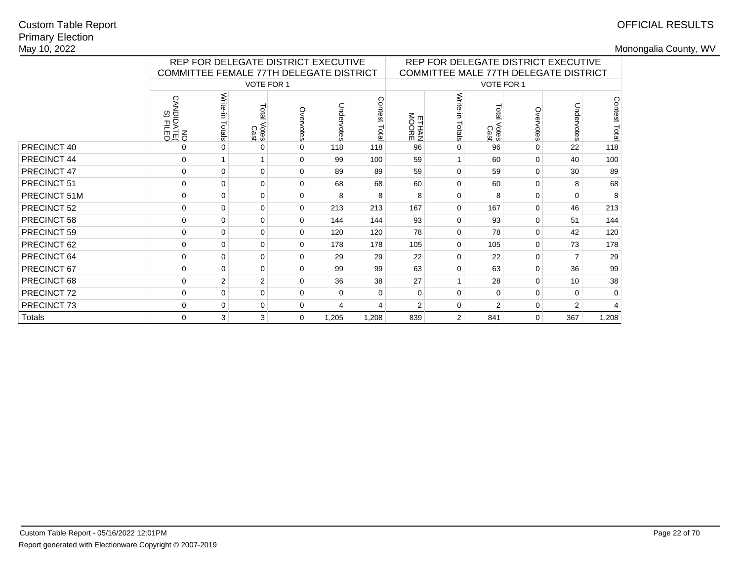# OFFICIAL RESULTS

|              |                                           | REP FOR DELEGATE DISTRICT EXECUTIVE<br>COMMITTEE FEMALE 77TH DELEGATE DISTRICT |                        |               |             |                 | REP FOR DELEGATE DISTRICT EXECUTIVE<br>COMMITTEE MALE 77TH DELEGATE DISTRICT |                  |                             |             |                |                |
|--------------|-------------------------------------------|--------------------------------------------------------------------------------|------------------------|---------------|-------------|-----------------|------------------------------------------------------------------------------|------------------|-----------------------------|-------------|----------------|----------------|
|              |                                           |                                                                                | <b>VOTE FOR 1</b>      |               |             |                 |                                                                              |                  | VOTE FOR 1                  |             |                |                |
|              | <b>CANDIDATE</b><br>CANDIDATE<br>S) FILED | Write-in<br>Totals                                                             | Total<br>Votes<br>Cast | Ove<br>rvotes | Undervotes  | Contest<br>Tota | <b>ETHAN</b><br>MOORE                                                        | Write-<br>Totals | <b>Dia</b><br>Votes<br>Cast | Overvotes   | Unde<br>rvotes | Contest Total  |
| PRECINCT 40  | 0                                         |                                                                                | $\Omega$               | 0             | 118         | 118             | 96                                                                           | $\Omega$         | 96                          | $\Omega$    | 22             | 118            |
| PRECINCT 44  | $\Omega$                                  |                                                                                | $\mathbf{1}$           | $\Omega$      | 99          | 100             | 59                                                                           |                  | 60                          | $\Omega$    | 40             | 100            |
| PRECINCT 47  | $\mathbf 0$                               | 0                                                                              | $\mathbf 0$            | $\Omega$      | 89          | 89              | 59                                                                           | $\Omega$         | 59                          | $\mathbf 0$ | 30             | 89             |
| PRECINCT 51  | $\mathbf 0$                               | $\mathbf{0}$                                                                   | $\mathbf 0$            | $\Omega$      | 68          | 68              | 60                                                                           | $\Omega$         | 60                          | $\Omega$    | 8              | 68             |
| PRECINCT 51M | $\mathbf 0$                               | $\Omega$                                                                       | $\mathbf 0$            | $\Omega$      | 8           | 8               | 8                                                                            | $\Omega$         | 8                           | $\Omega$    | 0              | 8              |
| PRECINCT 52  | $\mathbf 0$                               | $\Omega$                                                                       | $\Omega$               | $\Omega$      | 213         | 213             | 167                                                                          | $\Omega$         | 167                         | $\Omega$    | 46             | 213            |
| PRECINCT 58  | $\mathbf 0$                               | $\Omega$                                                                       | $\mathbf 0$            | $\Omega$      | 144         | 144             | 93                                                                           | $\Omega$         | 93                          | $\Omega$    | 51             | 144            |
| PRECINCT 59  | $\mathbf 0$                               | $\Omega$                                                                       | $\mathbf 0$            | $\Omega$      | 120         | 120             | 78                                                                           | $\Omega$         | 78                          | $\Omega$    | 42             | 120            |
| PRECINCT 62  | $\mathbf 0$                               | $\Omega$                                                                       | $\mathbf 0$            | $\Omega$      | 178         | 178             | 105                                                                          | $\Omega$         | 105                         | $\Omega$    | 73             | 178            |
| PRECINCT 64  | $\mathbf 0$                               | $\Omega$                                                                       | $\mathbf 0$            | $\Omega$      | 29          | 29              | 22                                                                           | $\Omega$         | 22                          | $\Omega$    |                | 29             |
| PRECINCT 67  | $\mathbf 0$                               | 0                                                                              | $\mathbf 0$            | $\Omega$      | 99          | 99              | 63                                                                           | $\Omega$         | 63                          | $\Omega$    | 36             | 99             |
| PRECINCT 68  | $\mathbf 0$                               | $\overline{2}$                                                                 | 2                      | $\Omega$      | 36          | 38              | 27                                                                           |                  | 28                          | $\Omega$    | 10             | 38             |
| PRECINCT 72  | $\mathbf 0$                               | 0                                                                              | $\mathbf 0$            | $\mathbf 0$   | $\mathbf 0$ | $\Omega$        | $\mathbf 0$                                                                  | $\mathbf 0$      | $\mathbf 0$                 | $\mathbf 0$ | $\Omega$       | $\mathsf{O}$   |
| PRECINCT 73  | $\mathbf 0$                               | 0                                                                              | $\mathbf 0$            | $\mathbf 0$   | 4           | 4               | $\overline{2}$                                                               | $\mathbf{0}$     | $\overline{2}$              | $\mathbf 0$ | $\overline{2}$ | $\overline{4}$ |
| Totals       | $\mathbf 0$                               | 3                                                                              | 3                      | $\Omega$      | 1,205       | 1,208           | 839                                                                          | $\overline{2}$   | 841                         | $\mathbf 0$ | 367            | 1,208          |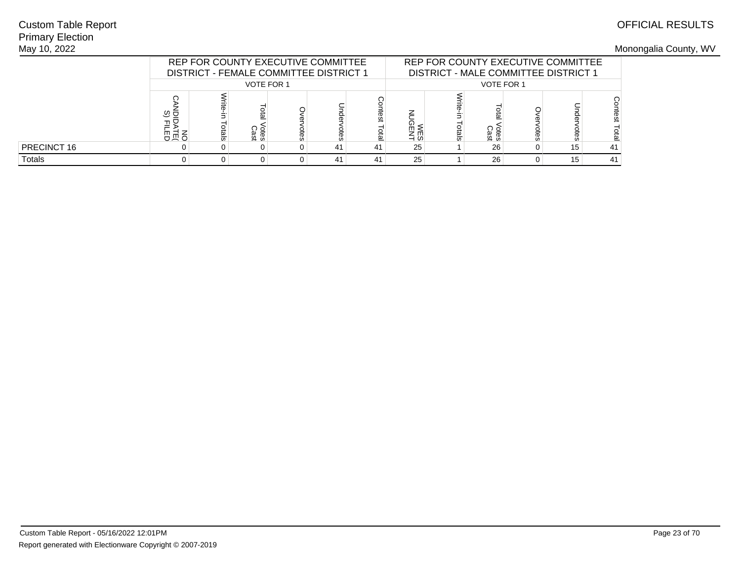## Primary ElectionMay 10, 2022Custom Table Report

|               |                  | REP FOR COUNTY EXECUTIVE COMMITTEE<br><b>DISTRICT - FEMALE COMMITTEE DISTRICT 1</b> |                   |   |    |      |                   | REP FOR COUNTY EXECUTIVE COMMITTEE<br>DISTRICT - MALE COMMITTEE DISTRICT 1 |              |          |    |    |  |
|---------------|------------------|-------------------------------------------------------------------------------------|-------------------|---|----|------|-------------------|----------------------------------------------------------------------------|--------------|----------|----|----|--|
|               |                  |                                                                                     | <b>VOTE FOR 1</b> |   |    |      | <b>VOTE FOR 1</b> |                                                                            |              |          |    |    |  |
|               | ত ভ<br>고도<br>유교육 |                                                                                     | otes<br>Cast      | œ |    | eral | ᠺ<br><b>NES</b>   | otals                                                                      | ótes<br>Cast | ទី<br>និ |    |    |  |
| PRECINCT 16   |                  | 41<br>41                                                                            |                   |   |    |      | 25                |                                                                            | 26           |          | 15 | 41 |  |
| <b>Totals</b> |                  |                                                                                     |                   |   | 41 | 41   | 25                |                                                                            | 26           |          | 15 | 41 |  |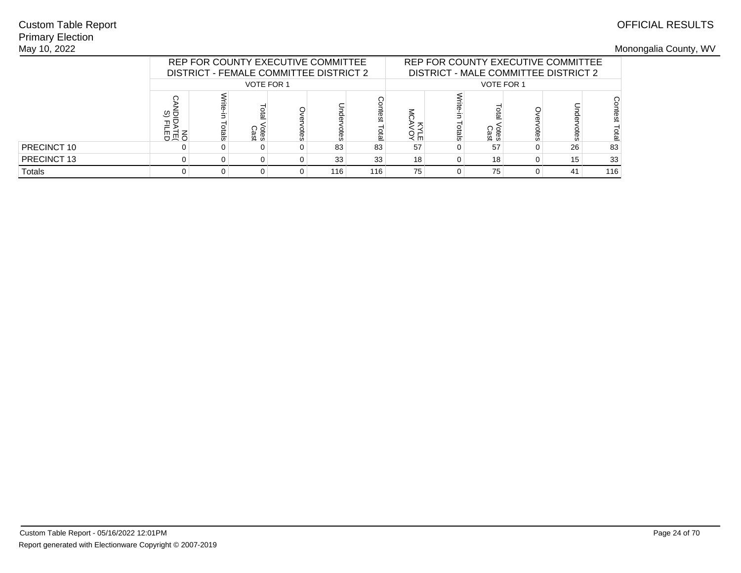## Primary ElectionMay 10, 2022Custom Table Report

|             |                      |                                     |                   | REP FOR COUNTY EXECUTIVE COMMITTEE<br>DISTRICT - FEMALE COMMITTEE DISTRICT 2 |     |     |    |       |                     |      | REP FOR COUNTY EXECUTIVE COMMITTEE<br>DISTRICT - MALE COMMITTEE DISTRICT 2 |     |
|-------------|----------------------|-------------------------------------|-------------------|------------------------------------------------------------------------------|-----|-----|----|-------|---------------------|------|----------------------------------------------------------------------------|-----|
|             |                      |                                     | <b>VOTE FOR 1</b> |                                                                              |     |     |    |       | <b>VOTE FOR 1</b>   |      |                                                                            |     |
|             | ত ভ<br>글<br>ъ<br>高员百 | ntest<br>Otes<br>Cast<br>otal<br>ទី |                   |                                                                              |     |     |    | otals | <b>Otes</b><br>Cast | otes |                                                                            |     |
| PRECINCT 10 |                      |                                     |                   |                                                                              | 83  | 83  | 57 |       | 57                  | 0    | 26                                                                         | 83  |
| PRECINCT 13 |                      |                                     |                   |                                                                              | 33  | 33  | 18 |       | 18                  | 0    | 15                                                                         | 33  |
| Totals      |                      |                                     |                   |                                                                              | 116 | 116 | 75 | 0     | 75                  | 0    | 41                                                                         | 116 |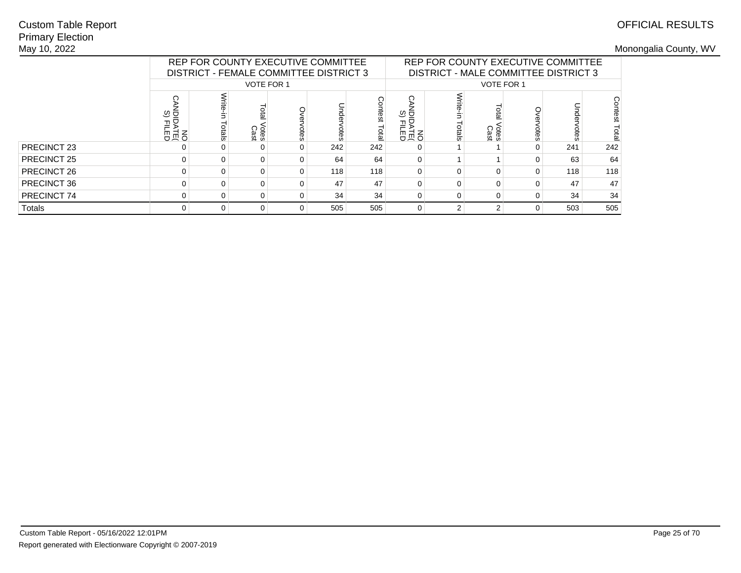## Primary ElectionMay 10, 2022Custom Table Report

|             |             |                                                                                                           |                   |   | REP FOR COUNTY EXECUTIVE COMMITTEE<br>DISTRICT - FEMALE COMMITTEE DISTRICT 3 |     |                   | REP FOR COUNTY EXECUTIVE COMMITTEE<br>DISTRICT - MALE COMMITTEE DISTRICT 3 |                     |      |     |                  |
|-------------|-------------|-----------------------------------------------------------------------------------------------------------|-------------------|---|------------------------------------------------------------------------------|-----|-------------------|----------------------------------------------------------------------------|---------------------|------|-----|------------------|
|             |             |                                                                                                           | <b>VOTE FOR 1</b> |   |                                                                              |     |                   |                                                                            | <b>VOTE FOR 1</b>   |      |     |                  |
|             | ত ⊡         | sontest<br>Unde<br>ial<br>B<br>PR<br>日<br>日<br>日 N<br>日 N<br>votes<br><b>Otes</b><br>Cast<br>otes<br>otal |                   |   |                                                                              |     | O<br><u>ର୍ଚ୍ଚ</u> | otals                                                                      | <b>Cres</b><br>Cast | otes | ă   | Contest<br>Total |
| PRECINCT 23 | 0           | 0                                                                                                         |                   |   | 242                                                                          | 242 | 0                 |                                                                            |                     |      | 241 | 242              |
| PRECINCT 25 | $\Omega$    |                                                                                                           |                   |   | 64                                                                           | 64  | 0                 |                                                                            |                     |      | 63  | 64               |
| PRECINCT 26 | $\Omega$    |                                                                                                           |                   |   | 118                                                                          | 118 | $\Omega$          | $\Omega$                                                                   |                     |      | 118 | 118              |
| PRECINCT 36 | $\Omega$    | 0                                                                                                         | 0                 | 0 | 47                                                                           | 47  | 0                 | $\Omega$                                                                   |                     |      | 47  | 47               |
| PRECINCT 74 | $\mathbf 0$ | 0                                                                                                         |                   |   | 34                                                                           | 34  | 0                 | $\mathbf 0$                                                                |                     |      | 34  | 34               |
| Totals      | 0           | 0                                                                                                         | 0                 |   | 505                                                                          | 505 | 0                 | $\overline{2}$                                                             | 2                   |      | 503 | 505              |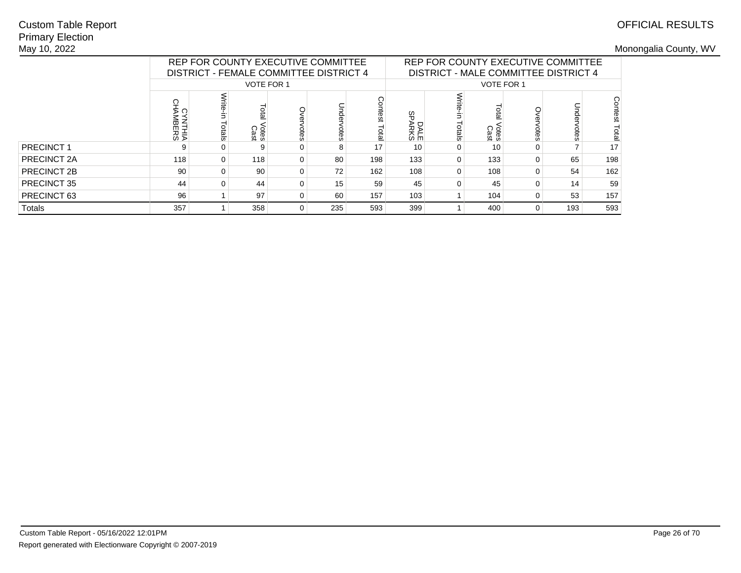## Primary ElectionMay 10, 2022Custom Table Report

|             |     |                                                                                                        | REP FOR COUNTY EXECUTIVE COMMITTEE<br>DISTRICT - FEMALE COMMITTEE DISTRICT 4 |          |     |     |                      | REP FOR COUNTY EXECUTIVE COMMITTEE<br>DISTRICT - MALE COMMITTEE DISTRICT 4 |                     |    |     |                  |
|-------------|-----|--------------------------------------------------------------------------------------------------------|------------------------------------------------------------------------------|----------|-----|-----|----------------------|----------------------------------------------------------------------------|---------------------|----|-----|------------------|
|             |     |                                                                                                        | <b>VOTE FOR 1</b>                                                            |          |     |     |                      |                                                                            | <b>VOTE FOR 1</b>   |    |     |                  |
|             | ⋗   | Contest<br>eta<br>휴<br><b>YNTHIA<br/>MBERS</b><br>Total<br><b>Otes</b><br>Cast<br>otals<br>otes<br>pes |                                                                              |          |     |     |                      | ⋚<br>otals                                                                 | <b>Cres</b><br>Cast | ac |     | Contest<br>Total |
| PRECINCT 1  | 9   |                                                                                                        | 9                                                                            | $\Omega$ | 8   | 17  | DALE<br>SPARKS<br>10 | 0                                                                          | 10                  |    |     | 17               |
| PRECINCT 2A | 118 | $\Omega$                                                                                               | 118                                                                          | $\Omega$ | 80  | 198 | 133                  | $\Omega$                                                                   | 133                 |    | 65  | 198              |
| PRECINCT 2B | 90  |                                                                                                        | 90                                                                           | $\Omega$ | 72  | 162 | 108                  | $\Omega$                                                                   | 108                 |    | 54  | 162              |
| PRECINCT 35 | 44  | 0                                                                                                      | 44                                                                           | $\Omega$ | 15  | 59  | 45                   | 0                                                                          | 45                  |    | 14  | 59               |
| PRECINCT 63 | 96  |                                                                                                        | 97                                                                           | $\Omega$ | 60  | 157 | 103                  |                                                                            | 104                 |    | 53  | 157              |
| Totals      | 357 |                                                                                                        | 358                                                                          | $\Omega$ | 235 | 593 | 399                  |                                                                            | 400                 | 0  | 193 | 593              |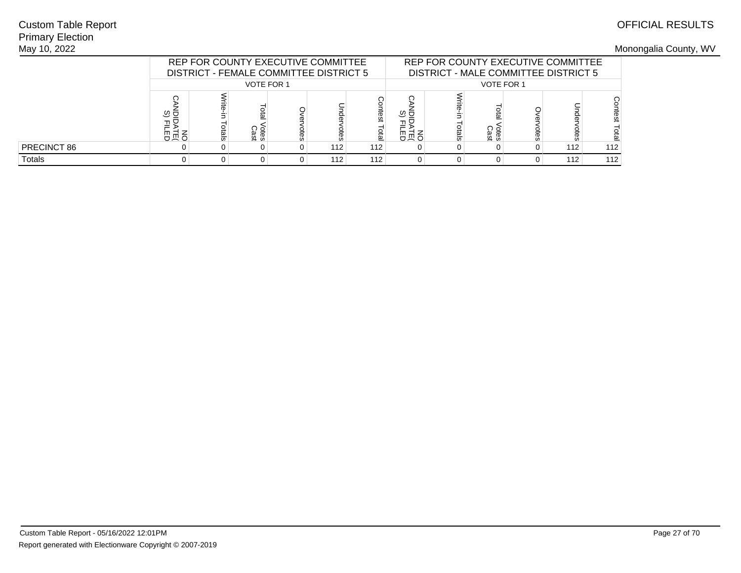## Primary ElectionMay 10, 2022Custom Table Report

|               |                  | REP FOR COUNTY EXECUTIVE COMMITTEE<br>DISTRICT - FEMALE COMMITTEE DISTRICT 5 |                   |   |     |              |            |       | REP FOR COUNTY EXECUTIVE COMMITTEE<br>DISTRICT - MALE COMMITTEE DISTRICT 5 |      |     |     |
|---------------|------------------|------------------------------------------------------------------------------|-------------------|---|-----|--------------|------------|-------|----------------------------------------------------------------------------|------|-----|-----|
|               |                  |                                                                              | <b>VOTE FOR 1</b> |   |     |              |            |       | <b>VOTE FOR 1</b>                                                          |      |     |     |
|               | ত ভ<br>고모<br>유교육 |                                                                              | otes<br>Cast      | œ |     | test<br>otal | ত ত<br>유교요 | otals | otes<br>Cast                                                               | otes |     | es  |
| PRECINCT 86   |                  |                                                                              |                   |   | 112 | 112          |            |       |                                                                            |      | 112 | 112 |
| <b>Totals</b> |                  |                                                                              |                   |   | 112 | 112          |            |       |                                                                            |      | 112 | 112 |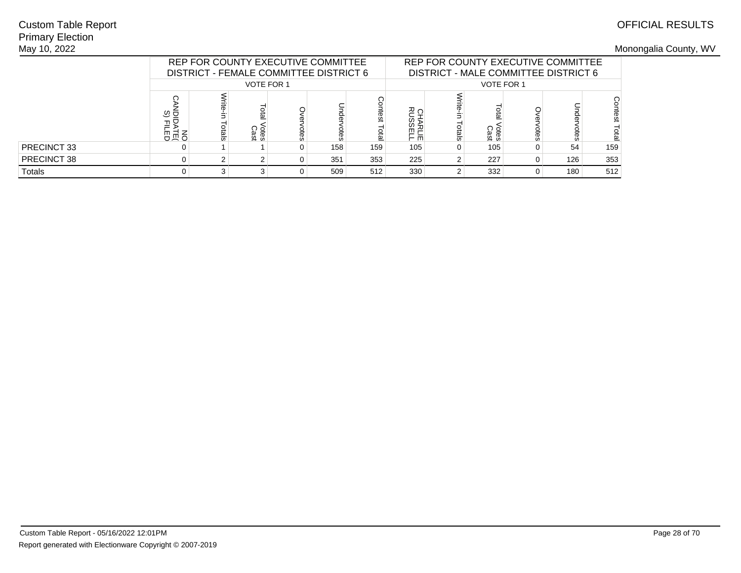## Primary ElectionMay 10, 2022Custom Table Report

|             |                  |                                     |                   | REP FOR COUNTY EXECUTIVE COMMITTEE<br>DISTRICT - FEMALE COMMITTEE DISTRICT 6 |     |     |     |       |                     |             | REP FOR COUNTY EXECUTIVE COMMITTEE<br>DISTRICT - MALE COMMITTEE DISTRICT 6 |      |
|-------------|------------------|-------------------------------------|-------------------|------------------------------------------------------------------------------|-----|-----|-----|-------|---------------------|-------------|----------------------------------------------------------------------------|------|
|             |                  |                                     | <b>VOTE FOR 1</b> |                                                                              |     |     |     |       | <b>VOTE FOR 1</b>   |             |                                                                            |      |
|             | ত ভ<br>⊒5<br>高员巴 | ntest<br>Otes<br>Cast<br>otal<br>ទី |                   |                                                                              |     |     |     | otals | <b>Otes</b><br>Cast | <b>Otes</b> |                                                                            | test |
| PRECINCT 33 |                  |                                     |                   |                                                                              | 158 | 159 | 105 | 0     | 105                 | 0           | 54                                                                         | 159  |
| PRECINCT 38 |                  |                                     |                   |                                                                              | 351 | 353 | 225 |       | 227                 | 0           | 126                                                                        | 353  |
| Totals      |                  |                                     |                   |                                                                              | 509 | 512 | 330 |       | 332                 | 0           | 180                                                                        | 512  |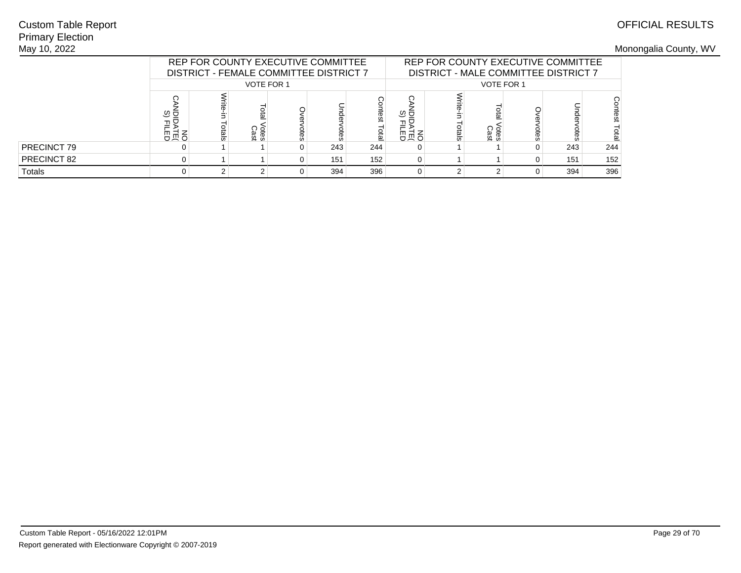## Primary ElectionMay 10, 2022Custom Table Report

|             |                  |                                            | REP FOR COUNTY EXECUTIVE COMMITTEE<br>DISTRICT - FEMALE COMMITTEE DISTRICT 7 |  |     |     |  |       |                     |      | REP FOR COUNTY EXECUTIVE COMMITTEE<br>DISTRICT - MALE COMMITTEE DISTRICT 7 |       |
|-------------|------------------|--------------------------------------------|------------------------------------------------------------------------------|--|-----|-----|--|-------|---------------------|------|----------------------------------------------------------------------------|-------|
|             |                  |                                            | <b>VOTE FOR 1</b>                                                            |  |     |     |  |       | <b>VOTE FOR 1</b>   |      |                                                                            |       |
|             | ত ত<br>⊒ء<br>高员巴 | ontest<br>era<br>otes<br>Cast<br>laio<br>ă |                                                                              |  |     |     |  | otals | <b>Otes</b><br>Cast | otes |                                                                            | itest |
| PRECINCT 79 |                  |                                            |                                                                              |  | 243 | 244 |  |       |                     | 0    | 243                                                                        | 244   |
| PRECINCT 82 | 0                |                                            |                                                                              |  | 151 | 152 |  |       |                     | 0    | 151                                                                        | 152   |
| Totals      |                  |                                            |                                                                              |  | 394 | 396 |  |       |                     | 0    | 394                                                                        | 396   |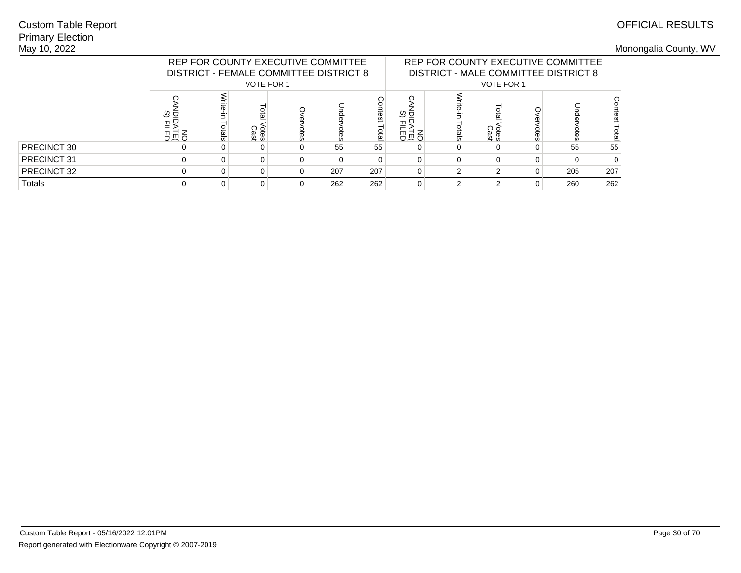## Primary ElectionMay 10, 2022Custom Table Report

|             |                  |                                                  | REP FOR COUNTY EXECUTIVE COMMITTEE<br>DISTRICT - FEMALE COMMITTEE DISTRICT 8 |  |     |     |     |       |                     |      | REP FOR COUNTY EXECUTIVE COMMITTEE<br>DISTRICT - MALE COMMITTEE DISTRICT 8 |     |
|-------------|------------------|--------------------------------------------------|------------------------------------------------------------------------------|--|-----|-----|-----|-------|---------------------|------|----------------------------------------------------------------------------|-----|
|             |                  |                                                  | <b>VOTE FOR 1</b>                                                            |  |     |     |     |       | <b>VOTE FOR 1</b>   |      |                                                                            |     |
|             | ত ত<br>75<br>高员巴 | ā<br>휴<br>otes<br>Cast<br>pials<br>ial<br>E<br>ă |                                                                              |  |     |     |     | otals | <b>Otes</b><br>Cast | otes |                                                                            |     |
| PRECINCT 30 |                  |                                                  |                                                                              |  | 55  | 55  | 高员巴 |       |                     | 0    | 55                                                                         | 55  |
| PRECINCT 31 |                  |                                                  |                                                                              |  |     |     |     |       |                     | 0    |                                                                            |     |
| PRECINCT 32 | 0                |                                                  |                                                                              |  | 207 | 207 | 0   |       |                     | 0    | 205                                                                        | 207 |
| Totals      |                  |                                                  |                                                                              |  | 262 | 262 |     | 2     |                     | 0    | 260                                                                        | 262 |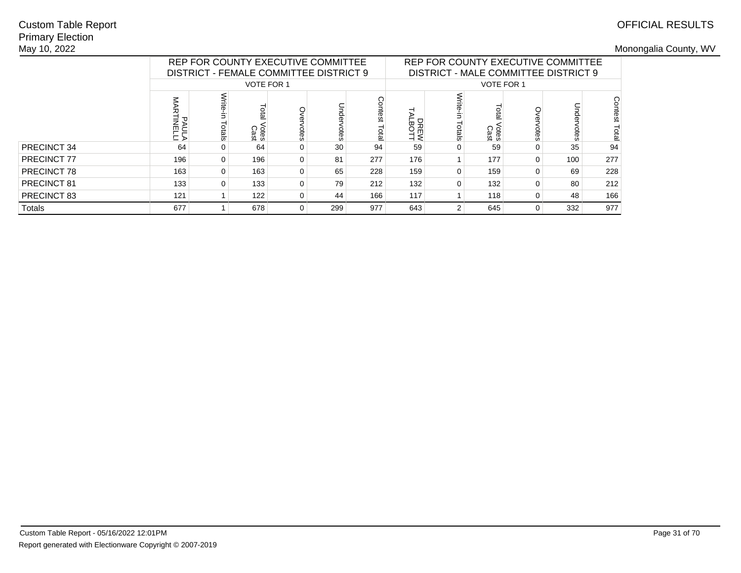## Primary ElectionMay 10, 2022Custom Table Report

|             |     |                                                                                         | REP FOR COUNTY EXECUTIVE COMMITTEE<br>DISTRICT - FEMALE COMMITTEE DISTRICT 9 |          |     |     |                     |                  |                     | REP FOR COUNTY EXECUTIVE COMMITTEE<br>DISTRICT - MALE COMMITTEE DISTRICT 9 |      |                  |
|-------------|-----|-----------------------------------------------------------------------------------------|------------------------------------------------------------------------------|----------|-----|-----|---------------------|------------------|---------------------|----------------------------------------------------------------------------|------|------------------|
|             |     |                                                                                         | <b>VOTE FOR 1</b>                                                            |          |     |     |                     |                  | <b>VOTE FOR 1</b>   |                                                                            |      |                  |
|             |     | Contest<br>Total<br>휴<br>PAULA<br>PAULA<br>Total<br>otals<br>Votes<br>Cast<br>otes<br>ă |                                                                              |          |     |     |                     | Write-<br>Totals | <b>Cres</b><br>Cast | otes                                                                       | otes | Contest<br>Total |
| PRECINCT 34 | 64  | 0                                                                                       | 64                                                                           | $\Omega$ | 30  | 94  | DREW<br>LBOTT<br>59 | 0                | 59                  | 0                                                                          | 35   | 94               |
| PRECINCT 77 | 196 |                                                                                         | 196                                                                          | $\Omega$ | 81  | 277 | 176                 |                  | 177                 | $\Omega$                                                                   | 100  | 277              |
| PRECINCT 78 | 163 |                                                                                         | 163                                                                          | $\Omega$ | 65  | 228 | 159                 | $\Omega$         | 159                 | $\Omega$                                                                   | 69   | 228              |
| PRECINCT 81 | 133 | 0                                                                                       | 133                                                                          | $\Omega$ | 79  | 212 | 132                 | $\Omega$         | 132                 | 0                                                                          | 80   | 212              |
| PRECINCT 83 | 121 |                                                                                         | 122                                                                          | $\Omega$ | 44  | 166 | 117                 |                  | 118                 |                                                                            | 48   | 166              |
| Totals      | 677 |                                                                                         | 678                                                                          | $\Omega$ | 299 | 977 | 643                 | $\overline{2}$   | 645                 | 0                                                                          | 332  | 977              |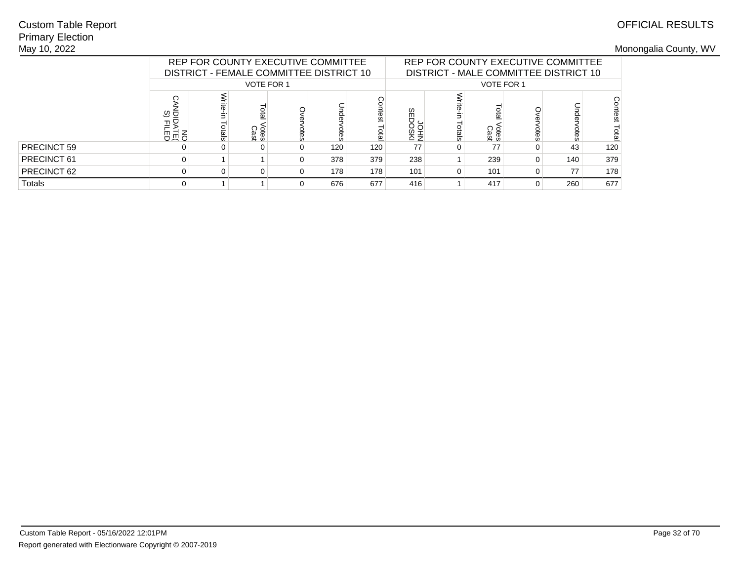## Primary ElectionMay 10, 2022Custom Table Report

|             |                  | REP FOR COUNTY EXECUTIVE COMMITTEE<br>DISTRICT - FEMALE COMMITTEE DISTRICT 10 |                   |  |     |     |                               |       |                     |      | REP FOR COUNTY EXECUTIVE COMMITTEE<br>DISTRICT - MALE COMMITTEE DISTRICT 10 |     |
|-------------|------------------|-------------------------------------------------------------------------------|-------------------|--|-----|-----|-------------------------------|-------|---------------------|------|-----------------------------------------------------------------------------|-----|
|             |                  |                                                                               | <b>VOTE FOR 1</b> |  |     |     |                               |       | <b>VOTE FOR 1</b>   |      |                                                                             |     |
|             | ত্ত<br>끌몽<br>공보법 | 휴<br>otes<br>Cast<br>ial<br>Bi<br>ă<br>ă                                      |                   |  |     |     |                               | otals | <b>Otes</b><br>Cast | otes |                                                                             |     |
| PRECINCT 59 |                  |                                                                               |                   |  | 120 | 120 | <b>DISOCIES</b><br>NHOM<br>77 |       | 77                  |      | 43                                                                          | 120 |
| PRECINCT 61 | 0                |                                                                               |                   |  | 378 | 379 | 238                           |       | 239                 | 0    | 140                                                                         | 379 |
| PRECINCT 62 | 0                |                                                                               |                   |  | 178 | 178 | 101                           | O     | 101                 | 0    | 77                                                                          | 178 |
| Totals      | 0                |                                                                               |                   |  | 676 | 677 | 416                           |       | 417                 | 0    | 260                                                                         | 677 |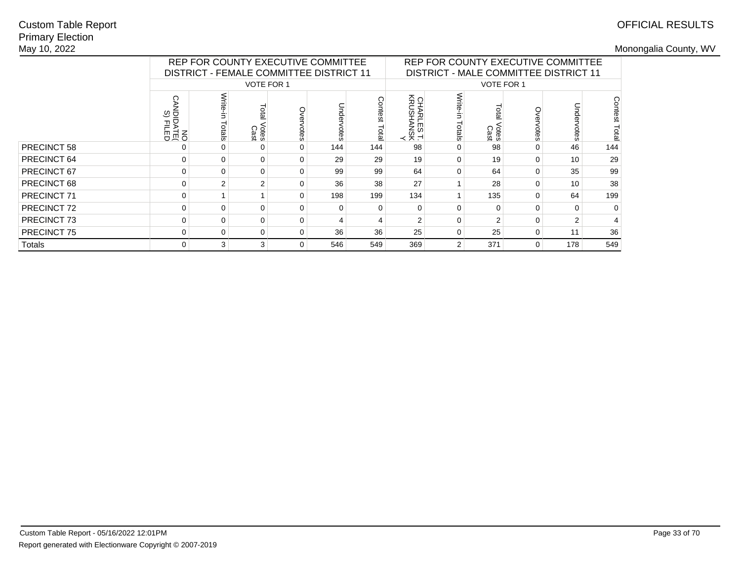## Primary ElectionMay 10, 2022Custom Table Report

|             |                                    | REP FOR COUNTY EXECUTIVE COMMITTEE             |                              |          |     |                |                         |                        |                     | REP FOR COUNTY EXECUTIVE COMMITTEE    |     |                  |
|-------------|------------------------------------|------------------------------------------------|------------------------------|----------|-----|----------------|-------------------------|------------------------|---------------------|---------------------------------------|-----|------------------|
|             |                                    | <b>DISTRICT - FEMALE COMMITTEE DISTRICT 11</b> |                              |          |     |                |                         |                        |                     | DISTRICT - MALE COMMITTEE DISTRICT 11 |     |                  |
|             |                                    |                                                | <b>VOTE FOR 1</b>            |          |     |                |                         |                        | <b>VOTE FOR 1</b>   |                                       |     |                  |
|             | റ<br>© ⊡<br>DEN<br>DEN<br>ON<br>ON | otals                                          | <b>Lota</b><br>Votes<br>Cast | votes    |     | ntest<br>Lotal | CHARLES T.<br>KRUSHANSK | Write-<br>È.<br>Totals | <b>Otes</b><br>Cast | <b>otes</b>                           |     | Contest<br>Total |
| PRECINCT 58 |                                    |                                                |                              |          | 144 | 144            | 98                      | 0                      | 98                  | $\Omega$                              | 46  | 144              |
| PRECINCT 64 | $\Omega$                           | $\Omega$                                       | 0                            | $\Omega$ | 29  | 29             | 19                      | $\Omega$               | 19                  | $\Omega$                              | 10  | 29               |
| PRECINCT 67 | 0                                  |                                                | 0                            | 0        | 99  | 99             | 64                      | $\Omega$               | 64                  | $\Omega$                              | 35  | 99               |
| PRECINCT 68 | $\Omega$                           |                                                | 2                            | $\Omega$ | 36  | 38             | 27                      |                        | 28                  | $\Omega$                              | 10  | 38               |
| PRECINCT 71 | $\Omega$                           |                                                |                              | $\Omega$ | 198 | 199            | 134                     |                        | 135                 | $\Omega$                              | 64  | 199              |
| PRECINCT 72 | $\Omega$                           |                                                | 0                            | $\Omega$ |     | $\Omega$       | 0                       | $\Omega$               | $\Omega$            | $\Omega$                              |     | $\Omega$         |
| PRECINCT 73 | 0                                  | ŋ                                              | 0                            | $\Omega$ |     | 4              | $\mathfrak{p}$          | $\Omega$               | $\mathcal{P}$       | $\Omega$                              |     | 4                |
| PRECINCT 75 | 0                                  | 36<br>36<br>$\Omega$<br>0<br>$\Omega$          |                              |          |     |                |                         | 0                      | 25                  | 0                                     | 11  | 36               |
| Totals      | 0                                  | 3                                              | 3                            | $\Omega$ | 546 | 549            | 369                     | $\overline{2}$         | 371                 | $\overline{0}$                        | 178 | 549              |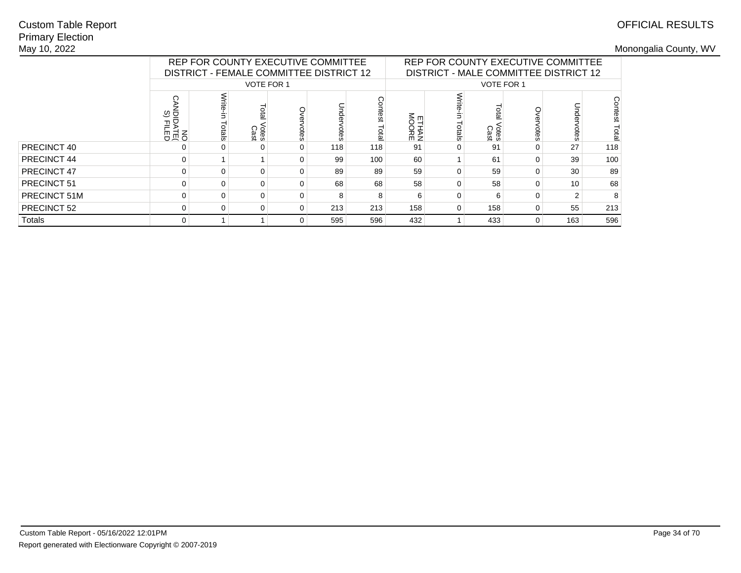## Primary ElectionMay 10, 2022Custom Table Report

|              |                              | REP FOR COUNTY EXECUTIVE COMMITTEE<br>DISTRICT - FEMALE COMMITTEE DISTRICT 12 |                             |               |                        |                |        |                     | REP FOR COUNTY EXECUTIVE COMMITTEE<br>DISTRICT - MALE COMMITTEE DISTRICT 12 |   |                 |     |
|--------------|------------------------------|-------------------------------------------------------------------------------|-----------------------------|---------------|------------------------|----------------|--------|---------------------|-----------------------------------------------------------------------------|---|-----------------|-----|
|              |                              |                                                                               | <b>VOTE FOR 1</b>           |               |                        |                |        |                     | VOTE FOR 1                                                                  |   |                 |     |
|              | ७ ರ<br>□PD<br>日<br>日<br>日 10 | ctals                                                                         | lota<br><b>Otes</b><br>Cast | Unde<br>votes | Contest<br><b>Tota</b> | ETHAN<br>MOORE | Totals | <b>Cres</b><br>Cast |                                                                             | ŏ | Contest<br>Tota |     |
| PRECINCT 40  | 0                            |                                                                               |                             |               | 118                    | 118            | 91     |                     | 91                                                                          |   | 27              | 118 |
| PRECINCT 44  | 0                            |                                                                               |                             |               | 99                     | 100            | 60     |                     | 61                                                                          |   | 39              | 100 |
| PRECINCT 47  | $\Omega$                     |                                                                               |                             |               | 89                     | 89             | 59     | $\Omega$            | 59                                                                          |   | 30              | 89  |
| PRECINCT 51  | $\Omega$                     |                                                                               |                             |               | 68                     | 68             | 58     | $\Omega$            | 58                                                                          |   | 10              | 68  |
| PRECINCT 51M | $\Omega$                     | U                                                                             | 0                           | 0             | 8                      | 8              | ี      | $\Omega$            | 6                                                                           |   | 2               | 8   |
| PRECINCT 52  | $\mathbf 0$                  | 0                                                                             | 0                           |               | 213                    | 213            | 158    | 0                   | 158                                                                         |   | 55              | 213 |
| Totals       | $\mathbf 0$                  |                                                                               |                             |               | 595                    | 596            | 432    |                     | 433                                                                         | 0 | 163             | 596 |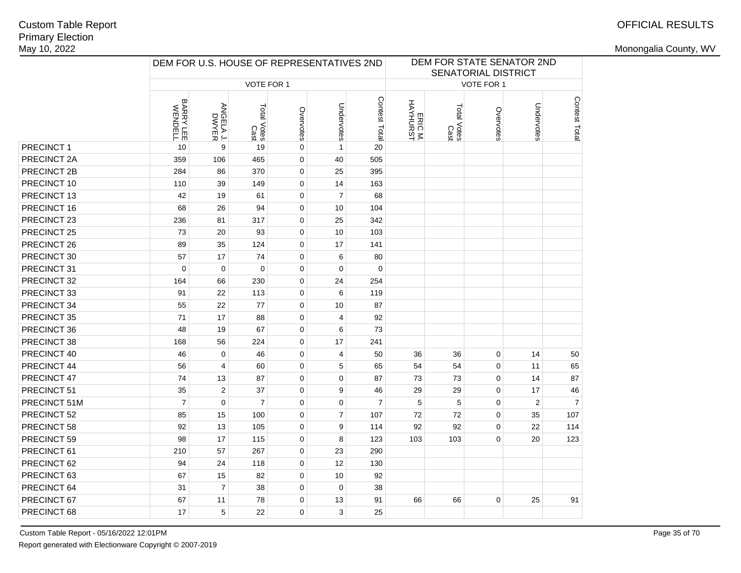## OFFICIAL RESULTS

|              | DEM FOR U.S. HOUSE OF REPRESENTATIVES 2ND |                    |                     |             |                  |                |                     |                     | SENATORIAL DISTRICT | DEM FOR STATE SENATOR 2ND |                |
|--------------|-------------------------------------------|--------------------|---------------------|-------------|------------------|----------------|---------------------|---------------------|---------------------|---------------------------|----------------|
|              |                                           |                    | VOTE FOR 1          |             |                  |                |                     |                     | VOTE FOR 1          |                           |                |
|              | BARRY LEE<br>WENDELL                      | ANGELA J.<br>DWYER | Total Votes<br>Cast | Overvotes   | Undervotes       | Contest Total  | ERIC M.<br>HAYHURST | Total Votes<br>Cast | Overvotes           | Undervotes                | Contest Total  |
| PRECINCT 1   | 10                                        | 9                  | 19                  | $\mathbf 0$ | $\mathbf{1}$     | 20             |                     |                     |                     |                           |                |
| PRECINCT 2A  | 359                                       | 106                | 465                 | $\mathsf 0$ | 40               | 505            |                     |                     |                     |                           |                |
| PRECINCT 2B  | 284                                       | 86                 | 370                 | $\mathbf 0$ | 25               | 395            |                     |                     |                     |                           |                |
| PRECINCT 10  | 110                                       | 39                 | 149                 | $\mathbf 0$ | 14               | 163            |                     |                     |                     |                           |                |
| PRECINCT 13  | 42                                        | 19                 | 61                  | $\pmb{0}$   | $\overline{7}$   | 68             |                     |                     |                     |                           |                |
| PRECINCT 16  | 68                                        | 26                 | 94                  | $\pmb{0}$   | 10               | 104            |                     |                     |                     |                           |                |
| PRECINCT 23  | 236                                       | 81                 | 317                 | $\mathbf 0$ | 25               | 342            |                     |                     |                     |                           |                |
| PRECINCT 25  | 73                                        | 20                 | 93                  | $\mathbf 0$ | 10               | 103            |                     |                     |                     |                           |                |
| PRECINCT 26  | 89                                        | 35                 | 124                 | $\mathbf 0$ | 17               | 141            |                     |                     |                     |                           |                |
| PRECINCT 30  | 57                                        | 17                 | 74                  | $\mathbf 0$ | 6                | 80             |                     |                     |                     |                           |                |
| PRECINCT 31  | $\Omega$                                  | $\mathbf 0$        | 0                   | $\mathbf 0$ | $\mathbf 0$      | $\mathbf 0$    |                     |                     |                     |                           |                |
| PRECINCT 32  | 164                                       | 66                 | 230                 | $\mathbf 0$ | 24               | 254            |                     |                     |                     |                           |                |
| PRECINCT 33  | 91                                        | 22                 | 113                 | $\mathbf 0$ | 6                | 119            |                     |                     |                     |                           |                |
| PRECINCT 34  | 55                                        | 22                 | 77                  | $\mathbf 0$ | 10               | 87             |                     |                     |                     |                           |                |
| PRECINCT 35  | 71                                        | 17                 | 88                  | $\mathbf 0$ | 4                | 92             |                     |                     |                     |                           |                |
| PRECINCT 36  | 48                                        | 19                 | 67                  | $\mathbf 0$ | 6                | 73             |                     |                     |                     |                           |                |
| PRECINCT 38  | 168                                       | 56                 | 224                 | $\mathbf 0$ | 17               | 241            |                     |                     |                     |                           |                |
| PRECINCT 40  | 46                                        | 0                  | 46                  | $\mathbf 0$ | 4                | 50             | 36                  | 36                  | 0                   | 14                        | 50             |
| PRECINCT 44  | 56                                        | $\overline{4}$     | 60                  | $\mathbf 0$ | 5                | 65             | 54                  | 54                  | $\mathbf 0$         | 11                        | 65             |
| PRECINCT 47  | 74                                        | 13                 | 87                  | $\mathbf 0$ | $\mathbf 0$      | 87             | 73                  | 73                  | $\mathbf 0$         | 14                        | 87             |
| PRECINCT 51  | 35                                        | $\mathbf{2}$       | 37                  | $\mathbf 0$ | 9                | 46             | 29                  | 29                  | $\mathbf 0$         | 17                        | 46             |
| PRECINCT 51M | $\overline{7}$                            | $\mathbf 0$        | $\overline{7}$      | $\mathbf 0$ | $\mathbf 0$      | $\overline{7}$ | 5                   | 5                   | $\mathbf 0$         | $\overline{2}$            | $\overline{7}$ |
| PRECINCT 52  | 85                                        | 15                 | 100                 | $\mathbf 0$ | $\boldsymbol{7}$ | 107            | 72                  | 72                  | $\mathbf 0$         | 35                        | 107            |
| PRECINCT 58  | 92                                        | 13                 | 105                 | $\mathbf 0$ | 9                | 114            | 92                  | 92                  | $\pmb{0}$           | 22                        | 114            |
| PRECINCT 59  | 98                                        | 17                 | 115                 | $\mathbf 0$ | 8                | 123            | 103                 | 103                 | $\mathbf 0$         | 20                        | 123            |
| PRECINCT 61  | 210                                       | 57                 | 267                 | $\mathbf 0$ | 23               | 290            |                     |                     |                     |                           |                |
| PRECINCT 62  | 94                                        | 24                 | 118                 | $\mathbf 0$ | 12               | 130            |                     |                     |                     |                           |                |
| PRECINCT 63  | 67                                        | 15                 | 82                  | $\mathbf 0$ | 10               | 92             |                     |                     |                     |                           |                |
| PRECINCT 64  | 31                                        | $\overline{7}$     | 38                  | $\mathbf 0$ | $\mathbf 0$      | 38             |                     |                     |                     |                           |                |
| PRECINCT 67  | 67                                        | 11                 | 78                  | $\mathbf 0$ | 13               | 91             | 66                  | 66                  | $\pmb{0}$           | 25                        | 91             |
| PRECINCT 68  | 17                                        | 5                  | 22                  | $\Omega$    | 3                | 25             |                     |                     |                     |                           |                |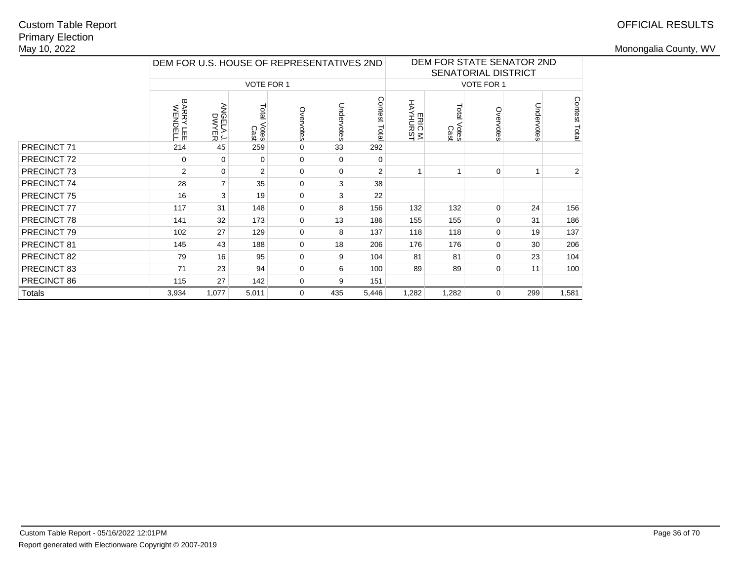# Primary ElectionMay 10, 2022Custom Table Report

|               |                      | DEM FOR U.S. HOUSE OF REPRESENTATIVES 2ND |                     |             |            |                 | DEM FOR STATE SENATOR 2ND<br><b>SENATORIAL DISTRICT</b> |                     |                   |            |               |
|---------------|----------------------|-------------------------------------------|---------------------|-------------|------------|-----------------|---------------------------------------------------------|---------------------|-------------------|------------|---------------|
|               |                      |                                           | VOTE FOR 1          |             |            |                 |                                                         |                     | <b>VOTE FOR 1</b> |            |               |
|               | BARRY LEE<br>WENDELL | ANGELA J.<br>DWYER                        | Total Votes<br>Cast | Overvotes   | Undervotes | Contest<br>Tota | ERIC M.<br>HAYHURST                                     | Total Votes<br>Cast | Overvotes         | Undervotes | Contest Total |
| PRECINCT 71   | 214                  | 45                                        | 259                 | 0           | 33         | 292             |                                                         |                     |                   |            |               |
| PRECINCT 72   | $\Omega$             | $\Omega$                                  | 0                   | 0           | $\Omega$   | $\Omega$        |                                                         |                     |                   |            |               |
| PRECINCT 73   | 2                    | $\Omega$                                  | 2                   | 0           | $\Omega$   | $\overline{2}$  |                                                         |                     | $\Omega$          | 1          | 2             |
| PRECINCT 74   | 28                   | $\overline{7}$                            | 35                  | $\mathbf 0$ | 3          | 38              |                                                         |                     |                   |            |               |
| PRECINCT 75   | 16                   | 3                                         | 19                  | $\mathbf 0$ | 3          | 22              |                                                         |                     |                   |            |               |
| PRECINCT 77   | 117                  | 31                                        | 148                 | 0           | 8          | 156             | 132                                                     | 132                 | $\Omega$          | 24         | 156           |
| PRECINCT 78   | 141                  | 32                                        | 173                 | $\Omega$    | 13         | 186             | 155                                                     | 155                 | $\Omega$          | 31         | 186           |
| PRECINCT 79   | 102                  | 27                                        | 129                 | $\mathbf 0$ | 8          | 137             | 118                                                     | 118                 | 0                 | 19         | 137           |
| PRECINCT 81   | 145                  | 43                                        | 188                 | $\mathbf 0$ | 18         | 206             | 176                                                     | 176                 | 0                 | 30         | 206           |
| PRECINCT 82   | 79                   | 16                                        | 95                  | 0           | 9          | 104             | 81                                                      | 81                  | $\Omega$          | 23         | 104           |
| PRECINCT 83   | 71                   | 23                                        | 94                  | 0           | 6          | 100             | 89                                                      | 89                  | 0                 | 11         | 100           |
| PRECINCT 86   | 115                  | 27                                        | 142                 | 0           | 9          | 151             |                                                         |                     |                   |            |               |
| <b>Totals</b> | 3,934                | 1,077                                     | 5,011               | $\mathbf 0$ | 435        | 5,446           | 1,282                                                   | 1,282               | 0                 | 299        | 1,581         |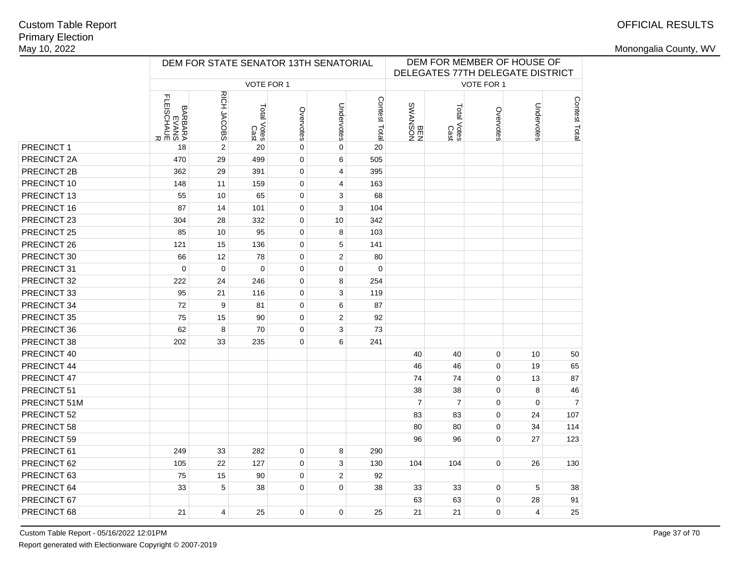|              |                                              | DEM FOR STATE SENATOR 13TH SENATORIAL |                     |             |                | DEM FOR MEMBER OF HOUSE OF<br>DELEGATES 77TH DELEGATE DISTRICT |                       |                     |             |                |                |
|--------------|----------------------------------------------|---------------------------------------|---------------------|-------------|----------------|----------------------------------------------------------------|-----------------------|---------------------|-------------|----------------|----------------|
|              |                                              |                                       | VOTE FOR 1          |             |                |                                                                |                       |                     | VOTE FOR 1  |                |                |
|              | BARBARA<br>EVANS<br>FLEISCHAUE<br>FLEISCHAUE | RICH JACOBS                           | Total Votes<br>Cast | Overvotes   | Undervotes     | Contest Total                                                  | NOSNVMS<br>NHS<br>REM | Total Votes<br>Cast | Overvotes   | Undervotes     | Contest Total  |
| PRECINCT 1   | 18                                           | $\overline{2}$                        | 20                  | 0           | $\mathbf 0$    | 20                                                             |                       |                     |             |                |                |
| PRECINCT 2A  | 470                                          | 29                                    | 499                 | 0           | 6              | 505                                                            |                       |                     |             |                |                |
| PRECINCT 2B  | 362                                          | 29                                    | 391                 | 0           | 4              | 395                                                            |                       |                     |             |                |                |
| PRECINCT 10  | 148                                          | 11                                    | 159                 | 0           | 4              | 163                                                            |                       |                     |             |                |                |
| PRECINCT 13  | 55                                           | 10                                    | 65                  | 0           | 3              | 68                                                             |                       |                     |             |                |                |
| PRECINCT 16  | 87                                           | 14                                    | 101                 | 0           | 3              | 104                                                            |                       |                     |             |                |                |
| PRECINCT 23  | 304                                          | 28                                    | 332                 | 0           | 10             | 342                                                            |                       |                     |             |                |                |
| PRECINCT 25  | 85                                           | 10                                    | 95                  | 0           | 8              | 103                                                            |                       |                     |             |                |                |
| PRECINCT 26  | 121                                          | 15                                    | 136                 | 0           | 5              | 141                                                            |                       |                     |             |                |                |
| PRECINCT 30  | 66                                           | 12                                    | 78                  | 0           | $\sqrt{2}$     | 80                                                             |                       |                     |             |                |                |
| PRECINCT 31  | $\mathbf 0$                                  | $\mathbf 0$                           | $\mathbf 0$         | 0           | $\mathbf 0$    | $\mathbf 0$                                                    |                       |                     |             |                |                |
| PRECINCT 32  | 222                                          | 24                                    | 246                 | 0           | 8              | 254                                                            |                       |                     |             |                |                |
| PRECINCT 33  | 95                                           | 21                                    | 116                 | $\mathbf 0$ | 3              | 119                                                            |                       |                     |             |                |                |
| PRECINCT 34  | 72                                           | 9                                     | 81                  | 0           | 6              | 87                                                             |                       |                     |             |                |                |
| PRECINCT 35  | 75                                           | 15                                    | 90                  | 0           | $\overline{2}$ | 92                                                             |                       |                     |             |                |                |
| PRECINCT 36  | 62                                           | 8                                     | 70                  | 0           | 3              | 73                                                             |                       |                     |             |                |                |
| PRECINCT 38  | 202                                          | 33                                    | 235                 | 0           | 6              | 241                                                            |                       |                     |             |                |                |
| PRECINCT 40  |                                              |                                       |                     |             |                |                                                                | 40                    | 40                  | 0           | 10             | 50             |
| PRECINCT 44  |                                              |                                       |                     |             |                |                                                                | 46                    | 46                  | $\mathbf 0$ | 19             | 65             |
| PRECINCT 47  |                                              |                                       |                     |             |                |                                                                | 74                    | 74                  | $\mathbf 0$ | 13             | 87             |
| PRECINCT 51  |                                              |                                       |                     |             |                |                                                                | 38                    | 38                  | $\mathbf 0$ | 8              | 46             |
| PRECINCT 51M |                                              |                                       |                     |             |                |                                                                | $\overline{7}$        | $\overline{7}$      | 0           | $\mathbf 0$    | $\overline{7}$ |
| PRECINCT 52  |                                              |                                       |                     |             |                |                                                                | 83                    | 83                  | $\mathbf 0$ | 24             | 107            |
| PRECINCT 58  |                                              |                                       |                     |             |                |                                                                | 80                    | 80                  | $\mathbf 0$ | 34             | 114            |
| PRECINCT 59  |                                              |                                       |                     |             |                |                                                                | 96                    | 96                  | $\Omega$    | 27             | 123            |
| PRECINCT 61  | 249                                          | 33                                    | 282                 | 0           | 8              | 290                                                            |                       |                     |             |                |                |
| PRECINCT 62  | 105                                          | 22                                    | 127                 | 0           | 3              | 130                                                            | 104                   | 104                 | $\pmb{0}$   | 26             | 130            |
| PRECINCT 63  | 75                                           | 15                                    | 90                  | 0           | $\overline{2}$ | 92                                                             |                       |                     |             |                |                |
| PRECINCT 64  | 33                                           | 5                                     | 38                  | 0           | $\mathbf 0$    | 38                                                             | 33                    | 33                  | $\mathbf 0$ | 5              | 38             |
| PRECINCT 67  |                                              |                                       |                     |             |                |                                                                | 63                    | 63                  | $\mathbf 0$ | 28             | 91             |
| PRECINCT 68  | 21                                           | $\overline{4}$                        | 25                  | 0           | $\mathbf 0$    | 25                                                             | 21                    | 21                  | $\Omega$    | $\overline{4}$ | 25             |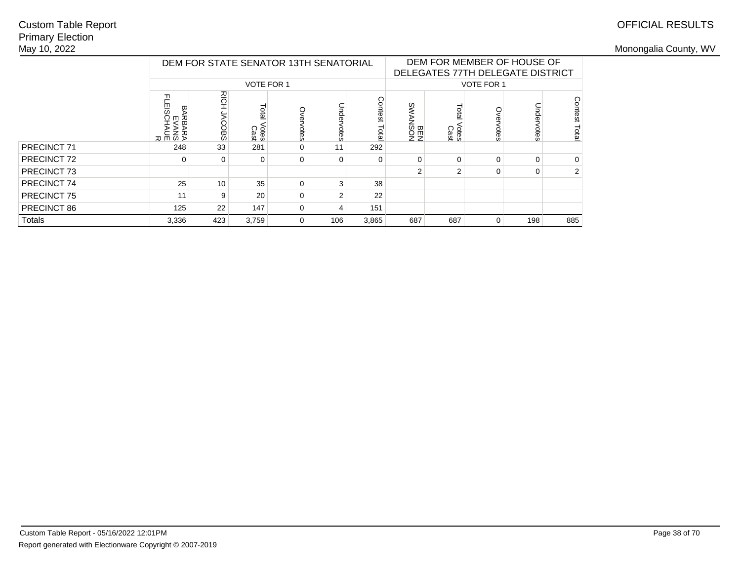## Primary ElectionMay 10, 2022Custom Table Report

|             |                                                                  |                |                        | DEM FOR STATE SENATOR 13TH SENATORIAL |                |                   |                |                        |             | DEM FOR MEMBER OF HOUSE OF<br>DELEGATES 77TH DELEGATE DISTRICT |                  |
|-------------|------------------------------------------------------------------|----------------|------------------------|---------------------------------------|----------------|-------------------|----------------|------------------------|-------------|----------------------------------------------------------------|------------------|
|             |                                                                  |                | <b>VOTE FOR 1</b>      |                                       |                | <b>VOTE FOR 1</b> |                |                        |             |                                                                |                  |
|             | ᆩ<br>Ë<br>EISCI<br>띵<br>观<br>ш<br>(ВАР<br>СХАМ<br>СХАМЕ<br>СХАМЕ | RICH<br>JACOBS | Total<br>Votes<br>Cast | Over<br>votes                         | Undervotes     | Contest<br>Tota   | NOSNVMS<br>N3B | Total<br>Votes<br>Cast | <b>Otes</b> | Undervotes                                                     | Contest<br>Total |
| PRECINCT 71 | 248                                                              | 33             | 281                    | 0                                     | 11             | 292               |                |                        |             |                                                                |                  |
| PRECINCT 72 | 0                                                                | 0              | 0                      | $\Omega$                              | 0              | $\Omega$          | $\Omega$       | 0                      | $\Omega$    | $\Omega$                                                       | $\Omega$         |
| PRECINCT 73 |                                                                  |                |                        |                                       |                |                   | 2              | 2                      | $\Omega$    | $\Omega$                                                       | 2                |
| PRECINCT 74 | 25                                                               | 10             | 35                     | $\Omega$                              | 3              | 38                |                |                        |             |                                                                |                  |
| PRECINCT 75 | 11                                                               | 9              | 20                     | $\Omega$                              | $\overline{2}$ | 22                |                |                        |             |                                                                |                  |
| PRECINCT 86 | 125                                                              | 22             | 147                    | $\Omega$                              | 4              | 151               |                |                        |             |                                                                |                  |
| Totals      | 3,336                                                            | 423            | 3,759                  | $\mathbf 0$                           | 106            | 3,865             | 687            | 687                    | $\Omega$    | 198                                                            | 885              |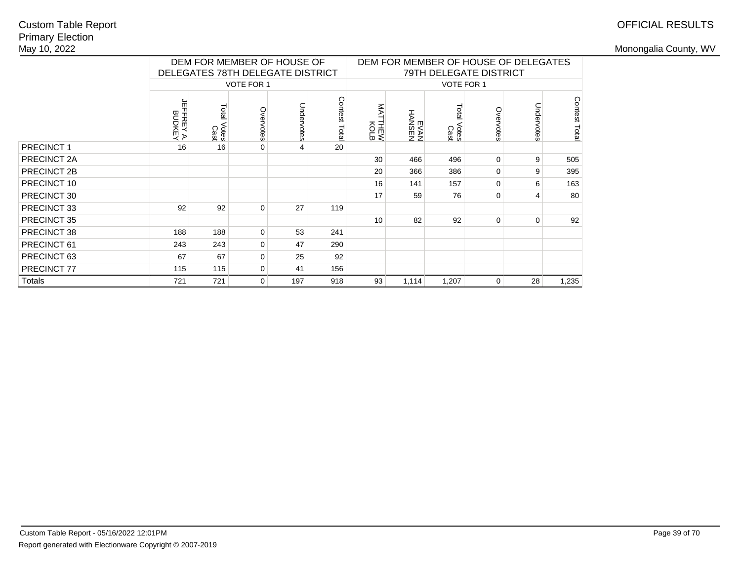# OFFICIAL RESULTS

|                    |                                  |                        |                   | DEM FOR MEMBER OF HOUSE OF<br>DELEGATES 78TH DELEGATE DISTRICT |               | DEM FOR MEMBER OF HOUSE OF DELEGATES<br>79TH DELEGATE DISTRICT |                  |                        |             |            |              |  |
|--------------------|----------------------------------|------------------------|-------------------|----------------------------------------------------------------|---------------|----------------------------------------------------------------|------------------|------------------------|-------------|------------|--------------|--|
|                    |                                  |                        | <b>VOTE FOR 1</b> |                                                                |               | VOTE FOR 1                                                     |                  |                        |             |            |              |  |
|                    | 뉴<br><b>BUDKEY<br/>:FFREY A.</b> | Total<br>Votes<br>Cast | Overvotes         | Undervotes                                                     | Contest Total | ŠΝ<br><b>THEW</b><br>KOLB                                      | HANSEN<br>HANSEN | Total<br>Votes<br>Cast | Overvotes   | Undervotes | Contest Tota |  |
| <b>PRECINCT1</b>   | 16                               | 16                     | 0                 | 4                                                              | 20            |                                                                |                  |                        |             |            |              |  |
| <b>PRECINCT 2A</b> |                                  |                        |                   |                                                                |               | 30                                                             | 466              | 496                    | $\Omega$    | 9          | 505          |  |
| PRECINCT 2B        |                                  |                        |                   |                                                                |               | 20                                                             | 366              | 386                    | $\Omega$    | 9          | 395          |  |
| PRECINCT 10        |                                  |                        |                   |                                                                |               | 16                                                             | 141              | 157                    | $\Omega$    | 6          | 163          |  |
| PRECINCT 30        |                                  |                        |                   |                                                                |               | 17                                                             | 59               | 76                     | 0           | 4          | 80           |  |
| PRECINCT 33        | 92                               | 92                     | 0                 | 27                                                             | 119           |                                                                |                  |                        |             |            |              |  |
| PRECINCT 35        |                                  |                        |                   |                                                                |               | 10                                                             | 82               | 92                     | $\Omega$    | $\Omega$   | 92           |  |
| PRECINCT 38        | 188                              | 188                    | 0                 | 53                                                             | 241           |                                                                |                  |                        |             |            |              |  |
| PRECINCT 61        | 243                              | 243                    | 0                 | 47                                                             | 290           |                                                                |                  |                        |             |            |              |  |
| PRECINCT 63        | 67                               | 67                     | 0                 | 25                                                             | 92            |                                                                |                  |                        |             |            |              |  |
| PRECINCT 77        | 115                              | 115                    | 0                 | 41                                                             | 156           |                                                                |                  |                        |             |            |              |  |
| Totals             | 721                              | 721                    | 0                 | 197                                                            | 918           | 93                                                             | 1,114            | 1,207                  | $\mathbf 0$ | 28         | 1,235        |  |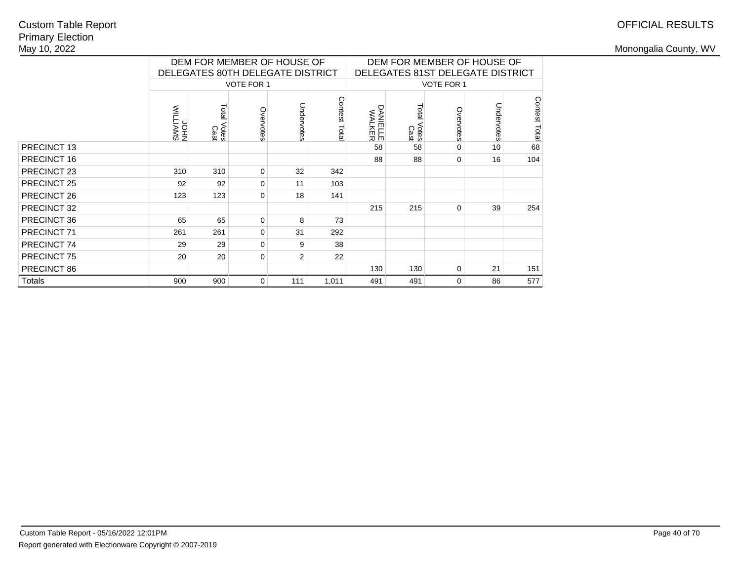## Primary ElectionMay 10, 2022Custom Table Report

|                    |                 |                        | DEM FOR MEMBER OF HOUSE OF<br>DELEGATES 80TH DELEGATE DISTRICT |            |                  | DEM FOR MEMBER OF HOUSE OF<br>DELEGATES 81ST DELEGATE DISTRICT |                        |             |            |               |  |
|--------------------|-----------------|------------------------|----------------------------------------------------------------|------------|------------------|----------------------------------------------------------------|------------------------|-------------|------------|---------------|--|
|                    |                 |                        | VOTE FOR 1                                                     |            |                  | VOTE FOR 1                                                     |                        |             |            |               |  |
|                    | SWYITIM<br>NHOL | Total<br>Votes<br>Cast | Overvotes                                                      | Undervotes | Contest<br>Total | <b>DANIELLE</b><br>WALKER                                      | Total<br>Votes<br>Cast | Overvotes   | Undervotes | Contest Total |  |
| PRECINCT 13        |                 |                        |                                                                |            |                  | 58                                                             | 58                     | 0           | 10         | 68            |  |
| PRECINCT 16        |                 |                        |                                                                |            |                  | 88                                                             | 88                     | $\mathbf 0$ | 16         | 104           |  |
| PRECINCT 23        | 310             | 310                    | 0                                                              | 32         | 342              |                                                                |                        |             |            |               |  |
| PRECINCT 25        | 92              | 92                     | $\Omega$                                                       | 11         | 103              |                                                                |                        |             |            |               |  |
| PRECINCT 26        | 123             | 123                    | 0                                                              | 18         | 141              |                                                                |                        |             |            |               |  |
| PRECINCT 32        |                 |                        |                                                                |            |                  | 215                                                            | 215                    | 0           | 39         | 254           |  |
| PRECINCT 36        | 65              | 65                     | $\mathbf 0$                                                    | 8          | 73               |                                                                |                        |             |            |               |  |
| PRECINCT 71        | 261             | 261                    | $\mathbf 0$                                                    | 31         | 292              |                                                                |                        |             |            |               |  |
| PRECINCT 74        | 29              | 29                     | 0                                                              | 9          | 38               |                                                                |                        |             |            |               |  |
| <b>PRECINCT 75</b> | 20              | 20                     | $\mathbf 0$                                                    | 2          | 22               |                                                                |                        |             |            |               |  |
| PRECINCT 86        |                 |                        |                                                                |            |                  | 130                                                            | 130                    | 0           | 21         | 151           |  |
| <b>Totals</b>      | 900             | 900                    | 0                                                              | 111        | 1,011            | 491                                                            | 491                    | $\mathbf 0$ | 86         | 577           |  |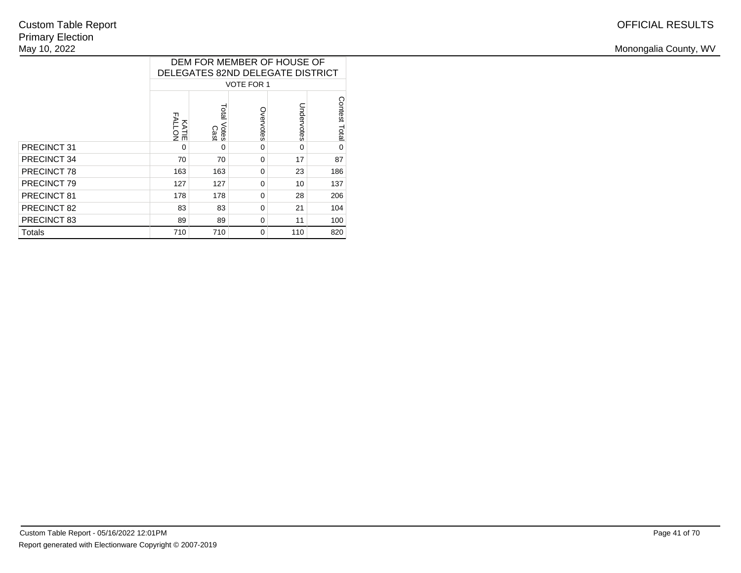|  | WV<br>Monongalia<br>ำ⊔ntv<br>. |
|--|--------------------------------|
|  |                                |

|             | DEM FOR MEMBER OF HOUSE OF<br>DELEGATES 82ND DELEGATE DISTRICT |                        |           |            |               |  |  |  |  |  |
|-------------|----------------------------------------------------------------|------------------------|-----------|------------|---------------|--|--|--|--|--|
|             | <b>VOTE FOR 1</b>                                              |                        |           |            |               |  |  |  |  |  |
|             | <b>KATIE</b><br>FALLON                                         | Total<br>Votes<br>Cast | Overvotes | Undervotes | Contest Total |  |  |  |  |  |
| PRECINCT 31 | 0                                                              | $\Omega$               | 0         | $\Omega$   | $\Omega$      |  |  |  |  |  |
| PRECINCT 34 | 70                                                             | 70                     | $\Omega$  | 17         | 87            |  |  |  |  |  |
| PRECINCT 78 | 163                                                            | 163                    | $\Omega$  | 23         | 186           |  |  |  |  |  |
| PRECINCT 79 | 127                                                            | 127                    | $\Omega$  | 10         | 137           |  |  |  |  |  |
| PRECINCT 81 | 178                                                            | 178                    | $\Omega$  | 28         | 206           |  |  |  |  |  |
| PRECINCT 82 | 83                                                             | 83                     | $\Omega$  | 21         | 104           |  |  |  |  |  |
| PRECINCT 83 | 89                                                             | 89                     | $\Omega$  | 11         | 100           |  |  |  |  |  |
| Totals      | 710                                                            | 710                    | $\Omega$  | 110        | 820           |  |  |  |  |  |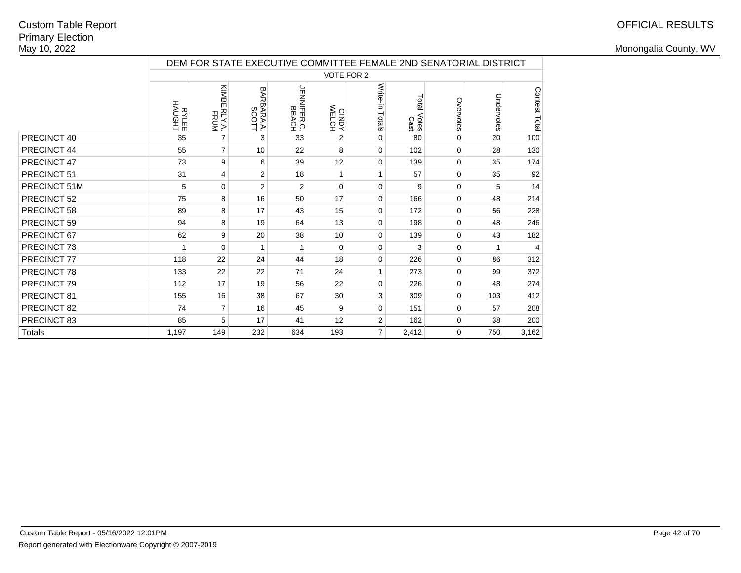## OFFICIAL RESULTS

|              | DEM FOR STATE EXECUTIVE COMMITTEE FEMALE 2ND SENATORIAL DISTRICT |                     |                     |                      |                   |                 |                        |           |            |               |  |
|--------------|------------------------------------------------------------------|---------------------|---------------------|----------------------|-------------------|-----------------|------------------------|-----------|------------|---------------|--|
|              |                                                                  |                     |                     |                      | <b>VOTE FOR 2</b> |                 |                        |           |            |               |  |
|              | <b>RYLEE</b><br>HAUGHT                                           | KIMBERLY A.<br>FRUM | BARBARA A.<br>SCOTT | JENNIFER C.<br>BEACH | CINDY<br>WELCH    | Write-in Totals | Total<br>Votes<br>Cast | Overvotes | Undervotes | Contest Total |  |
| PRECINCT 40  | 35                                                               | $\overline{7}$      | 3                   | 33                   | 2                 | $\mathbf 0$     | 80                     | 0         | 20         | 100           |  |
| PRECINCT 44  | 55                                                               | $\overline{7}$      | 10                  | 22                   | 8                 | $\mathbf 0$     | 102                    | 0         | 28         | 130           |  |
| PRECINCT 47  | 73                                                               | 9                   | 6                   | 39                   | 12                | $\mathbf 0$     | 139                    | 0         | 35         | 174           |  |
| PRECINCT 51  | 31                                                               | 4                   | 2                   | 18                   | 1                 | $\mathbf{1}$    | 57                     | $\Omega$  | 35         | 92            |  |
| PRECINCT 51M | 5                                                                | 0                   | 2                   | $\overline{2}$       | $\Omega$          | $\mathbf 0$     | 9                      | 0         | 5          | 14            |  |
| PRECINCT 52  | 75                                                               | 8                   | 16                  | 50                   | 17                | $\mathbf 0$     | 166                    | 0         | 48         | 214           |  |
| PRECINCT 58  | 89                                                               | 8                   | 17                  | 43                   | 15                | $\mathbf 0$     | 172                    | $\Omega$  | 56         | 228           |  |
| PRECINCT 59  | 94                                                               | 8                   | 19                  | 64                   | 13                | 0               | 198                    | 0         | 48         | 246           |  |
| PRECINCT 67  | 62                                                               | 9                   | 20                  | 38                   | 10                | $\mathbf 0$     | 139                    | $\Omega$  | 43         | 182           |  |
| PRECINCT 73  | 1                                                                | $\Omega$            | 1                   | 1                    | $\Omega$          | $\mathbf 0$     | 3                      | $\Omega$  | 1          | 4             |  |
| PRECINCT 77  | 118                                                              | 22                  | 24                  | 44                   | 18                | $\mathbf 0$     | 226                    | 0         | 86         | 312           |  |
| PRECINCT 78  | 133                                                              | 22                  | 22                  | 71                   | 24                | $\mathbf{1}$    | 273                    | 0         | 99         | 372           |  |
| PRECINCT 79  | 112                                                              | 17                  | 19                  | 56                   | 22                | 0               | 226                    | $\Omega$  | 48         | 274           |  |
| PRECINCT 81  | 155                                                              | 16                  | 38                  | 67                   | 30                | 3               | 309                    | $\Omega$  | 103        | 412           |  |
| PRECINCT 82  | 74                                                               | 7                   | 16                  | 45                   | 9                 | $\mathbf 0$     | 151                    | 0         | 57         | 208           |  |
| PRECINCT 83  | 85                                                               | 5                   | 17                  | 41                   | 12                | $\overline{2}$  | 162                    | 0         | 38         | 200           |  |
| Totals       | 1,197                                                            | 149                 | 232                 | 634                  | 193               | $\overline{7}$  | 2,412                  | 0         | 750        | 3,162         |  |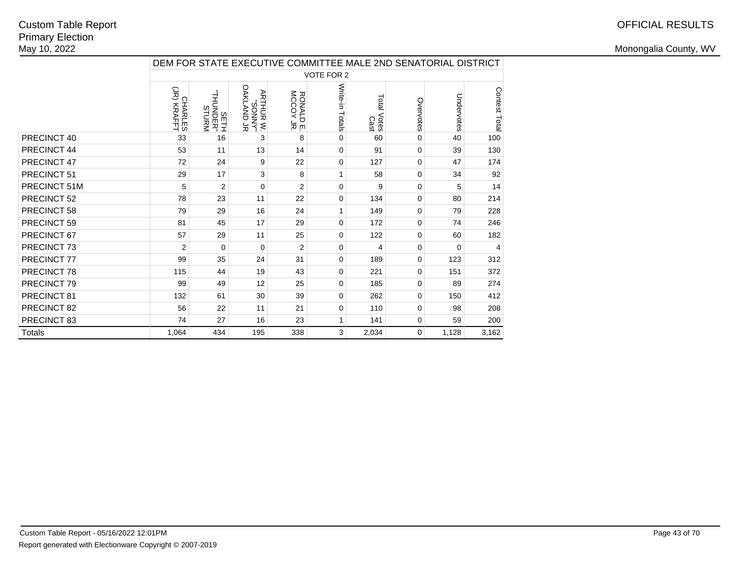|               |                        | DEM FOR STATE EXECUTIVE COMMITTEE MALE 2ND SENATORIAL DISTRICT |                                         |                        |                   |                     |             |            |                |  |
|---------------|------------------------|----------------------------------------------------------------|-----------------------------------------|------------------------|-------------------|---------------------|-------------|------------|----------------|--|
|               |                        |                                                                |                                         |                        | <b>VOTE FOR 2</b> |                     |             |            |                |  |
|               | CHARLES<br>(JR) KRAFFT | MANLIS<br>"RHUNDER"<br>MADOMUHT"                               | OAKLAND JR<br><b>MANNOS</b><br>W HUHTAA | RONALD E.<br>MCCOY JR. | Write-in Totals   | Total Votes<br>Cast | Overvotes   | Undervotes | Contest Total  |  |
| PRECINCT 40   | 33                     | 16                                                             | 3                                       | 8                      | 0                 | 60                  | 0           | 40         | 100            |  |
| PRECINCT 44   | 53                     | 11                                                             | 13                                      | 14                     | 0                 | 91                  | 0           | 39         | 130            |  |
| PRECINCT 47   | 72                     | 24                                                             | 9                                       | 22                     | 0                 | 127                 | 0           | 47         | 174            |  |
| PRECINCT 51   | 29                     | 17                                                             | 3                                       | 8                      | 1                 | 58                  | 0           | 34         | 92             |  |
| PRECINCT 51M  | 5                      | $\overline{2}$                                                 | 0                                       | $\overline{2}$         | 0                 | 9                   | 0           | 5          | 14             |  |
| PRECINCT 52   | 78                     | 23                                                             | 11                                      | 22                     | 0                 | 134                 | 0           | 80         | 214            |  |
| PRECINCT 58   | 79                     | 29                                                             | 16                                      | 24                     |                   | 149                 | 0           | 79         | 228            |  |
| PRECINCT 59   | 81                     | 45                                                             | 17                                      | 29                     | 0                 | 172                 | 0           | 74         | 246            |  |
| PRECINCT 67   | 57                     | 29                                                             | 11                                      | 25                     | 0                 | 122                 | 0           | 60         | 182            |  |
| PRECINCT 73   | 2                      | $\Omega$                                                       | $\Omega$                                | $\overline{2}$         | 0                 | 4                   | 0           | 0          | $\overline{4}$ |  |
| PRECINCT 77   | 99                     | 35                                                             | 24                                      | 31                     | 0                 | 189                 | 0           | 123        | 312            |  |
| PRECINCT 78   | 115                    | 44                                                             | 19                                      | 43                     | 0                 | 221                 | 0           | 151        | 372            |  |
| PRECINCT 79   | 99                     | 49                                                             | 12                                      | 25                     | 0                 | 185                 | 0           | 89         | 274            |  |
| PRECINCT 81   | 132                    | 61                                                             | 30                                      | 39                     | 0                 | 262                 | 0           | 150        | 412            |  |
| PRECINCT 82   | 56                     | 22                                                             | 11                                      | 21                     | 0                 | 110                 | 0           | 98         | 208            |  |
| PRECINCT 83   | 74                     | 27                                                             | 16                                      | 23                     | 1                 | 141                 | 0           | 59         | 200            |  |
| <b>Totals</b> | 1,064                  | 434                                                            | 195                                     | 338                    | 3                 | 2,034               | $\mathbf 0$ | 1,128      | 3,162          |  |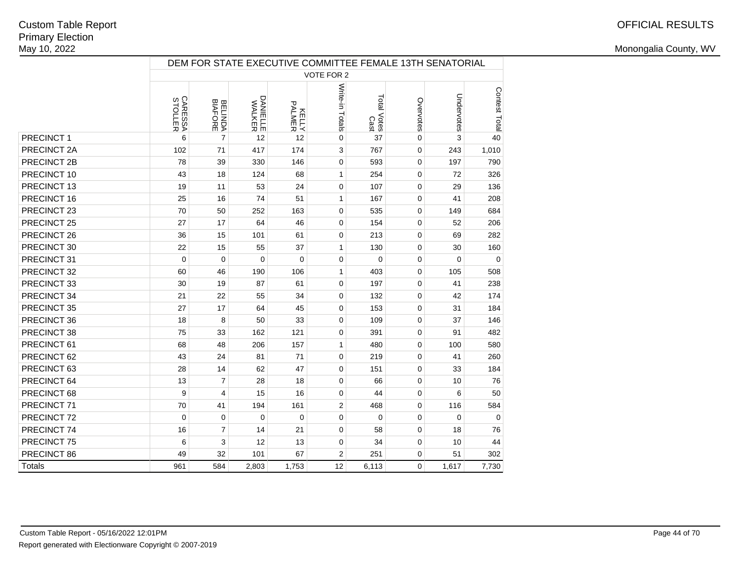|             |                                  |                           |                           |                         |                 |                     |           | DEM FOR STATE EXECUTIVE COMMITTEE FEMALE 13TH SENATORIAL |               |
|-------------|----------------------------------|---------------------------|---------------------------|-------------------------|-----------------|---------------------|-----------|----------------------------------------------------------|---------------|
|             |                                  |                           |                           |                         | VOTE FOR 2      |                     |           |                                                          |               |
|             | <b>CARESSA</b><br><b>STOLLER</b> | <b>BELINDA</b><br>BIAFORE | <b>DANIELLE</b><br>WALKER | <b>RALMER</b><br>PALMER | Write-in Totals | Total Votes<br>Cast | Overvotes | Undervotes                                               | Contest Total |
| PRECINCT 1  | 6                                | $\overline{7}$            | 12                        | 12                      | $\pmb{0}$       | 37                  | 0         | 3                                                        | 40            |
| PRECINCT 2A | 102                              | 71                        | 417                       | 174                     | 3               | 767                 | 0         | 243                                                      | 1,010         |
| PRECINCT 2B | 78                               | 39                        | 330                       | 146                     | $\pmb{0}$       | 593                 | 0         | 197                                                      | 790           |
| PRECINCT 10 | 43                               | 18                        | 124                       | 68                      | $\mathbf{1}$    | 254                 | 0         | 72                                                       | 326           |
| PRECINCT 13 | 19                               | 11                        | 53                        | 24                      | $\mathbf 0$     | 107                 | 0         | 29                                                       | 136           |
| PRECINCT 16 | 25                               | 16                        | 74                        | 51                      | 1               | 167                 | 0         | 41                                                       | 208           |
| PRECINCT 23 | 70                               | 50                        | 252                       | 163                     | 0               | 535                 | 0         | 149                                                      | 684           |
| PRECINCT 25 | 27                               | 17                        | 64                        | 46                      | $\mathbf 0$     | 154                 | 0         | 52                                                       | 206           |
| PRECINCT 26 | 36                               | 15                        | 101                       | 61                      | 0               | 213                 | 0         | 69                                                       | 282           |
| PRECINCT 30 | 22                               | 15                        | 55                        | 37                      | $\mathbf{1}$    | 130                 | 0         | 30                                                       | 160           |
| PRECINCT 31 | $\mathbf 0$                      | $\mathbf 0$               | $\mathbf 0$               | $\mathbf 0$             | $\pmb{0}$       | $\mathbf 0$         | 0         | $\mathbf 0$                                              | $\mathbf 0$   |
| PRECINCT 32 | 60                               | 46                        | 190                       | 106                     | 1               | 403                 | 0         | 105                                                      | 508           |
| PRECINCT 33 | 30                               | 19                        | 87                        | 61                      | 0               | 197                 | 0         | 41                                                       | 238           |
| PRECINCT 34 | 21                               | 22                        | 55                        | 34                      | 0               | 132                 | 0         | 42                                                       | 174           |
| PRECINCT 35 | 27                               | 17                        | 64                        | 45                      | $\mathbf 0$     | 153                 | 0         | 31                                                       | 184           |
| PRECINCT 36 | 18                               | 8                         | 50                        | 33                      | $\mathbf 0$     | 109                 | 0         | 37                                                       | 146           |
| PRECINCT 38 | 75                               | 33                        | 162                       | 121                     | 0               | 391                 | 0         | 91                                                       | 482           |
| PRECINCT 61 | 68                               | 48                        | 206                       | 157                     | 1               | 480                 | 0         | 100                                                      | 580           |
| PRECINCT 62 | 43                               | 24                        | 81                        | 71                      | 0               | 219                 | 0         | 41                                                       | 260           |
| PRECINCT 63 | 28                               | 14                        | 62                        | 47                      | $\mathbf 0$     | 151                 | 0         | 33                                                       | 184           |
| PRECINCT 64 | 13                               | $\overline{7}$            | 28                        | 18                      | $\mathbf 0$     | 66                  | 0         | 10                                                       | 76            |
| PRECINCT 68 | 9                                | 4                         | 15                        | 16                      | 0               | 44                  | 0         | 6                                                        | 50            |
| PRECINCT 71 | 70                               | 41                        | 194                       | 161                     | $\overline{c}$  | 468                 | 0         | 116                                                      | 584           |
| PRECINCT 72 | $\Omega$                         | 0                         | $\Omega$                  | $\mathbf 0$             | 0               | 0                   | 0         | 0                                                        | $\Omega$      |
| PRECINCT 74 | 16                               | $\overline{7}$            | 14                        | 21                      | $\mathbf 0$     | 58                  | 0         | 18                                                       | 76            |
| PRECINCT 75 | 6                                | 3                         | 12                        | 13                      | $\mathbf 0$     | 34                  | 0         | 10                                                       | 44            |
| PRECINCT 86 | 49                               | 32                        | 101                       | 67                      | $\overline{c}$  | 251                 | 0         | 51                                                       | 302           |
| Totals      | 961                              | 584                       | 2,803                     | 1,753                   | 12              | 6,113               | 0         | 1,617                                                    | 7,730         |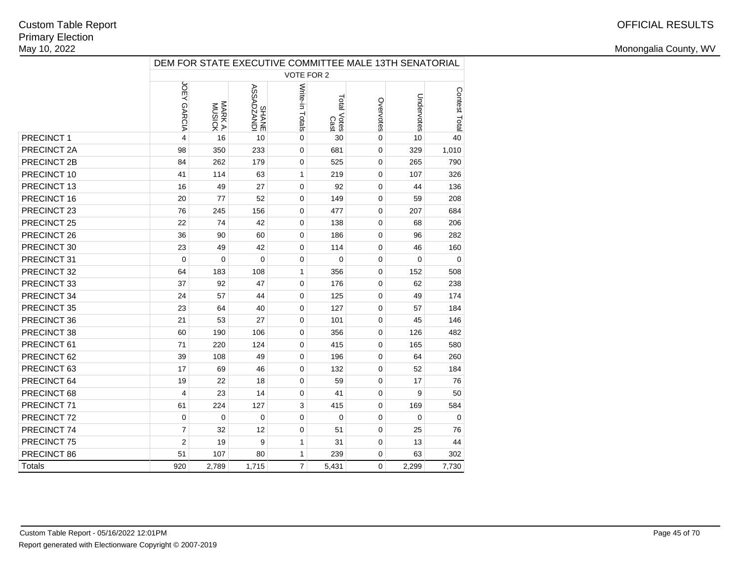|               |                |                   |                      |                 |                     |             | DEM FOR STATE EXECUTIVE COMMITTEE MALE 13TH SENATORIAL |               |
|---------------|----------------|-------------------|----------------------|-----------------|---------------------|-------------|--------------------------------------------------------|---------------|
|               |                |                   |                      | VOTE FOR 2      |                     |             |                                                        |               |
|               | JOEY GARCIA    | MARK A.<br>MUSICK | ICINYZOVSSY<br>SHANE | Write-in Totals | Total Votes<br>Cast | Overvotes   | Undervotes                                             | Contest Total |
| PRECINCT 1    | 4              | 16                | 10                   | $\mathbf 0$     | 30                  | $\mathbf 0$ | 10                                                     | 40            |
| PRECINCT 2A   | 98             | 350               | 233                  | $\mathbf 0$     | 681                 | 0           | 329                                                    | 1,010         |
| PRECINCT 2B   | 84             | 262               | 179                  | $\mathbf 0$     | 525                 | $\mathbf 0$ | 265                                                    | 790           |
| PRECINCT 10   | 41             | 114               | 63                   | $\mathbf{1}$    | 219                 | $\mathbf 0$ | 107                                                    | 326           |
| PRECINCT 13   | 16             | 49                | 27                   | $\mathbf 0$     | 92                  | 0           | 44                                                     | 136           |
| PRECINCT 16   | 20             | 77                | 52                   | $\Omega$        | 149                 | $\Omega$    | 59                                                     | 208           |
| PRECINCT 23   | 76             | 245               | 156                  | $\mathbf 0$     | 477                 | $\mathbf 0$ | 207                                                    | 684           |
| PRECINCT 25   | 22             | 74                | 42                   | 0               | 138                 | $\mathbf 0$ | 68                                                     | 206           |
| PRECINCT 26   | 36             | 90                | 60                   | $\mathbf 0$     | 186                 | $\mathbf 0$ | 96                                                     | 282           |
| PRECINCT 30   | 23             | 49                | 42                   | 0               | 114                 | 0           | 46                                                     | 160           |
| PRECINCT 31   | $\mathbf 0$    | $\mathbf 0$       | $\mathbf 0$          | $\mathbf 0$     | 0                   | $\mathbf 0$ | $\mathbf 0$                                            | 0             |
| PRECINCT 32   | 64             | 183               | 108                  | $\mathbf{1}$    | 356                 | $\mathbf 0$ | 152                                                    | 508           |
| PRECINCT 33   | 37             | 92                | 47                   | $\mathbf 0$     | 176                 | $\mathbf 0$ | 62                                                     | 238           |
| PRECINCT 34   | 24             | 57                | 44                   | 0               | 125                 | 0           | 49                                                     | 174           |
| PRECINCT 35   | 23             | 64                | 40                   | $\mathbf 0$     | 127                 | $\mathbf 0$ | 57                                                     | 184           |
| PRECINCT 36   | 21             | 53                | 27                   | $\mathbf 0$     | 101                 | $\mathbf 0$ | 45                                                     | 146           |
| PRECINCT 38   | 60             | 190               | 106                  | $\Omega$        | 356                 | $\Omega$    | 126                                                    | 482           |
| PRECINCT 61   | 71             | 220               | 124                  | $\mathbf 0$     | 415                 | $\mathbf 0$ | 165                                                    | 580           |
| PRECINCT 62   | 39             | 108               | 49                   | $\mathbf 0$     | 196                 | $\mathbf 0$ | 64                                                     | 260           |
| PRECINCT 63   | 17             | 69                | 46                   | $\mathbf 0$     | 132                 | 0           | 52                                                     | 184           |
| PRECINCT 64   | 19             | 22                | 18                   | $\mathbf 0$     | 59                  | $\mathbf 0$ | 17                                                     | 76            |
| PRECINCT 68   | 4              | 23                | 14                   | 0               | 41                  | $\mathbf 0$ | 9                                                      | 50            |
| PRECINCT 71   | 61             | 224               | 127                  | 3               | 415                 | 0           | 169                                                    | 584           |
| PRECINCT 72   | $\mathbf 0$    | $\mathbf 0$       | $\mathbf 0$          | $\mathbf 0$     | 0                   | $\mathbf 0$ | $\mathbf 0$                                            | $\Omega$      |
| PRECINCT 74   | $\overline{7}$ | 32                | 12                   | $\mathbf 0$     | 51                  | 0           | 25                                                     | 76            |
| PRECINCT 75   | $\overline{2}$ | 19                | 9                    | $\mathbf{1}$    | 31                  | 0           | 13                                                     | 44            |
| PRECINCT 86   | 51             | 107               | 80                   | $\mathbf{1}$    | 239                 | $\mathbf 0$ | 63                                                     | 302           |
| <b>Totals</b> | 920            | 2,789             | 1,715                | $\overline{7}$  | 5,431               | $\mathbf 0$ | 2,299                                                  | 7,730         |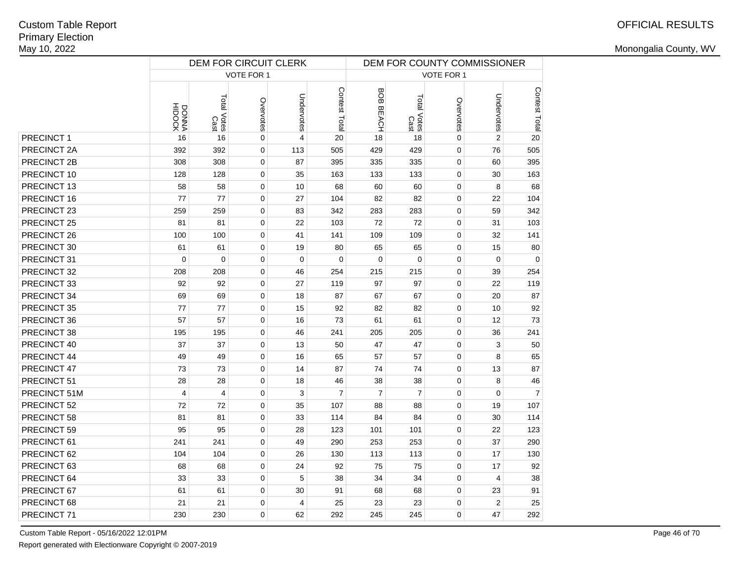# OFFICIAL RESULTS

Monongalia County, WV

| VOTE FOR 1<br>VOTE FOR 1<br>Contest Total<br>BOB<br>Undervotes<br>Total Votes<br>Cast<br>Total Votes<br>Cast<br>Overvotes<br>Overvotes<br>DONNA<br>HIDOCK<br><b>BEACH</b> | Undervotes<br>$\overline{2}$<br>76 | Contest Total<br>20 |
|---------------------------------------------------------------------------------------------------------------------------------------------------------------------------|------------------------------------|---------------------|
|                                                                                                                                                                           |                                    |                     |
|                                                                                                                                                                           |                                    |                     |
| PRECINCT 1<br>0<br>20<br>18<br>0<br>16<br>16<br>4<br>18                                                                                                                   |                                    |                     |
| PRECINCT 2A<br>$\pmb{0}$<br>113<br>505<br>429<br>429<br>0<br>392<br>392                                                                                                   |                                    | 505                 |
| PRECINCT 2B<br>308<br>308<br>0<br>87<br>335<br>335<br>395<br>0                                                                                                            | 60                                 | 395                 |
| PRECINCT 10<br>128<br>128<br>0<br>35<br>163<br>133<br>133<br>0                                                                                                            | 30                                 | 163                 |
| PRECINCT 13<br>0<br>58<br>58<br>10<br>68<br>60<br>60<br>0                                                                                                                 | 8                                  | 68                  |
| PRECINCT 16<br>77<br>77<br>0<br>82<br>0<br>27<br>104<br>82                                                                                                                | 22                                 | 104                 |
| PRECINCT 23<br>0<br>0<br>259<br>259<br>83<br>342<br>283<br>283                                                                                                            | 59                                 | 342                 |
| PRECINCT 25<br>0<br>72<br>0<br>81<br>81<br>22<br>103<br>72                                                                                                                | 31                                 | 103                 |
| PRECINCT 26<br>0<br>109<br>100<br>100<br>41<br>141<br>109<br>0                                                                                                            | 32                                 | 141                 |
| PRECINCT 30<br>0<br>65<br>0<br>61<br>61<br>19<br>80<br>65                                                                                                                 | 15                                 | 80                  |
| PRECINCT 31<br>$\mathbf 0$<br>$\mathbf 0$<br>0<br>$\mathbf 0$<br>0<br>$\mathbf 0$<br>$\mathbf 0$<br>0                                                                     | 0                                  | $\mathbf 0$         |
| PRECINCT 32<br>0<br>208<br>208<br>46<br>254<br>215<br>215<br>0                                                                                                            | 39                                 | 254                 |
| PRECINCT 33<br>92<br>92<br>0<br>27<br>97<br>97<br>0<br>119                                                                                                                | 22                                 | 119                 |
| PRECINCT 34<br>69<br>69<br>0<br>18<br>87<br>67<br>67<br>$\Omega$                                                                                                          | 20                                 | 87                  |
| PRECINCT 35<br>77<br>77<br>0<br>15<br>92<br>82<br>0<br>82                                                                                                                 | 10                                 | 92                  |
| PRECINCT 36<br>57<br>57<br>0<br>16<br>73<br>61<br>61<br>$\Omega$                                                                                                          | 12                                 | 73                  |
| PRECINCT 38<br>0<br>46<br>205<br>0<br>195<br>195<br>241<br>205                                                                                                            | 36                                 | 241                 |
| PRECINCT 40<br>47<br>0<br>37<br>37<br>0<br>13<br>50<br>47                                                                                                                 | 3                                  | 50                  |
| PRECINCT 44<br>49<br>0<br>16<br>65<br>57<br>0<br>49<br>57                                                                                                                 | 8                                  | 65                  |
| 74<br>PRECINCT 47<br>73<br>73<br>0<br>14<br>87<br>74<br>0                                                                                                                 | 13                                 | 87                  |
| PRECINCT 51<br>0<br>18<br>38<br>0<br>28<br>28<br>46<br>38                                                                                                                 | 8                                  | 46                  |
| $\overline{7}$<br>$\overline{7}$<br>PRECINCT 51M<br>$\overline{4}$<br>0<br>3<br>$\overline{7}$<br>0<br>4                                                                  | 0                                  | $\overline{7}$      |
| PRECINCT 52<br>72<br>72<br>0<br>35<br>88<br>0<br>107<br>88                                                                                                                | 19                                 | 107                 |
| PRECINCT 58<br>81<br>81<br>0<br>33<br>84<br>84<br>0<br>114                                                                                                                | 30                                 | 114                 |
| PRECINCT 59<br>95<br>0<br>28<br>101<br>95<br>123<br>101<br>0                                                                                                              | 22                                 | 123                 |
| PRECINCT 61<br>241<br>0<br>253<br>0<br>241<br>49<br>290<br>253                                                                                                            | 37                                 | 290                 |
| PRECINCT 62<br>0<br>0<br>104<br>104<br>26<br>113<br>130<br>113                                                                                                            | 17                                 | 130                 |
| PRECINCT 63<br>0<br>75<br>0<br>68<br>68<br>24<br>92<br>75                                                                                                                 | 17                                 | 92                  |
| PRECINCT 64<br>5<br>33<br>33<br>0<br>38<br>34<br>34<br>0                                                                                                                  | $\overline{4}$                     | 38                  |
| PRECINCT 67<br>61<br>61<br>0<br>30<br>91<br>68<br>68<br>0                                                                                                                 | 23                                 | 91                  |
| PRECINCT 68<br>21<br>21<br>0<br>$\overline{4}$<br>25<br>23<br>23<br>0                                                                                                     | $\overline{2}$                     | 25                  |
| PRECINCT 71<br>0<br>230<br>230<br>0<br>62<br>292<br>245<br>245                                                                                                            | 47                                 | 292                 |

Custom Table Report - 05/16/2022 12:01PM

Report generated with Electionware Copyright © 2007-2019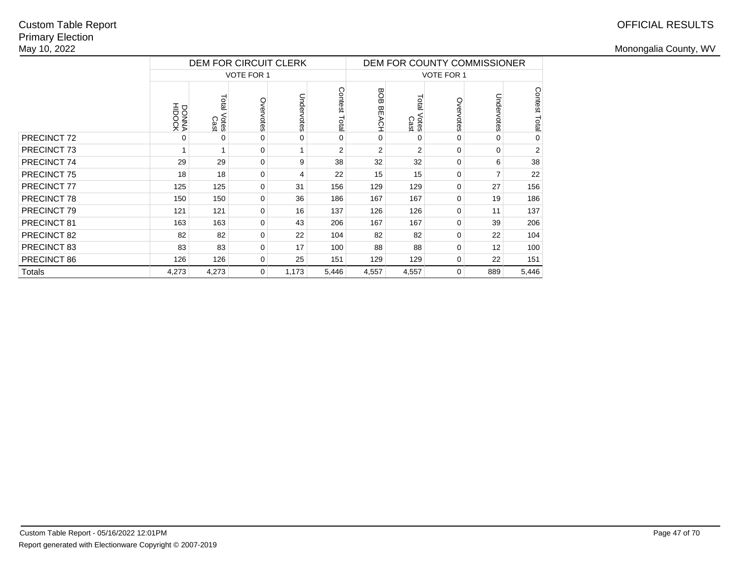# OFFICIAL RESULTS

|                        |                 | DEM FOR CIRCUIT CLERK  |                   |            |                  | DEM FOR COUNTY COMMISSIONER |                        |                   |                |                         |  |
|------------------------|-----------------|------------------------|-------------------|------------|------------------|-----------------------------|------------------------|-------------------|----------------|-------------------------|--|
|                        |                 |                        | <b>VOTE FOR 1</b> |            |                  |                             |                        | <b>VOTE FOR 1</b> |                |                         |  |
|                        | DOOKA<br>HIDOCK | Total<br>Votes<br>Cast | Overvotes         | Undervotes | Contest<br>Total | <b>BOB</b><br><b>BEACH</b>  | Total<br>Votes<br>Cast | Overvotes         | Undervotes     | <b>Contest</b><br>Total |  |
| PRECINCT <sub>72</sub> | 0               | 0                      | 0                 | 0          | $\Omega$         | 0                           | 0                      | 0                 | 0              | 0                       |  |
| PRECINCT 73            |                 |                        | 0                 |            | $\overline{2}$   | $\overline{2}$              | $\overline{2}$         | 0                 | 0              | $\overline{2}$          |  |
| PRECINCT 74            | 29              | 29                     | 0                 | 9          | 38               | 32                          | 32                     | 0                 | 6              | 38                      |  |
| <b>PRECINCT 75</b>     | 18              | 18                     | 0                 | 4          | 22               | 15                          | 15                     | 0                 | $\overline{ }$ | 22                      |  |
| PRECINCT 77            | 125             | 125                    | 0                 | 31         | 156              | 129                         | 129                    | 0                 | 27             | 156                     |  |
| PRECINCT 78            | 150             | 150                    | 0                 | 36         | 186              | 167                         | 167                    | 0                 | 19             | 186                     |  |
| PRECINCT 79            | 121             | 121                    | 0                 | 16         | 137              | 126                         | 126                    | 0                 | 11             | 137                     |  |
| PRECINCT 81            | 163             | 163                    | 0                 | 43         | 206              | 167                         | 167                    | 0                 | 39             | 206                     |  |
| PRECINCT 82            | 82              | 82                     | 0                 | 22         | 104              | 82                          | 82                     | 0                 | 22             | 104                     |  |
| PRECINCT 83            | 83              | 83                     | 0                 | 17         | 100              | 88                          | 88                     | 0                 | 12             | 100                     |  |
| PRECINCT 86            | 126             | 126                    | 0                 | 25         | 151              | 129                         | 129                    | 0                 | 22             | 151                     |  |
| <b>Totals</b>          | 4,273           | 4,273                  | 0                 | 1,173      | 5,446            | 4,557                       | 4,557                  | 0                 | 889            | 5,446                   |  |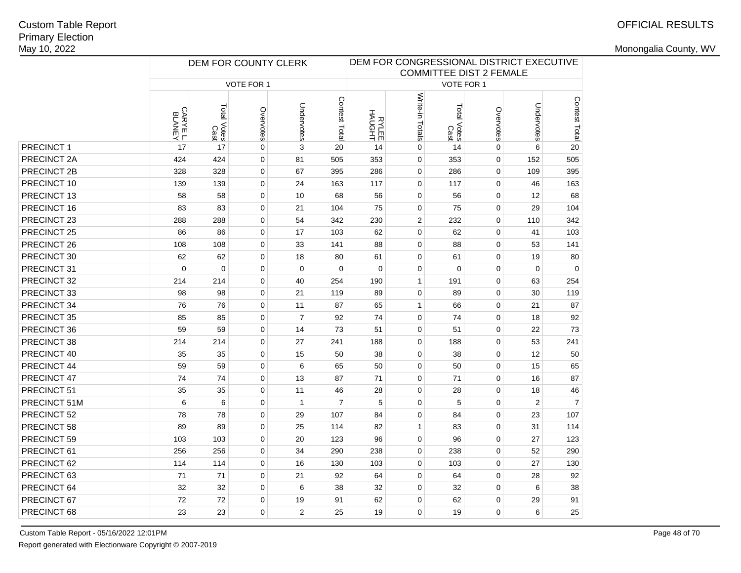|              |         | DEM FOR COUNTY CLERK |             |                |                | DEM FOR CONGRESSIONAL DISTRICT EXECUTIVE<br><b>COMMITTEE DIST 2 FEMALE</b> |                 |                     |             |                |                |
|--------------|---------|----------------------|-------------|----------------|----------------|----------------------------------------------------------------------------|-----------------|---------------------|-------------|----------------|----------------|
|              |         |                      |             |                |                |                                                                            |                 |                     |             |                |                |
|              |         |                      | VOTE FOR 1  |                |                |                                                                            |                 | VOTE FOR 1          |             |                |                |
|              | CARYEL. | Total Votes<br>Cast  | Overvotes   | Undervotes     | Contest Total  | <b>HAUGHT</b><br>HAUGHT                                                    | Write-in Totals | Total Votes<br>Cast | Overvotes   | Undervotes     | Contest Total  |
| PRECINCT 1   | 17      | 17                   | $\mathbf 0$ | 3              | 20             | 14                                                                         | 0               | 14                  | 0           | 6              | 20             |
| PRECINCT 2A  | 424     | 424                  | $\mathbf 0$ | 81             | 505            | 353                                                                        | $\mathbf 0$     | 353                 | $\mathbf 0$ | 152            | 505            |
| PRECINCT 2B  | 328     | 328                  | $\mathbf 0$ | 67             | 395            | 286                                                                        | 0               | 286                 | 0           | 109            | 395            |
| PRECINCT 10  | 139     | 139                  | $\mathbf 0$ | 24             | 163            | 117                                                                        | 0               | 117                 | 0           | 46             | 163            |
| PRECINCT 13  | 58      | 58                   | $\mathbf 0$ | 10             | 68             | 56                                                                         | $\mathbf 0$     | 56                  | $\mathbf 0$ | 12             | 68             |
| PRECINCT 16  | 83      | 83                   | $\Omega$    | 21             | 104            | 75                                                                         | 0               | 75                  | $\mathbf 0$ | 29             | 104            |
| PRECINCT 23  | 288     | 288                  | $\mathbf 0$ | 54             | 342            | 230                                                                        | $\overline{c}$  | 232                 | $\mathbf 0$ | 110            | 342            |
| PRECINCT 25  | 86      | 86                   | $\mathbf 0$ | 17             | 103            | 62                                                                         | $\mathbf 0$     | 62                  | $\mathbf 0$ | 41             | 103            |
| PRECINCT 26  | 108     | 108                  | $\mathbf 0$ | 33             | 141            | 88                                                                         | $\mathbf 0$     | 88                  | $\mathbf 0$ | 53             | 141            |
| PRECINCT 30  | 62      | 62                   | $\mathbf 0$ | 18             | 80             | 61                                                                         | 0               | 61                  | 0           | 19             | 80             |
| PRECINCT 31  | 0       | 0                    | $\mathbf 0$ | $\mathbf 0$    | $\mathbf 0$    | $\mathbf 0$                                                                | 0               | $\mathbf 0$         | $\mathbf 0$ | $\mathbf 0$    | 0              |
| PRECINCT 32  | 214     | 214                  | $\mathbf 0$ | 40             | 254            | 190                                                                        | $\mathbf{1}$    | 191                 | $\mathbf 0$ | 63             | 254            |
| PRECINCT 33  | 98      | 98                   | $\mathbf 0$ | 21             | 119            | 89                                                                         | 0               | 89                  | $\mathbf 0$ | 30             | 119            |
| PRECINCT 34  | 76      | 76                   | $\mathbf 0$ | 11             | 87             | 65                                                                         | $\mathbf{1}$    | 66                  | $\mathbf 0$ | 21             | 87             |
| PRECINCT 35  | 85      | 85                   | $\mathbf 0$ | $\overline{7}$ | 92             | 74                                                                         | $\mathbf 0$     | 74                  | $\mathbf 0$ | 18             | 92             |
| PRECINCT 36  | 59      | 59                   | $\mathbf 0$ | 14             | 73             | 51                                                                         | $\mathbf 0$     | 51                  | $\mathbf 0$ | 22             | 73             |
| PRECINCT 38  | 214     | 214                  | $\mathbf 0$ | 27             | 241            | 188                                                                        | $\mathbf 0$     | 188                 | $\mathbf 0$ | 53             | 241            |
| PRECINCT 40  | 35      | 35                   | $\mathbf 0$ | 15             | 50             | 38                                                                         | $\mathbf 0$     | 38                  | $\mathbf 0$ | 12             | 50             |
| PRECINCT 44  | 59      | 59                   | $\mathbf 0$ | 6              | 65             | 50                                                                         | $\mathbf 0$     | 50                  | $\mathbf 0$ | 15             | 65             |
| PRECINCT 47  | 74      | 74                   | $\mathbf 0$ | 13             | 87             | 71                                                                         | $\mathbf 0$     | 71                  | $\mathbf 0$ | 16             | 87             |
| PRECINCT 51  | 35      | 35                   | $\mathbf 0$ | 11             | 46             | 28                                                                         | $\mathbf 0$     | 28                  | $\mathbf 0$ | 18             | 46             |
| PRECINCT 51M | 6       | 6                    | $\pmb{0}$   | $\mathbf{1}$   | $\overline{7}$ | 5                                                                          | $\mathbf 0$     | 5                   | 0           | $\overline{2}$ | $\overline{7}$ |
| PRECINCT 52  | 78      | 78                   | 0           | 29             | 107            | 84                                                                         | $\mathbf 0$     | 84                  | 0           | 23             | 107            |
| PRECINCT 58  | 89      | 89                   | $\mathbf 0$ | 25             | 114            | 82                                                                         | $\mathbf{1}$    | 83                  | $\mathbf 0$ | 31             | 114            |
| PRECINCT 59  | 103     | 103                  | $\mathbf 0$ | 20             | 123            | 96                                                                         | $\mathbf 0$     | 96                  | $\mathbf 0$ | 27             | 123            |
| PRECINCT 61  | 256     | 256                  | $\mathbf 0$ | 34             | 290            | 238                                                                        | $\mathbf 0$     | 238                 | $\mathbf 0$ | 52             | 290            |
| PRECINCT 62  | 114     | 114                  | $\mathbf 0$ | 16             | 130            | 103                                                                        | $\mathbf 0$     | 103                 | $\mathbf 0$ | 27             | 130            |
| PRECINCT 63  | 71      | 71                   | $\mathbf 0$ | 21             | 92             | 64                                                                         | $\mathbf 0$     | 64                  | $\mathbf 0$ | 28             | 92             |
| PRECINCT 64  | 32      | 32                   | $\mathbf 0$ | 6              | 38             | 32                                                                         | $\mathbf 0$     | 32                  | $\mathbf 0$ | 6              | 38             |
| PRECINCT 67  | 72      | 72                   | $\mathbf 0$ | 19             | 91             | 62                                                                         | 0               | 62                  | $\mathbf 0$ | 29             | 91             |
| PRECINCT 68  | 23      | 23                   | $\Omega$    | $\overline{2}$ | 25             | 19                                                                         | $\mathbf 0$     | 19                  | $\Omega$    | 6              | 25             |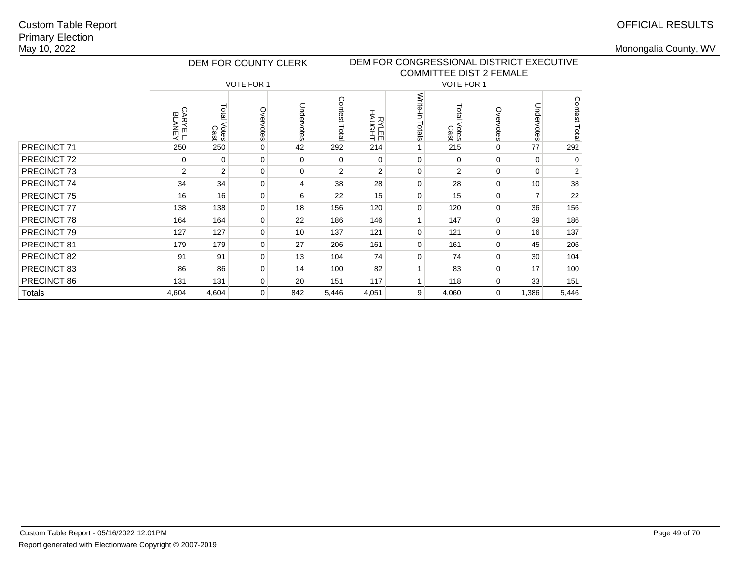# OFFICIAL RESULTS

|               |                         |                     | DEM FOR COUNTY CLERK |            |                | DEM FOR CONGRESSIONAL DISTRICT EXECUTIVE<br><b>COMMITTEE DIST 2 FEMALE</b> |                    |                              |           |                |                |  |
|---------------|-------------------------|---------------------|----------------------|------------|----------------|----------------------------------------------------------------------------|--------------------|------------------------------|-----------|----------------|----------------|--|
|               |                         |                     | <b>VOTE FOR 1</b>    |            |                |                                                                            |                    | <b>VOTE FOR 1</b>            |           |                |                |  |
|               | <b>CARYEL</b><br>BLANEY | Total Votes<br>Cast | Overvotes            | Undervotes | Contest Tota   | HPONH<br>HAUGHT                                                            | Write-in<br>Totals | <b>Lota</b><br>Votes<br>Cast | Overvotes | Undervotes     | Contest Total  |  |
| PRECINCT 71   | 250                     | 250                 | $\mathbf 0$          | 42         | 292            | 214                                                                        |                    | 215                          | 0         | 77             | 292            |  |
| PRECINCT 72   | 0                       | 0                   | $\Omega$             | $\Omega$   | 0              | $\Omega$                                                                   | $\Omega$           | $\Omega$                     | 0         | $\mathbf 0$    | $\Omega$       |  |
| PRECINCT 73   | 2                       | $\overline{2}$      | $\Omega$             | $\Omega$   | $\overline{2}$ | $\overline{2}$                                                             | $\Omega$           | 2                            | $\Omega$  | $\Omega$       | $\overline{2}$ |  |
| PRECINCT 74   | 34                      | 34                  | $\Omega$             | 4          | 38             | 28                                                                         | $\Omega$           | 28                           | $\Omega$  | 10             | 38             |  |
| PRECINCT 75   | 16                      | 16                  | $\mathbf 0$          | 6          | 22             | 15                                                                         | $\Omega$           | 15                           | 0         | $\overline{7}$ | 22             |  |
| PRECINCT 77   | 138                     | 138                 | $\mathbf 0$          | 18         | 156            | 120                                                                        | $\Omega$           | 120                          | 0         | 36             | 156            |  |
| PRECINCT 78   | 164                     | 164                 | $\Omega$             | 22         | 186            | 146                                                                        |                    | 147                          | $\Omega$  | 39             | 186            |  |
| PRECINCT 79   | 127                     | 127                 | $\mathbf 0$          | 10         | 137            | 121                                                                        | $\Omega$           | 121                          | 0         | 16             | 137            |  |
| PRECINCT 81   | 179                     | 179                 | $\mathbf 0$          | 27         | 206            | 161                                                                        | $\Omega$           | 161                          | 0         | 45             | 206            |  |
| PRECINCT 82   | 91                      | 91                  | $\Omega$             | 13         | 104            | 74                                                                         | $\Omega$           | 74                           | 0         | 30             | 104            |  |
| PRECINCT 83   | 86                      | 86                  | $\Omega$             | 14         | 100            | 82                                                                         |                    | 83                           | $\Omega$  | 17             | 100            |  |
| PRECINCT 86   | 131                     | 131                 | 0                    | 20         | 151            | 117                                                                        |                    | 118                          | 0         | 33             | 151            |  |
| <b>Totals</b> | 4,604                   | 4,604               | 0                    | 842        | 5,446          | 4,051                                                                      | 9                  | 4,060                        | 0         | 1,386          | 5,446          |  |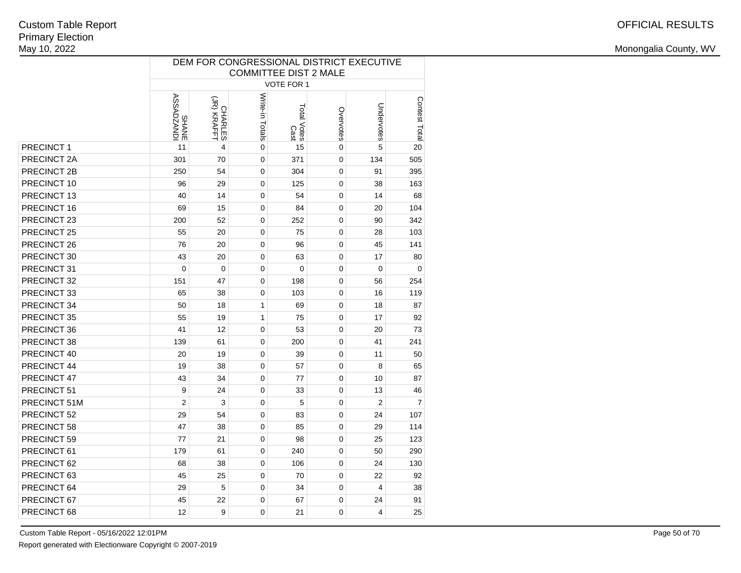|                    | DEM FOR CONGRESSIONAL DISTRICT EXECUTIVE<br><b>COMMITTEE DIST 2 MALE</b> |                               |                 |                     |           |                |                |  |  |  |  |  |  |
|--------------------|--------------------------------------------------------------------------|-------------------------------|-----------------|---------------------|-----------|----------------|----------------|--|--|--|--|--|--|
|                    |                                                                          |                               |                 |                     |           |                |                |  |  |  |  |  |  |
|                    |                                                                          |                               |                 | VOTE FOR 1          |           |                |                |  |  |  |  |  |  |
|                    | ICINYZOVSSY<br>SSADZANDI                                                 | (JR) KRAFFT<br><b>CHARLES</b> | Write-in Totals | Total Votes<br>Cast | Overvotes | Undervotes     | Contest Total  |  |  |  |  |  |  |
| PRECINCT 1         | 11                                                                       | 4                             | 0               | 15                  | 0         | 5              | 20             |  |  |  |  |  |  |
| PRECINCT 2A        | 301                                                                      | 70                            | 0               | 371                 | 0         | 134            | 505            |  |  |  |  |  |  |
| <b>PRECINCT 2B</b> | 250                                                                      | 54                            | $\mathbf 0$     | 304                 | 0         | 91             | 395            |  |  |  |  |  |  |
| PRECINCT 10        | 96                                                                       | 29                            | 0               | 125                 | 0         | 38             | 163            |  |  |  |  |  |  |
| PRECINCT 13        | 40                                                                       | 14                            | 0               | 54                  | 0         | 14             | 68             |  |  |  |  |  |  |
| PRECINCT 16        | 69                                                                       | 15                            | 0               | 84                  | 0         | 20             | 104            |  |  |  |  |  |  |
| PRECINCT 23        | 200                                                                      | 52                            | $\mathbf 0$     | 252                 | 0         | 90             | 342            |  |  |  |  |  |  |
| PRECINCT 25        | 55                                                                       | 20                            | $\mathbf 0$     | 75                  | 0         | 28             | 103            |  |  |  |  |  |  |
| PRECINCT 26        | 76                                                                       | 20                            | 0               | 96                  | 0         | 45             | 141            |  |  |  |  |  |  |
| PRECINCT 30        | 43                                                                       | 20                            | 0               | 63                  | 0         | 17             | 80             |  |  |  |  |  |  |
| PRECINCT 31        | $\mathbf 0$                                                              | $\mathbf 0$                   | $\mathbf 0$     | $\mathbf 0$         | 0         | 0              | $\mathbf 0$    |  |  |  |  |  |  |
| PRECINCT 32        | 151                                                                      | 47                            | $\pmb{0}$       | 198                 | 0         | 56             | 254            |  |  |  |  |  |  |
| PRECINCT 33        | 65                                                                       | 38                            | 0               | 103                 | 0         | 16             | 119            |  |  |  |  |  |  |
| PRECINCT 34        | 50                                                                       | 18                            | 1               | 69                  | 0         | 18             | 87             |  |  |  |  |  |  |
| PRECINCT 35        | 55                                                                       | 19                            | 1               | 75                  | 0         | 17             | 92             |  |  |  |  |  |  |
| PRECINCT 36        | 41                                                                       | 12                            | $\mathbf 0$     | 53                  | 0         | 20             | 73             |  |  |  |  |  |  |
| PRECINCT 38        | 139                                                                      | 61                            | 0               | 200                 | 0         | 41             | 241            |  |  |  |  |  |  |
| PRECINCT 40        | 20                                                                       | 19                            | $\mathbf 0$     | 39                  | 0         | 11             | 50             |  |  |  |  |  |  |
| PRECINCT 44        | 19                                                                       | 38                            | $\mathbf 0$     | 57                  | 0         | 8              | 65             |  |  |  |  |  |  |
| PRECINCT 47        | 43                                                                       | 34                            | $\mathbf 0$     | 77                  | 0         | 10             | 87             |  |  |  |  |  |  |
| PRECINCT 51        | 9                                                                        | 24                            | $\mathbf 0$     | 33                  | 0         | 13             | 46             |  |  |  |  |  |  |
| PRECINCT 51M       | $\overline{2}$                                                           | 3                             | $\mathbf 0$     | 5                   | 0         | $\overline{2}$ | $\overline{7}$ |  |  |  |  |  |  |
| PRECINCT 52        | 29                                                                       | 54                            | $\mathbf 0$     | 83                  | 0         | 24             | 107            |  |  |  |  |  |  |
| PRECINCT 58        | 47                                                                       | 38                            | 0               | 85                  | 0         | 29             | 114            |  |  |  |  |  |  |
| PRECINCT 59        | 77                                                                       | 21                            | 0               | 98                  | 0         | 25             | 123            |  |  |  |  |  |  |
| PRECINCT 61        | 179                                                                      | 61                            | 0               | 240                 | 0         | 50             | 290            |  |  |  |  |  |  |
| PRECINCT 62        | 68                                                                       | 38                            | 0               | 106                 | 0         | 24             | 130            |  |  |  |  |  |  |
| PRECINCT 63        | 45                                                                       | 25                            | 0               | 70                  | 0         | 22             | 92             |  |  |  |  |  |  |
| PRECINCT 64        | 29                                                                       | 5                             | 0               | 34                  | 0         | 4              | 38             |  |  |  |  |  |  |
| PRECINCT 67        | 45                                                                       | 22                            | 0               | 67                  | 0         | 24             | 91             |  |  |  |  |  |  |
| PRECINCT 68        | 12                                                                       | 9                             | 0               | 21                  | 0         | 4              | 25             |  |  |  |  |  |  |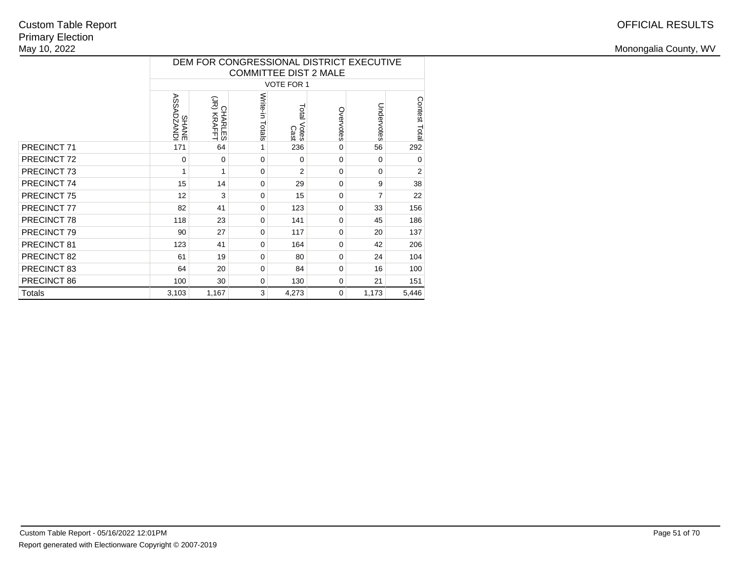|               |                                   |                              | <b>COMMITTEE DIST 2 MALE</b> |                     |           | DEM FOR CONGRESSIONAL DISTRICT EXECUTIVE |                |
|---------------|-----------------------------------|------------------------------|------------------------------|---------------------|-----------|------------------------------------------|----------------|
|               |                                   |                              |                              | VOTE FOR 1          |           |                                          |                |
|               | <b>ASSADZANDI</b><br><b>SHANE</b> | (JR) KRAFT<br><b>CHARLES</b> | Write-in<br>Totals           | Total Votes<br>Cast | Overvotes | Undervotes                               | Contest Total  |
| PRECINCT 71   | 171                               | 64                           | 1                            | 236                 | 0         | 56                                       | 292            |
| PRECINCT 72   | 0                                 | $\Omega$                     | $\Omega$                     | 0                   | $\Omega$  | 0                                        | $\mathbf 0$    |
| PRECINCT 73   | 1                                 | 1                            | $\Omega$                     | $\overline{2}$      | $\Omega$  | 0                                        | $\overline{2}$ |
| PRECINCT 74   | 15                                | 14                           | $\Omega$                     | 29                  | $\Omega$  | 9                                        | 38             |
| PRECINCT 75   | 12                                | 3                            | $\Omega$                     | 15                  | $\Omega$  | 7                                        | 22             |
| PRECINCT 77   | 82                                | 41                           | $\Omega$                     | 123                 | $\Omega$  | 33                                       | 156            |
| PRECINCT 78   | 118                               | 23                           | $\Omega$                     | 141                 | $\Omega$  | 45                                       | 186            |
| PRECINCT 79   | 90                                | 27                           | $\Omega$                     | 117                 | $\Omega$  | 20                                       | 137            |
| PRECINCT 81   | 123                               | 41                           | $\Omega$                     | 164                 | $\Omega$  | 42                                       | 206            |
| PRECINCT 82   | 61                                | 19                           | $\Omega$                     | 80                  | $\Omega$  | 24                                       | 104            |
| PRECINCT 83   | 64                                | 20                           | $\Omega$                     | 84                  | $\Omega$  | 16                                       | 100            |
| PRECINCT 86   | 100                               | 30                           | 0                            | 130                 | 0         | 21                                       | 151            |
| <b>Totals</b> | 1,173                             | 5,446                        |                              |                     |           |                                          |                |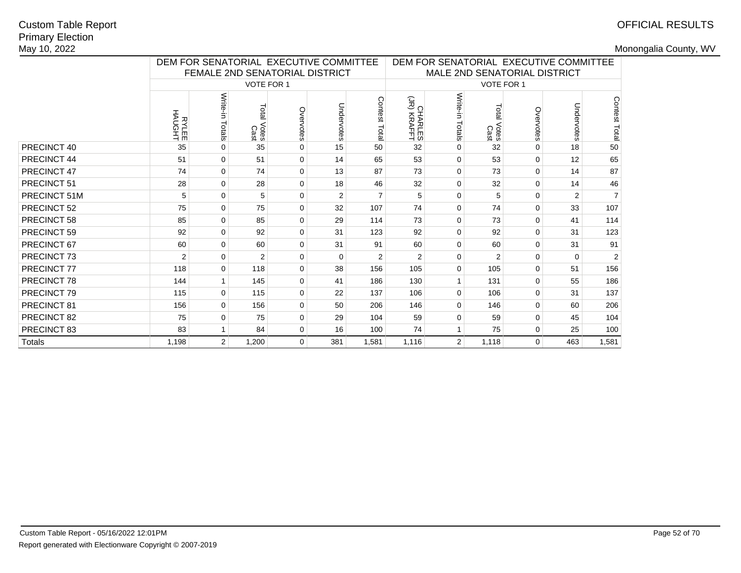# OFFICIAL RESULTS

|              |                     | DEM FOR SENATORIAL EXECUTIVE COMMITTEE |                        |                |            |                  | DEM FOR SENATORIAL EXECUTIVE COMMITTEE<br>MALE 2ND SENATORIAL DISTRICT |                    |                        |              |                |                |
|--------------|---------------------|----------------------------------------|------------------------|----------------|------------|------------------|------------------------------------------------------------------------|--------------------|------------------------|--------------|----------------|----------------|
|              |                     | FEMALE 2ND SENATORIAL DISTRICT         |                        |                |            |                  |                                                                        |                    |                        |              |                |                |
|              |                     |                                        | VOTE FOR 1             |                |            |                  |                                                                        |                    | VOTE FOR 1             |              |                |                |
|              | 나라이어<br>크로시<br>크로시스 | Write-in<br>Totals                     | Total<br>Votes<br>Cast | Overvotes      | Undervotes | Contest<br>Total | CHARLES<br>CHARLES                                                     | Write-in<br>Totals | Total<br>Votes<br>Cast | Overvotes    | Undervotes     | Contest Total  |
| PRECINCT 40  | 35                  | $\Omega$                               | 35                     | $\Omega$       | 15         | 50               | 32                                                                     | $\Omega$           | 32                     | $\Omega$     | 18             | 50             |
| PRECINCT 44  | 51                  | $\Omega$                               | 51                     | 0              | 14         | 65               | 53                                                                     | $\mathbf 0$        | 53                     | 0            | 12             | 65             |
| PRECINCT 47  | 74                  | $\Omega$                               | 74                     | $\Omega$       | 13         | 87               | 73                                                                     | $\mathbf 0$        | 73                     | $\Omega$     | 14             | 87             |
| PRECINCT 51  | 28                  | $\Omega$                               | 28                     | $\Omega$       | 18         | 46               | 32                                                                     | $\mathbf 0$        | 32                     | 0            | 14             | 46             |
| PRECINCT 51M | 5                   | $\Omega$                               | 5                      | $\Omega$       | 2          | $\overline{7}$   | 5                                                                      | $\mathbf 0$        | 5                      | 0            | $\overline{2}$ | $\overline{7}$ |
| PRECINCT 52  | 75                  | $\Omega$                               | 75                     | $\Omega$       | 32         | 107              | 74                                                                     | $\mathbf 0$        | 74                     | 0            | 33             | 107            |
| PRECINCT 58  | 85                  | $\Omega$                               | 85                     | $\Omega$       | 29         | 114              | 73                                                                     | $\mathbf 0$        | 73                     | $\mathbf 0$  | 41             | 114            |
| PRECINCT 59  | 92                  | $\mathbf{0}$                           | 92                     | $\mathbf 0$    | 31         | 123              | 92                                                                     | $\mathbf 0$        | 92                     | 0            | 31             | 123            |
| PRECINCT 67  | 60                  | $\Omega$                               | 60                     | $\Omega$       | 31         | 91               | 60                                                                     | $\mathbf 0$        | 60                     | $\mathbf 0$  | 31             | 91             |
| PRECINCT 73  | $\overline{2}$      | 0                                      | 2                      | 0              | $\Omega$   | 2                | 2                                                                      | $\mathbf 0$        | $\overline{2}$         | 0            | $\Omega$       | 2              |
| PRECINCT 77  | 118                 | $\Omega$                               | 118                    | 0              | 38         | 156              | 105                                                                    | $\mathbf 0$        | 105                    | $\Omega$     | 51             | 156            |
| PRECINCT 78  | 144                 |                                        | 145                    | $\mathbf 0$    | 41         | 186              | 130                                                                    | 1                  | 131                    | 0            | 55             | 186            |
| PRECINCT 79  | 115                 | $\Omega$                               | 115                    | $\Omega$       | 22         | 137              | 106                                                                    | $\Omega$           | 106                    | 0            | 31             | 137            |
| PRECINCT 81  | 156                 | $\Omega$                               | 156                    | $\Omega$       | 50         | 206              | 146                                                                    | $\mathbf 0$        | 146                    | 0            | 60             | 206            |
| PRECINCT 82  | 75                  | 0                                      | 75                     | $\mathbf 0$    | 29         | 104              | 59                                                                     | $\mathbf 0$        | 59                     | 0            | 45             | 104            |
| PRECINCT 83  | 83                  |                                        | 84                     | $\mathbf 0$    | 16         | 100              | 74                                                                     | $\mathbf{1}$       | 75                     | 0            | 25             | 100            |
| Totals       | 1,198               | $\overline{2}$                         | 1,200                  | $\overline{0}$ | 381        | 1,581            | 1,116                                                                  | $\overline{2}$     | 1,118                  | $\mathbf{0}$ | 463            | 1,581          |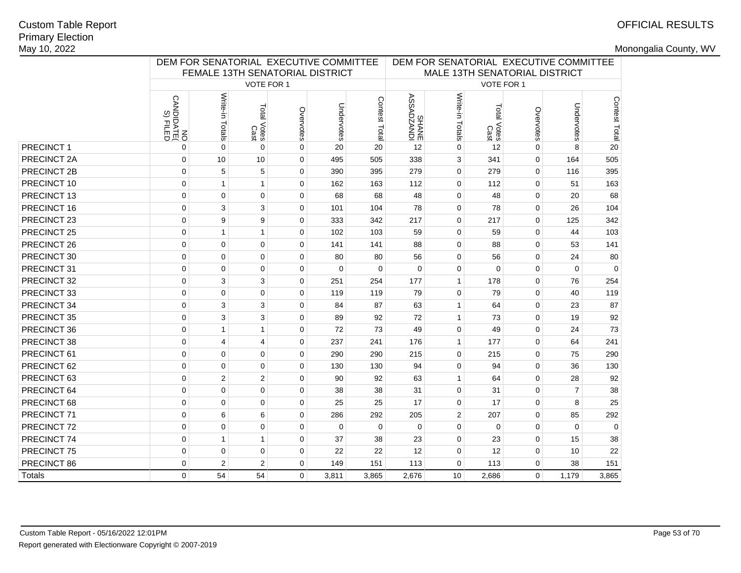# OFFICIAL RESULTS

|               |                                           |                 |                     | DEM FOR SENATORIAL EXECUTIVE COMMITTEE |            |               | DEM FOR SENATORIAL EXECUTIVE COMMITTEE<br>MALE 13TH SENATORIAL DISTRICT |                 |                     |             |                |               |
|---------------|-------------------------------------------|-----------------|---------------------|----------------------------------------|------------|---------------|-------------------------------------------------------------------------|-----------------|---------------------|-------------|----------------|---------------|
|               |                                           |                 | VOTE FOR 1          | FEMALE 13TH SENATORIAL DISTRICT        |            |               |                                                                         |                 | VOTE FOR 1          |             |                |               |
|               |                                           |                 |                     |                                        |            |               |                                                                         |                 |                     |             |                |               |
|               | <b>CANDIDATE</b><br>CANDIDATE<br>S) FILED | Write-in Totals | Total Votes<br>Cast | Overvotes                              | Undervotes | Contest Total | <b>IONYZOYSSY</b><br>SHANE                                              | Write-in Totals | Total Votes<br>Cast | Overvotes   | Undervotes     | Contest Total |
| PRECINCT 1    | $\mathbf 0$                               | $\Omega$        | $\Omega$            | $\mathbf 0$                            | 20         | 20            | 12                                                                      | $\Omega$        | 12                  | $\Omega$    | 8              | 20            |
| PRECINCT 2A   | $\mathbf 0$                               | 10              | 10                  | 0                                      | 495        | 505           | 338                                                                     | 3               | 341                 | $\mathbf 0$ | 164            | 505           |
| PRECINCT 2B   | $\mathbf 0$                               | 5               | 5                   | 0                                      | 390        | 395           | 279                                                                     | $\mathbf 0$     | 279                 | 0           | 116            | 395           |
| PRECINCT 10   | $\mathbf 0$                               | $\mathbf{1}$    | $\mathbf{1}$        | $\mathbf 0$                            | 162        | 163           | 112                                                                     | $\mathbf 0$     | 112                 | $\mathbf 0$ | 51             | 163           |
| PRECINCT 13   | $\mathbf 0$                               | $\mathbf 0$     | $\mathbf 0$         | $\mathbf 0$                            | 68         | 68            | 48                                                                      | $\mathbf 0$     | 48                  | $\mathbf 0$ | 20             | 68            |
| PRECINCT 16   | $\mathbf 0$                               | 3               | 3                   | $\mathbf 0$                            | 101        | 104           | 78                                                                      | $\mathbf 0$     | 78                  | $\mathbf 0$ | 26             | 104           |
| PRECINCT 23   | $\mathbf 0$                               | 9               | 9                   | $\mathbf 0$                            | 333        | 342           | 217                                                                     | $\mathbf 0$     | 217                 | $\mathbf 0$ | 125            | 342           |
| PRECINCT 25   | $\mathbf 0$                               | $\mathbf{1}$    | $\mathbf{1}$        | $\mathbf 0$                            | 102        | 103           | 59                                                                      | $\mathbf 0$     | 59                  | $\mathbf 0$ | 44             | 103           |
| PRECINCT 26   | $\pmb{0}$                                 | $\pmb{0}$       | $\pmb{0}$           | $\mathbf 0$                            | 141        | 141           | 88                                                                      | $\mathbf 0$     | 88                  | 0           | 53             | 141           |
| PRECINCT 30   | $\mathbf 0$                               | $\mathbf 0$     | $\mathbf 0$         | 0                                      | 80         | 80            | 56                                                                      | $\mathbf 0$     | 56                  | 0           | 24             | 80            |
| PRECINCT 31   | $\mathbf 0$                               | $\mathbf 0$     | $\mathbf 0$         | $\mathbf 0$                            | $\Omega$   | $\mathbf 0$   | $\mathbf 0$                                                             | $\mathbf 0$     | $\Omega$            | $\mathbf 0$ | $\Omega$       | $\Omega$      |
| PRECINCT 32   | $\mathbf 0$                               | 3               | 3                   | $\mathbf 0$                            | 251        | 254           | 177                                                                     | $\mathbf{1}$    | 178                 | $\mathbf 0$ | 76             | 254           |
| PRECINCT 33   | $\mathbf 0$                               | $\overline{0}$  | $\mathbf 0$         | $\mathbf 0$                            | 119        | 119           | 79                                                                      | $\mathbf 0$     | 79                  | $\mathbf 0$ | 40             | 119           |
| PRECINCT 34   | $\mathbf 0$                               | 3               | 3                   | $\mathbf 0$                            | 84         | 87            | 63                                                                      | $\mathbf{1}$    | 64                  | $\mathbf 0$ | 23             | 87            |
| PRECINCT 35   | $\mathbf 0$                               | 3               | 3                   | 0                                      | 89         | 92            | 72                                                                      | $\mathbf{1}$    | 73                  | $\mathbf 0$ | 19             | 92            |
| PRECINCT 36   | $\mathbf 0$                               | $\mathbf{1}$    | $\mathbf{1}$        | 0                                      | 72         | 73            | 49                                                                      | $\mathbf 0$     | 49                  | 0           | 24             | 73            |
| PRECINCT 38   | $\mathsf 0$                               | $\overline{4}$  | 4                   | 0                                      | 237        | 241           | 176                                                                     | $\mathbf{1}$    | 177                 | 0           | 64             | 241           |
| PRECINCT 61   | $\mathbf 0$                               | $\mathbf 0$     | $\mathbf 0$         | 0                                      | 290        | 290           | 215                                                                     | $\mathbf 0$     | 215                 | $\mathbf 0$ | 75             | 290           |
| PRECINCT 62   | $\mathbf 0$                               | $\overline{0}$  | $\mathbf 0$         | $\mathbf 0$                            | 130        | 130           | 94                                                                      | $\mathbf 0$     | 94                  | $\mathbf 0$ | 36             | 130           |
| PRECINCT 63   | $\mathbf 0$                               | $\overline{2}$  | $\overline{2}$      | $\mathbf 0$                            | 90         | 92            | 63                                                                      | $\mathbf{1}$    | 64                  | $\mathbf 0$ | 28             | 92            |
| PRECINCT 64   | $\mathbf 0$                               | $\overline{0}$  | 0                   | $\mathbf 0$                            | 38         | 38            | 31                                                                      | $\mathbf 0$     | 31                  | $\mathbf 0$ | $\overline{7}$ | 38            |
| PRECINCT 68   | $\mathbf 0$                               | $\mathbf 0$     | $\mathbf 0$         | 0                                      | 25         | 25            | 17                                                                      | $\mathbf 0$     | 17                  | $\mathbf 0$ | 8              | 25            |
| PRECINCT 71   | $\mathbf 0$                               | 6               | 6                   | $\mathbf 0$                            | 286        | 292           | 205                                                                     | $\overline{2}$  | 207                 | $\mathbf 0$ | 85             | 292           |
| PRECINCT 72   | $\mathbf 0$                               | $\overline{0}$  | 0                   | $\Omega$                               | $\Omega$   | $\Omega$      | $\Omega$                                                                | $\mathbf 0$     | $\mathbf 0$         | $\mathbf 0$ | $\Omega$       | $\Omega$      |
| PRECINCT 74   | $\mathbf 0$                               | $\mathbf{1}$    | $\mathbf{1}$        | 0                                      | 37         | 38            | 23                                                                      | $\mathbf 0$     | 23                  | $\mathbf 0$ | 15             | 38            |
| PRECINCT 75   | $\mathbf 0$                               | $\mathbf 0$     | $\mathbf 0$         | $\mathbf 0$                            | 22         | 22            | 12                                                                      | $\mathbf 0$     | 12                  | $\mathbf 0$ | 10             | 22            |
| PRECINCT 86   | $\mathbf 0$                               | $\overline{2}$  | 2                   | 0                                      | 149        | 151           | 113                                                                     | $\mathbf 0$     | 113                 | $\Omega$    | 38             | 151           |
| <b>Totals</b> | 0                                         | 54              | 54                  | $\Omega$                               | 3,811      | 3,865         | 2,676                                                                   | 10              | 2,686               | 0           | 1,179          | 3,865         |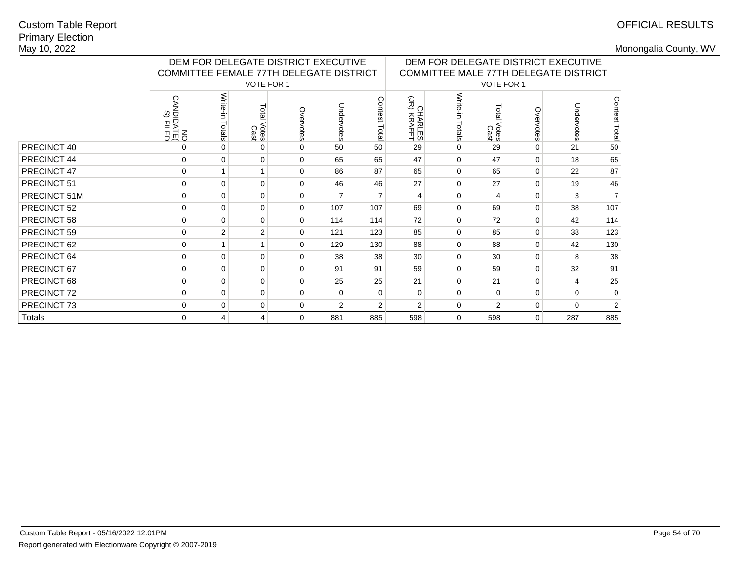# OFFICIAL RESULTS

|              |                                        | DEM FOR DELEGATE DISTRICT EXECUTIVE<br>COMMITTEE FEMALE 77TH DELEGATE DISTRICT |                        |               |                |                  | DEM FOR DELEGATE DISTRICT EXECUTIVE<br>COMMITTEE MALE 77TH DELEGATE DISTRICT |                      |               |             |            |                |
|--------------|----------------------------------------|--------------------------------------------------------------------------------|------------------------|---------------|----------------|------------------|------------------------------------------------------------------------------|----------------------|---------------|-------------|------------|----------------|
|              |                                        |                                                                                | VOTE FOR 1             |               |                |                  |                                                                              |                      | VOTE FOR 1    |             |            |                |
|              | <b>CANDIDATE</b><br>DANDIDATE<br>OM NO | Write-<br>Totals                                                               | Total<br>Votes<br>Cast | Ove<br>rvotes | Undervotes     | Contest<br>Total | $\widetilde{S}_{\Omega}$<br><b>HARLES</b><br>KRAFFT                          | Write-<br>Ė<br>ctals | Votes<br>Cast | Overvotes   | Undervotes | Contest Total  |
| PRECINCT 40  | 0                                      | $\Omega$                                                                       | $\Omega$               |               | 50             | 50               | 29                                                                           | $\Omega$             | 29            | $\Omega$    | 21         | 50             |
| PRECINCT 44  | $\mathbf 0$                            | $\mathbf 0$                                                                    | $\mathbf 0$            | $\Omega$      | 65             | 65               | 47                                                                           | $\Omega$             | 47            | $\Omega$    | 18         | 65             |
| PRECINCT 47  | $\mathbf 0$                            |                                                                                |                        | $\Omega$      | 86             | 87               | 65                                                                           | $\Omega$             | 65            | $\Omega$    | 22         | 87             |
| PRECINCT 51  | $\mathbf 0$                            | $\Omega$                                                                       | 0                      | $\Omega$      | 46             | 46               | 27                                                                           | $\Omega$             | 27            | $\Omega$    | 19         | 46             |
| PRECINCT 51M | 0                                      | $\mathbf 0$                                                                    | $\mathbf 0$            | 0             | $\overline{7}$ | $\overline{7}$   | 4                                                                            | $\Omega$             | 4             | 0           | 3          | $\overline{7}$ |
| PRECINCT 52  | 0                                      | 0                                                                              | $\mathbf 0$            | $\Omega$      | 107            | 107              | 69                                                                           | $\Omega$             | 69            | 0           | 38         | 107            |
| PRECINCT 58  | $\mathbf 0$                            | $\Omega$                                                                       | $\mathbf 0$            | $\Omega$      | 114            | 114              | 72                                                                           | $\Omega$             | 72            | $\Omega$    | 42         | 114            |
| PRECINCT 59  | $\mathbf 0$                            | $\overline{2}$                                                                 | 2                      | $\Omega$      | 121            | 123              | 85                                                                           | $\Omega$             | 85            | $\Omega$    | 38         | 123            |
| PRECINCT 62  | $\mathbf 0$                            |                                                                                |                        | $\Omega$      | 129            | 130              | 88                                                                           | $\Omega$             | 88            | $\Omega$    | 42         | 130            |
| PRECINCT 64  | 0                                      | $\mathbf 0$                                                                    | $\mathbf 0$            | $\Omega$      | 38             | 38               | 30                                                                           | $\Omega$             | 30            | 0           | 8          | 38             |
| PRECINCT 67  | 0                                      | $\Omega$                                                                       | $\mathbf 0$            | $\Omega$      | 91             | 91               | 59                                                                           | $\Omega$             | 59            | 0           | 32         | 91             |
| PRECINCT 68  | 0                                      | $\mathbf 0$                                                                    | $\mathbf 0$            | 0             | 25             | 25               | 21                                                                           | 0                    | 21            | $\mathbf 0$ | 4          | 25             |
| PRECINCT 72  | $\mathbf 0$                            | $\Omega$                                                                       | $\mathbf 0$            | $\Omega$      | $\Omega$       | $\Omega$         | $\Omega$                                                                     | $\Omega$             | 0             | $\Omega$    | $\Omega$   | 0              |
| PRECINCT 73  | $\mathbf 0$                            | $\mathbf 0$                                                                    | $\mathbf 0$            | $\Omega$      | $\overline{2}$ | $\overline{2}$   | $\overline{2}$                                                               | $\mathbf 0$          | 2             | $\mathbf 0$ | 0          | $\overline{2}$ |
| Totals       | $\mathbf 0$                            | 4                                                                              | 4                      | $\Omega$      | 881            | 885              | 598                                                                          | 0                    | 598           | $\mathbf 0$ | 287        | 885            |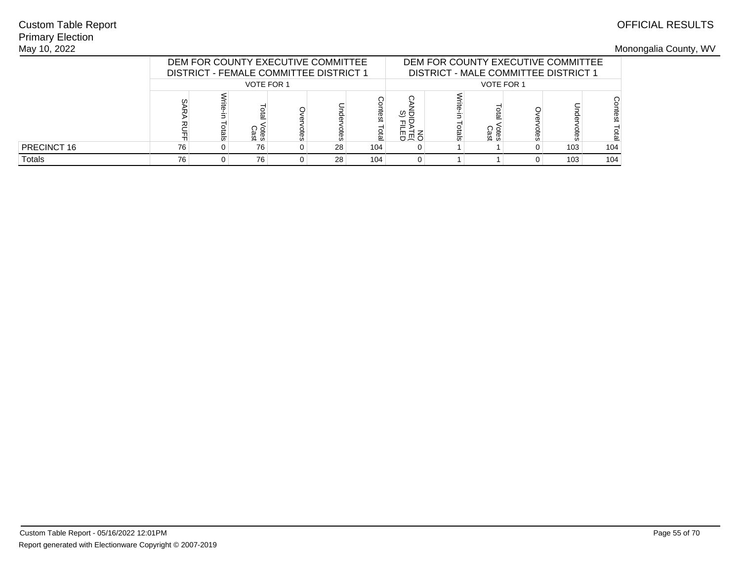## Primary ElectionMay 10, 2022Custom Table Report

|               |                       | DEM FOR COUNTY EXECUTIVE COMMITTEE<br>DISTRICT - FEMALE COMMITTEE DISTRICT 1 |                   |  |  |  |  |  | DEM FOR COUNTY EXECUTIVE COMMITTEE<br>DISTRICT - MALE COMMITTEE DISTRICT 1 |          |     |     |
|---------------|-----------------------|------------------------------------------------------------------------------|-------------------|--|--|--|--|--|----------------------------------------------------------------------------|----------|-----|-----|
|               |                       |                                                                              | <b>VOTE FOR 1</b> |  |  |  |  |  | <b>VOTE FOR 1</b>                                                          |          |     |     |
|               | ഗ                     | ëst<br>otes<br>Cast<br>otal<br>œ                                             |                   |  |  |  |  |  | <sup>Otes</sup><br>Cast                                                    | ទី<br>និ |     | es  |
| PRECINCT 16   | 76<br>28<br>104<br>76 |                                                                              |                   |  |  |  |  |  |                                                                            |          | 103 | 104 |
| <b>Totals</b> | 76                    | 28<br>104<br>76                                                              |                   |  |  |  |  |  |                                                                            |          | 103 | 104 |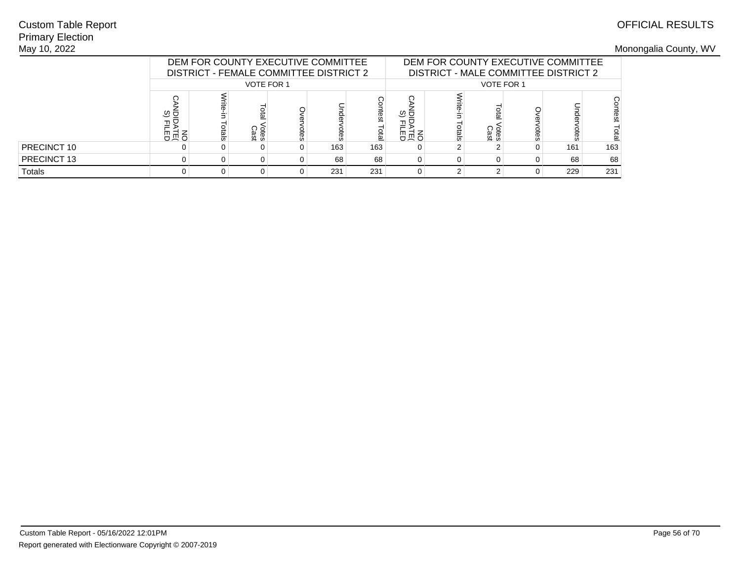## Primary ElectionMay 10, 2022Custom Table Report

|             |                  |                                    | DEM FOR COUNTY EXECUTIVE COMMITTEE<br>DISTRICT - FEMALE COMMITTEE DISTRICT 2 |  |     |     | DEM FOR COUNTY EXECUTIVE COMMITTEE<br>DISTRICT - MALE COMMITTEE DISTRICT 2 |       |                     |      |     |      |
|-------------|------------------|------------------------------------|------------------------------------------------------------------------------|--|-----|-----|----------------------------------------------------------------------------|-------|---------------------|------|-----|------|
|             |                  |                                    | <b>VOTE FOR 1</b>                                                            |  |     |     |                                                                            |       | <b>VOTE FOR 1</b>   |      |     |      |
|             | ত ত<br>골모<br>高员巴 | ntest<br>otes<br>Cast<br>laio<br>ă |                                                                              |  |     |     |                                                                            | otals | <b>Otes</b><br>Cast | otes |     | test |
| PRECINCT 10 |                  |                                    |                                                                              |  | 163 | 163 |                                                                            |       |                     |      | 161 | 163  |
| PRECINCT 13 | 68<br>68<br>0    |                                    |                                                                              |  |     |     |                                                                            |       |                     | 0    | 68  | 68   |
| Totals      |                  | 231<br>231                         |                                                                              |  |     |     |                                                                            |       |                     | 0    | 229 | 231  |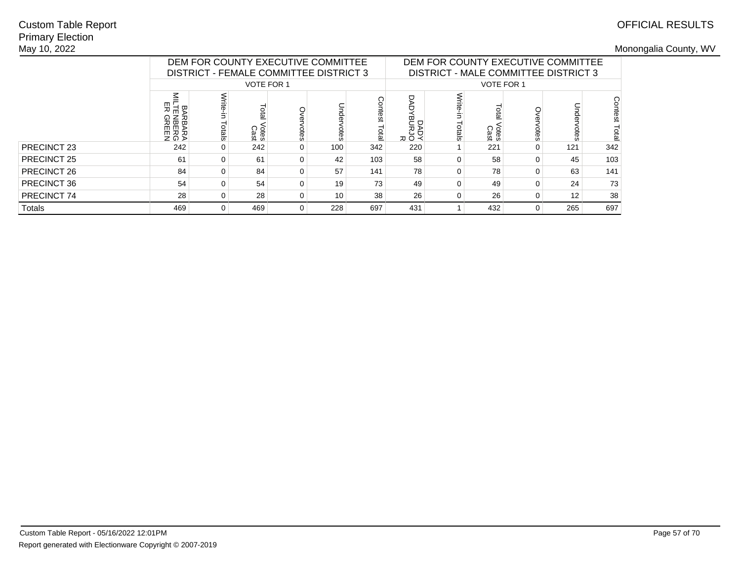## Primary ElectionMay 10, 2022Custom Table Report

|             |                                             |                                                                   |                   | DEM FOR COUNTY EXECUTIVE COMMITTEE<br>DISTRICT - FEMALE COMMITTEE DISTRICT 3 |     |     | DEM FOR COUNTY EXECUTIVE COMMITTEE<br>DISTRICT - MALE COMMITTEE DISTRICT 3 |            |                     |          |              |         |
|-------------|---------------------------------------------|-------------------------------------------------------------------|-------------------|------------------------------------------------------------------------------|-----|-----|----------------------------------------------------------------------------|------------|---------------------|----------|--------------|---------|
|             |                                             |                                                                   | <b>VOTE FOR 1</b> |                                                                              |     |     |                                                                            |            | <b>VOTE FOR 1</b>   |          |              |         |
|             | ౾<br>m<br>요도<br>ᅍ<br>RBARA<br>BEERG<br>REEN | Contest<br>ial<br>E<br>ళ్ల<br>Votes<br>Cast<br>Total<br>otes<br>ă |                   |                                                                              |     |     |                                                                            | ⋚<br>ctals | <b>Cres</b><br>Cast | otes     | Dnde<br>otes | Contest |
| PRECINCT 23 | 242                                         |                                                                   | 242               | $\Omega$                                                                     | 100 | 342 | 220                                                                        |            | 221                 | 0        | 121          | 342     |
| PRECINCT 25 | 61                                          |                                                                   | 61                | $\Omega$                                                                     | 42  | 103 | 58                                                                         | $\Omega$   | 58                  | 0        | 45           | 103     |
| PRECINCT 26 | 84                                          |                                                                   | 84                | $\Omega$                                                                     | 57  | 141 | 78                                                                         | $\Omega$   | 78                  | 0        | 63           | 141     |
| PRECINCT 36 | 54                                          | 73<br>54<br>19<br>$\Omega$                                        |                   |                                                                              |     |     |                                                                            | $\Omega$   | 49                  | $\Omega$ | 24           | 73      |
| PRECINCT 74 | 28                                          | 38<br>28<br>10<br>$\Omega$                                        |                   |                                                                              |     |     |                                                                            | 0          | 26                  | 0        | 12           | 38      |
| Totals      | 469                                         | 469<br>228<br>697<br>$\Omega$                                     |                   |                                                                              |     |     |                                                                            |            | 432                 | 0        | 265          | 697     |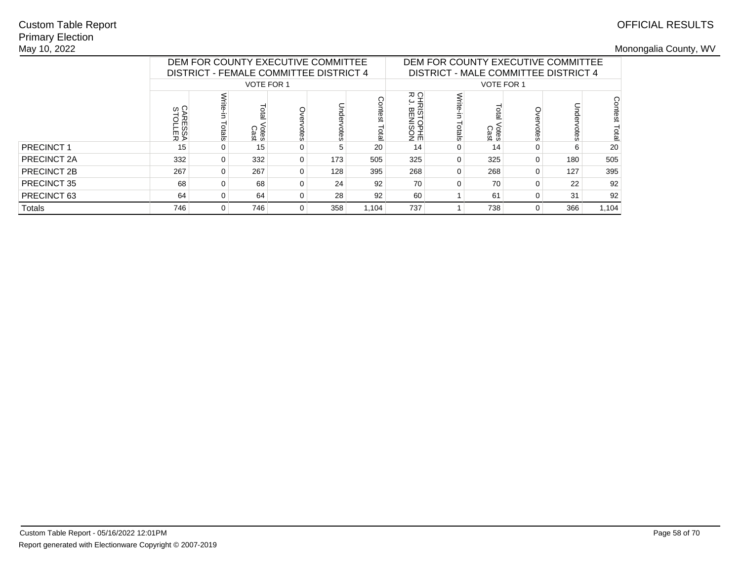## Primary ElectionMay 10, 2022Custom Table Report

|             |                    |                                                                          |                   |   | DEM FOR COUNTY EXECUTIVE COMMITTEE<br>DISTRICT - FEMALE COMMITTEE DISTRICT 4 |     | DEM FOR COUNTY EXECUTIVE COMMITTEE<br>DISTRICT - MALE COMMITTEE DISTRICT 4 |                  |                     |          |      |                  |
|-------------|--------------------|--------------------------------------------------------------------------|-------------------|---|------------------------------------------------------------------------------|-----|----------------------------------------------------------------------------|------------------|---------------------|----------|------|------------------|
|             |                    |                                                                          | <b>VOTE FOR 1</b> |   |                                                                              |     |                                                                            |                  | <b>VOTE FOR 1</b>   |          |      |                  |
|             | CARESSA<br>STOLLER | contest<br>Dnde<br>Lotal<br>Votes<br>Cast<br>otes<br>otes<br><b>Dial</b> |                   |   |                                                                              |     | 오도<br>도그<br><b>SETOPHE</b>                                                 | Write-<br>Totals | <b>Cres</b><br>Cast | otes     | otes | Contest<br>Total |
| PRECINCT 1  | 15                 |                                                                          | 15                | 0 | 5                                                                            | 20  | 14                                                                         | 0                | 14                  |          | 6    | 20               |
| PRECINCT 2A | 332                | 0                                                                        | 332               | 0 | 173                                                                          | 505 | 325                                                                        | 0                | 325                 | $\Omega$ | 180  | 505              |
| PRECINCT 2B | 267                |                                                                          | 267               | 0 | 128                                                                          | 395 | 268                                                                        | $\Omega$         | 268                 |          | 127  | 395              |
| PRECINCT 35 | 68                 | 92<br>68<br>24<br>0<br>0                                                 |                   |   |                                                                              |     |                                                                            | $\Omega$         | 70                  |          | 22   | 92               |
| PRECINCT 63 | 64                 | 28<br>92<br>64<br>0                                                      |                   |   |                                                                              |     |                                                                            |                  | 61                  |          | 31   | 92               |
| Totals      | 746                | 746<br>358<br>1.104<br>0                                                 |                   |   |                                                                              |     |                                                                            |                  | 738                 | 0        | 366  | 1,104            |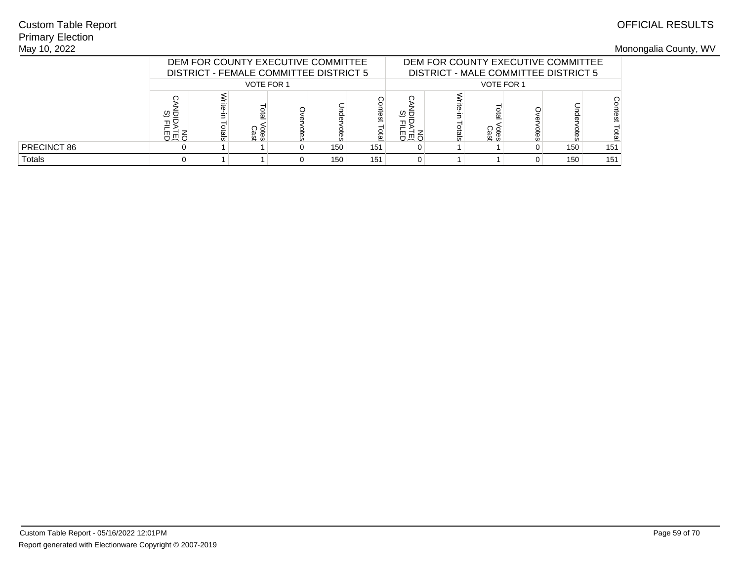## Primary ElectionMay 10, 2022Custom Table Report

|               |                  | DEM FOR COUNTY EXECUTIVE COMMITTEE<br>DISTRICT - FEMALE COMMITTEE DISTRICT 5 |                   |   |     |               |             |       | DEM FOR COUNTY EXECUTIVE COMMITTEE<br>DISTRICT - MALE COMMITTEE DISTRICT 5 |      |     |     |
|---------------|------------------|------------------------------------------------------------------------------|-------------------|---|-----|---------------|-------------|-------|----------------------------------------------------------------------------|------|-----|-----|
|               |                  |                                                                              | <b>VOTE FOR 1</b> |   |     |               |             |       | <b>VOTE FOR 1</b>                                                          |      |     |     |
|               | ত ভ<br>고모<br>유교육 |                                                                              | otes<br>Cast      | ஓ |     | itest<br>otal | ್ರ ರ<br>高员巴 | otals | <sup>Otes</sup><br>Cast                                                    | otes |     | esq |
| PRECINCT 86   |                  |                                                                              |                   |   | 150 | 151           |             |       |                                                                            |      | 150 | 151 |
| <b>Totals</b> |                  |                                                                              |                   |   | 150 | 151           |             |       |                                                                            |      | 150 | 151 |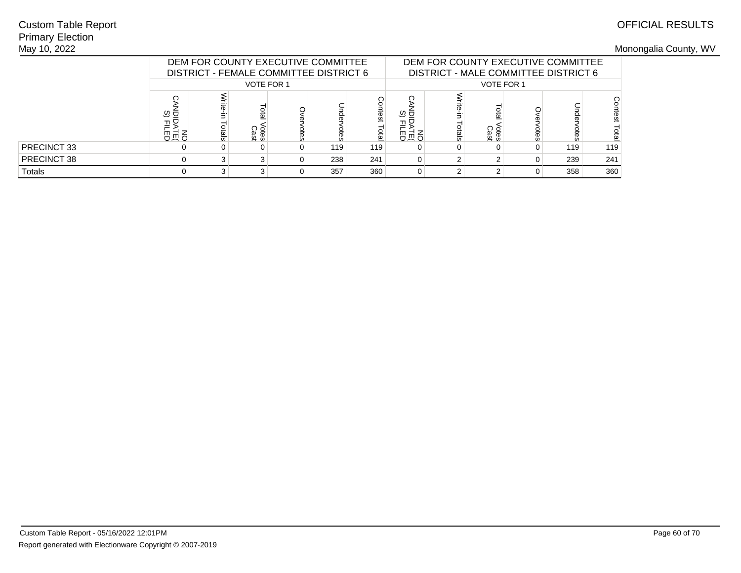## Primary ElectionMay 10, 2022Custom Table Report

|             |                  | DEM FOR COUNTY EXECUTIVE COMMITTEE<br>DISTRICT - FEMALE COMMITTEE DISTRICT 6 |                   |      |     |               |                 | DEM FOR COUNTY EXECUTIVE COMMITTEE<br>DISTRICT - MALE COMMITTEE DISTRICT 6 |                     |      |     |     |  |
|-------------|------------------|------------------------------------------------------------------------------|-------------------|------|-----|---------------|-----------------|----------------------------------------------------------------------------|---------------------|------|-----|-----|--|
|             |                  |                                                                              | <b>VOTE FOR 1</b> |      |     |               |                 |                                                                            | <b>VOTE FOR 1</b>   |      |     |     |  |
|             | ৩ ত<br>골몽<br>お長宵 |                                                                              | otes<br>Cast      | otes | hde | ntest<br>laid | ত ⊑<br>그몽<br>명절 | otals                                                                      | <b>Otes</b><br>Cast | otes |     |     |  |
| PRECINCT 33 |                  |                                                                              |                   |      | 119 | 119           |                 |                                                                            |                     |      | 119 | 119 |  |
| PRECINCT 38 | 0                |                                                                              |                   |      | 238 | 241           | 0               |                                                                            |                     |      | 239 | 241 |  |
| Totals      |                  |                                                                              |                   |      | 357 | 360           |                 |                                                                            |                     |      | 358 | 360 |  |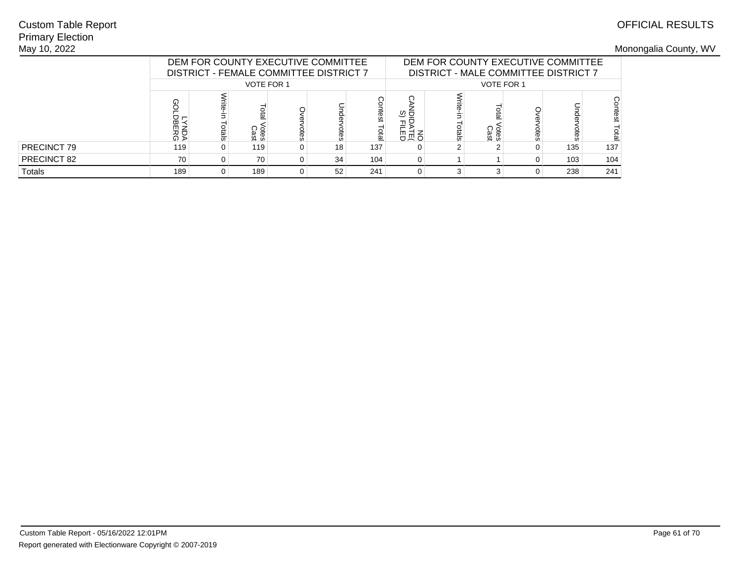## Primary ElectionMay 10, 2022Custom Table Report

|             |                     | DEM FOR COUNTY EXECUTIVE COMMITTEE<br>DISTRICT - FEMALE COMMITTEE DISTRICT 7<br><b>VOTE FOR 1</b> |               |     |    |                |                  |       |                     |      | DEM FOR COUNTY EXECUTIVE COMMITTEE<br>DISTRICT - MALE COMMITTEE DISTRICT 7 |       |
|-------------|---------------------|---------------------------------------------------------------------------------------------------|---------------|-----|----|----------------|------------------|-------|---------------------|------|----------------------------------------------------------------------------|-------|
|             |                     |                                                                                                   |               |     |    |                |                  |       | VOTE FOR 1          |      |                                                                            |       |
|             | ⊕<br>LYNDA<br>DBERG |                                                                                                   | Totes<br>Cast | pes |    | ontest<br>laid | ত ত<br>ᆩᄆ<br>高员巴 | otals | <b>Otes</b><br>Cast | otes |                                                                            | itest |
| PRECINCT 79 | 119                 |                                                                                                   | 119           |     | 18 | 137            |                  |       |                     | 0    | 135                                                                        | 137   |
| PRECINCT 82 | 70                  |                                                                                                   | 70            |     | 34 | 104            | 0                |       |                     | 0    | 103                                                                        | 104   |
| Totals      | 189                 |                                                                                                   | 189           |     | 52 | 241            |                  |       |                     | 0    | 238                                                                        | 241   |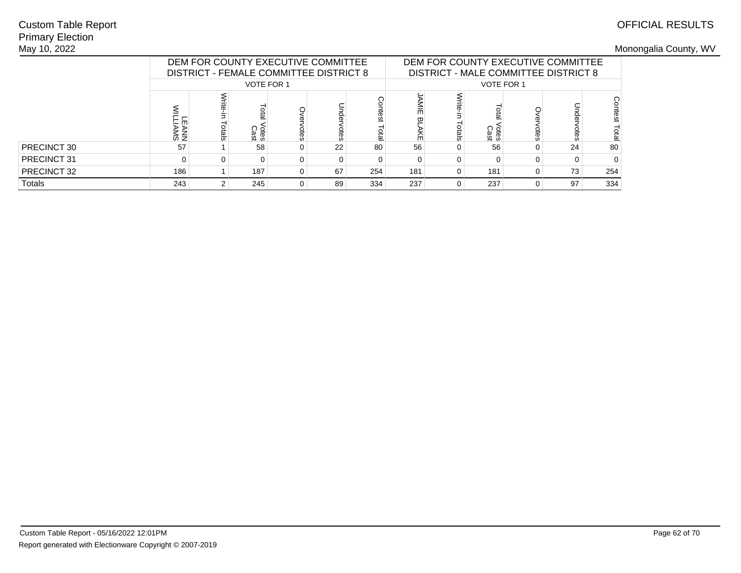## Primary ElectionMay 10, 2022Custom Table Report

|             | DEM FOR COUNTY EXECUTIVE COMMITTEE<br>DEM FOR COUNTY EXECUTIVE COMMITTEE<br>DISTRICT - FEMALE COMMITTEE DISTRICT 8<br>DISTRICT - MALE COMMITTEE DISTRICT 8 |  |                            |  |    |             |     |       |                   |      |    |     |
|-------------|------------------------------------------------------------------------------------------------------------------------------------------------------------|--|----------------------------|--|----|-------------|-----|-------|-------------------|------|----|-----|
|             |                                                                                                                                                            |  | <b>VOTE FOR 1</b>          |  |    |             |     |       | <b>VOTE FOR 1</b> |      |    |     |
|             | — m<br>ANN<br>AMS                                                                                                                                          |  | ota<br><b>Otes</b><br>Cast |  |    | <b>Dial</b> |     | otals | ótes<br>Cast      | otes |    |     |
| PRECINCT 30 | 57                                                                                                                                                         |  | 58                         |  | 22 | 80          | 56  |       | 56                | 0    | 24 | 80  |
| PRECINCT 31 | 0                                                                                                                                                          |  |                            |  |    | 0           |     |       |                   |      |    |     |
| PRECINCT 32 | 186<br>187<br>67<br>181<br>181<br>254<br>0                                                                                                                 |  |                            |  |    |             |     | 0     | 73                | 254  |    |     |
| Totals      | 243                                                                                                                                                        |  | 245                        |  | 89 | 334         | 237 |       | 237               | 0    | 97 | 334 |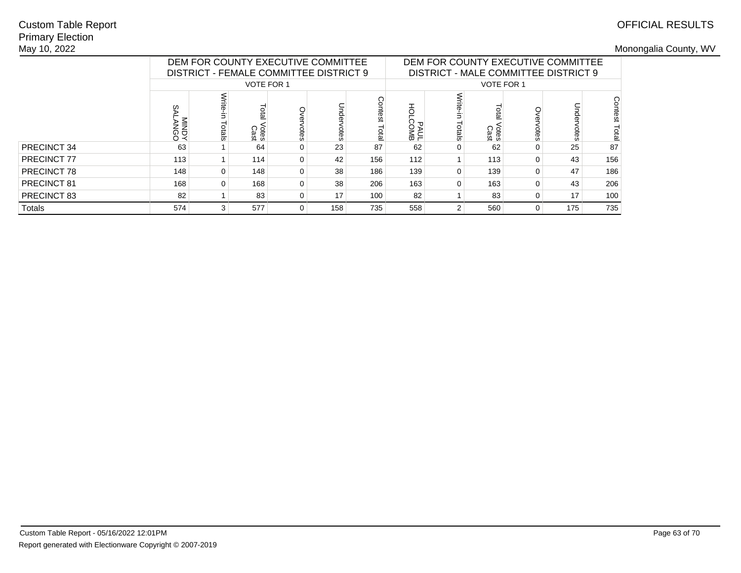## Primary ElectionMay 10, 2022Custom Table Report

|             |                     | DEM FOR COUNTY EXECUTIVE COMMITTEE<br>DISTRICT - FEMALE COMMITTEE DISTRICT 9<br><b>VOTE FOR 1</b> |                       |          |        |                   |                   | DEM FOR COUNTY EXECUTIVE COMMITTEE<br>DISTRICT - MALE COMMITTEE DISTRICT 9 |                     |          |      |                  |  |
|-------------|---------------------|---------------------------------------------------------------------------------------------------|-----------------------|----------|--------|-------------------|-------------------|----------------------------------------------------------------------------|---------------------|----------|------|------------------|--|
|             |                     |                                                                                                   |                       |          |        |                   |                   |                                                                            | <b>VOTE FOR 1</b>   |          |      |                  |  |
|             | ഗ<br>LANGO<br>VINDY | otals                                                                                             | Lota<br>Votes<br>Cast | otes     | 휴<br>ă | Contest<br>lictal | đ<br>PAUL<br>COMB | Write-<br>Totals                                                           | <b>Cres</b><br>Cast | otes     | otes | Contest<br>Total |  |
| PRECINCT 34 | 63                  |                                                                                                   | 64                    | $\Omega$ | 23     | 87                | 62                | $\Omega$                                                                   | 62                  | 0        | 25   | 87               |  |
| PRECINCT 77 | 113                 |                                                                                                   | 114                   | $\Omega$ | 42     | 156               | 112               |                                                                            | 113                 | $\Omega$ | 43   | 156              |  |
| PRECINCT 78 | 148                 |                                                                                                   | 148                   | $\Omega$ | 38     | 186               | 139               | $\Omega$                                                                   | 139                 | 0        | 47   | 186              |  |
| PRECINCT 81 | 168                 | 0                                                                                                 | 168                   | $\Omega$ | 38     | 206               | 163               | $\Omega$                                                                   | 163                 | 0        | 43   | 206              |  |
| PRECINCT 83 | 82                  | 83<br>17<br>100<br>$\Omega$                                                                       |                       |          |        |                   | 82                |                                                                            | 83                  | 0        | 17   | 100              |  |
| Totals      | 574                 |                                                                                                   | 577                   | $\Omega$ | 158    | 735               | 558               | $\overline{2}$                                                             | 560                 | 0        | 175  | 735              |  |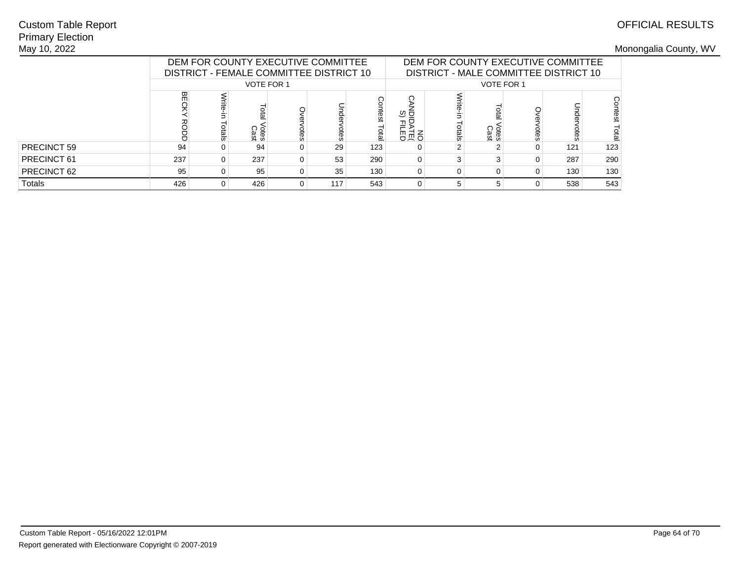## Primary ElectionMay 10, 2022Custom Table Report

|             |     |                 |              | DEM FOR COUNTY EXECUTIVE COMMITTEE<br>DISTRICT - FEMALE COMMITTEE DISTRICT 10 |     |             | DEM FOR COUNTY EXECUTIVE COMMITTEE<br>DISTRICT - MALE COMMITTEE DISTRICT 10<br><b>VOTE FOR 1</b> |       |                     |      |     |         |  |
|-------------|-----|-----------------|--------------|-------------------------------------------------------------------------------|-----|-------------|--------------------------------------------------------------------------------------------------|-------|---------------------|------|-----|---------|--|
|             |     |                 | VOTE FOR 1   |                                                                               |     |             |                                                                                                  |       |                     |      |     |         |  |
|             | 꼮   |                 | otes<br>Cast |                                                                               |     | ក្ល<br>otal | ত ত<br>高点                                                                                        | otals | <b>Otes</b><br>Cast | otes |     | Contest |  |
| PRECINCT 59 | 94  |                 | 94           |                                                                               | 29  | 123         |                                                                                                  |       |                     |      | 121 | 123     |  |
| PRECINCT 61 | 237 |                 | 237          |                                                                               | 53  | 290         | 0                                                                                                | ◠     |                     |      | 287 | 290     |  |
| PRECINCT 62 | 95  | 95<br>35<br>130 |              |                                                                               |     |             | $\Omega$                                                                                         | 0     |                     | 0    | 130 | 130     |  |
| Totals      | 426 |                 | 426          |                                                                               | 117 | 543         | 0                                                                                                | G     |                     | ი    | 538 | 543     |  |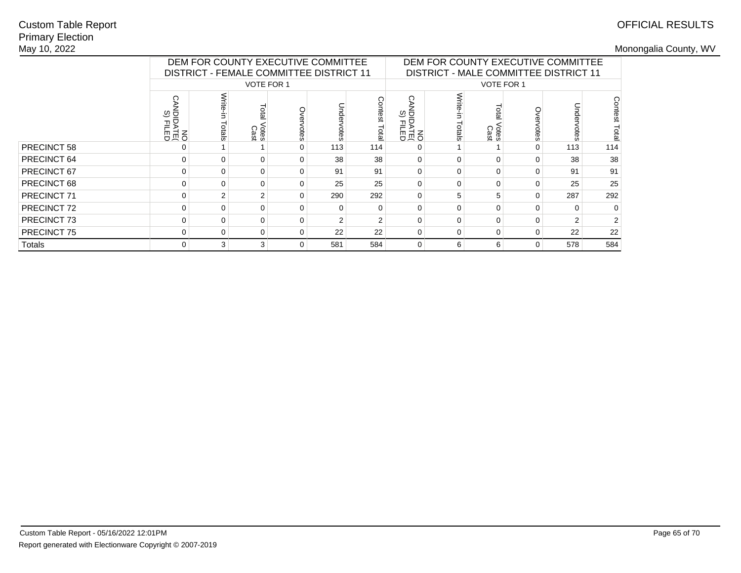## Primary ElectionMay 10, 2022Custom Table Report

|                    |                              | DEM FOR COUNTY EXECUTIVE COMMITTEE             |                        |          |               |                 | DEM FOR COUNTY EXECUTIVE COMMITTEE |                  |                                              |             |     |                  |
|--------------------|------------------------------|------------------------------------------------|------------------------|----------|---------------|-----------------|------------------------------------|------------------|----------------------------------------------|-------------|-----|------------------|
|                    |                              | <b>DISTRICT - FEMALE COMMITTEE DISTRICT 11</b> |                        |          |               |                 |                                    |                  | <b>DISTRICT - MALE COMMITTEE DISTRICT 11</b> |             |     |                  |
|                    |                              |                                                | <b>VOTE FOR 1</b>      |          |               |                 |                                    |                  | <b>VOTE FOR 1</b>                            |             |     |                  |
|                    | O<br>ত ত<br>모르<br>이 기<br>이 지 | ctals                                          | lotal<br>Votes<br>Cast | otes     | Unde<br>votes | prtest<br>Total | ◯<br>NO<br>DATE<br>COLLET          | Write-<br>Totals | <b>Cast</b><br>Cast                          | о<br>Б<br>Ö | ote | Contest<br>Total |
| <b>PRECINCT 58</b> |                              |                                                |                        | $\Omega$ | 113           | 114             |                                    |                  |                                              | 0           | 113 | 114              |
| PRECINCT 64        | 0                            | 0                                              | $\Omega$               | $\Omega$ | 38            | 38              | $\Omega$                           | $\Omega$         | $\Omega$                                     | $\Omega$    | 38  | 38               |
| PRECINCT 67        | 0                            |                                                | $\Omega$               | $\Omega$ | 91            | 91              | $\Omega$                           | $\Omega$         | 0                                            | 0           | 91  | 91               |
| PRECINCT 68        | 0                            | 0                                              | $\Omega$               | $\Omega$ | 25            | 25              | $\Omega$                           | $\Omega$         | 0                                            | 0           | 25  | 25               |
| PRECINCT 71        | 0                            | 2                                              | 2                      | $\Omega$ | 290           | 292             | $\Omega$                           | 5                |                                              | $\Omega$    | 287 | 292              |
| PRECINCT 72        | 0                            | 0                                              | $\Omega$               | $\Omega$ |               | $\Omega$        | $\Omega$                           | $\Omega$         | 0                                            | 0           |     | 0                |
| PRECINCT 73        | 0                            | <sup>0</sup>                                   | $\Omega$               | $\Omega$ |               | $\mathcal{P}$   | $\Omega$                           | $\Omega$         | U                                            | $\Omega$    |     | 2                |
| PRECINCT 75        | 0                            | 0                                              | 0                      | $\Omega$ | 22            | 22              | 0                                  | 0                | 0                                            | $\Omega$    | 22  | 22               |
| Totals             | 0                            | 3                                              | 3                      | $\Omega$ | 581           | 584             | 0                                  | 6                | 6                                            | $\Omega$    | 578 | 584              |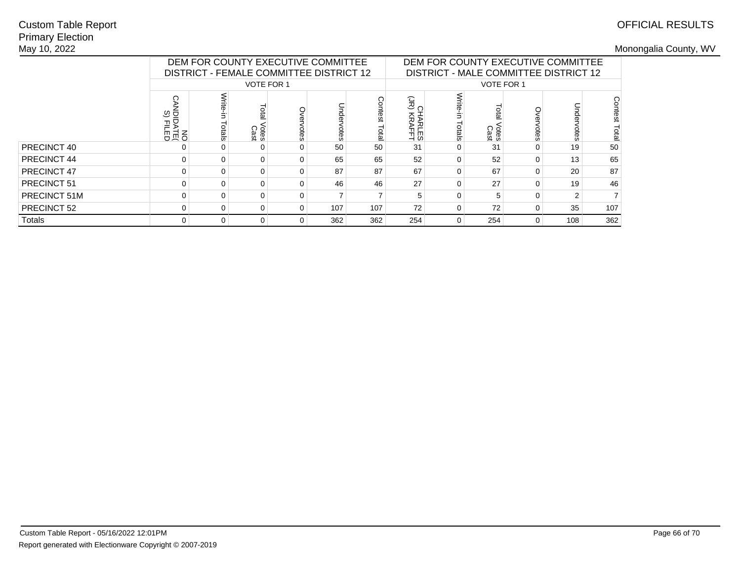## Primary ElectionMay 10, 2022Custom Table Report

|              |                                      | DEM FOR COUNTY EXECUTIVE COMMITTEE<br>DISTRICT - FEMALE COMMITTEE DISTRICT 12 |                      |          |     |                  | DEM FOR COUNTY EXECUTIVE COMMITTEE<br>DISTRICT - MALE COMMITTEE DISTRICT 12 |                  |                     |           |     |                  |
|--------------|--------------------------------------|-------------------------------------------------------------------------------|----------------------|----------|-----|------------------|-----------------------------------------------------------------------------|------------------|---------------------|-----------|-----|------------------|
|              |                                      |                                                                               | <b>VOTE FOR 1</b>    |          |     |                  |                                                                             |                  | VOTE FOR 1          |           |     |                  |
|              | ত ত<br><b>DENGI<br/>DENGI<br/>ON</b> | otals                                                                         | era<br>/otes<br>Cast | votes    |     | Contest<br>letal | $\frac{1}{2}$<br>HARLES<br>KRAFFT                                           | Write-<br>Totals | <b>Cast</b><br>Cast | О<br>otes |     | Contest<br>Total |
| PRECINCT 40  |                                      |                                                                               |                      |          | 50  | 50               | 31                                                                          |                  | 31                  |           | 19  | 50               |
| PRECINCT 44  | 0                                    | $\Omega$                                                                      | $\Omega$             | 0        | 65  | 65               | 52                                                                          | $\Omega$         | 52                  | 0         | 13  | 65               |
| PRECINCT 47  | $\Omega$                             |                                                                               | $\Omega$             |          | 87  | 87               | 67                                                                          | $\Omega$         | 67                  | 0         | 20  | 87               |
| PRECINCT 51  | $\Omega$                             |                                                                               | 0                    |          | 46  | 46               | 27                                                                          | 0                | 27                  | 0         | 19  | 46               |
| PRECINCT 51M | $\Omega$                             | U<br>0                                                                        |                      |          |     |                  |                                                                             | $\Omega$         |                     | 0         | 2   |                  |
| PRECINCT 52  | 0                                    | $\Omega$                                                                      | 0                    | $\Omega$ | 107 | 107              | 72                                                                          | 0                | 72                  | 0         | 35  | 107              |
| Totals       | 0                                    | 0                                                                             | $\Omega$             | 0        | 362 | 362              | 254                                                                         | 0                | 254                 | 0         | 108 | 362              |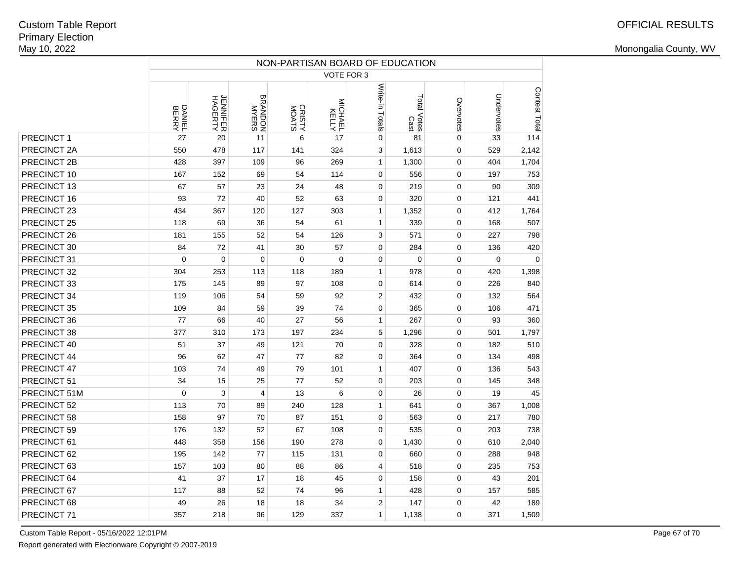|              | NON-PARTISAN BOARD OF EDUCATION |                     |                         |                 |     |                                                                                                                                                                                                                                                                                                                                                                                                                                                                                                                                                                                                                                                                                                                                                                                                                            |       |   |     |               |  |  |  |  |
|--------------|---------------------------------|---------------------|-------------------------|-----------------|-----|----------------------------------------------------------------------------------------------------------------------------------------------------------------------------------------------------------------------------------------------------------------------------------------------------------------------------------------------------------------------------------------------------------------------------------------------------------------------------------------------------------------------------------------------------------------------------------------------------------------------------------------------------------------------------------------------------------------------------------------------------------------------------------------------------------------------------|-------|---|-----|---------------|--|--|--|--|
|              |                                 |                     |                         |                 |     | VOTE FOR 3<br>Write-in Totals<br>Undervotes<br>Total Votes<br>Cast<br>Overvotes<br>MICHAEL<br>KELLY<br>0<br>17<br>0<br>81<br>33<br>529<br>324<br>3<br>1,613<br>0<br>269<br>$\mathbf{1}$<br>1,300<br>404<br>0<br>114<br>$\mathbf 0$<br>556<br>0<br>197<br>48<br>$\mathbf 0$<br>219<br>0<br>90<br>63<br>320<br>$\mathbf 0$<br>0<br>121<br>303<br>1,352<br>0<br>412<br>$\mathbf{1}$<br>61<br>$\mathbf{1}$<br>339<br>0<br>168<br>126<br>3<br>571<br>0<br>227<br>57<br>0<br>0<br>284<br>136<br>$\mathbf 0$<br>$\mathbf 0$<br>0<br>0<br>$\mathbf 0$<br>189<br>$\mathbf{1}$<br>978<br>0<br>420<br>108<br>$\mathbf 0$<br>614<br>0<br>226<br>92<br>$\overline{2}$<br>432<br>0<br>132<br>74<br>0<br>365<br>0<br>106<br>56<br>267<br>0<br>$\mathbf{1}$<br>93<br>234<br>5<br>1,296<br>0<br>501<br>70<br>328<br>$\mathbf 0$<br>0<br>182 |       |   |     |               |  |  |  |  |
|              | DANIEL<br>BERRY                 | JENNIFER<br>HAGERTY | <b>BRANDON</b><br>MYERS | CRISTY<br>MOATS |     |                                                                                                                                                                                                                                                                                                                                                                                                                                                                                                                                                                                                                                                                                                                                                                                                                            |       |   |     | Contest Total |  |  |  |  |
| PRECINCT 1   | 27                              | 20                  | 11                      | 6               |     |                                                                                                                                                                                                                                                                                                                                                                                                                                                                                                                                                                                                                                                                                                                                                                                                                            |       |   |     | 114           |  |  |  |  |
| PRECINCT 2A  | 550                             | 478                 | 117                     | 141             |     |                                                                                                                                                                                                                                                                                                                                                                                                                                                                                                                                                                                                                                                                                                                                                                                                                            |       |   |     | 2,142         |  |  |  |  |
| PRECINCT 2B  | 428                             | 397                 | 109                     | 96              |     |                                                                                                                                                                                                                                                                                                                                                                                                                                                                                                                                                                                                                                                                                                                                                                                                                            |       |   |     | 1,704         |  |  |  |  |
| PRECINCT 10  | 167                             | 152                 | 69                      | 54              |     |                                                                                                                                                                                                                                                                                                                                                                                                                                                                                                                                                                                                                                                                                                                                                                                                                            |       |   |     | 753           |  |  |  |  |
| PRECINCT 13  | 67                              | 57                  | 23                      | 24              |     |                                                                                                                                                                                                                                                                                                                                                                                                                                                                                                                                                                                                                                                                                                                                                                                                                            |       |   |     | 309           |  |  |  |  |
| PRECINCT 16  | 93                              | 72                  | 40                      | 52              |     |                                                                                                                                                                                                                                                                                                                                                                                                                                                                                                                                                                                                                                                                                                                                                                                                                            |       |   |     | 441           |  |  |  |  |
| PRECINCT 23  | 434                             | 367                 | 120                     | 127             |     |                                                                                                                                                                                                                                                                                                                                                                                                                                                                                                                                                                                                                                                                                                                                                                                                                            |       |   |     | 1,764         |  |  |  |  |
| PRECINCT 25  | 118                             | 69                  | 36                      | 54              |     |                                                                                                                                                                                                                                                                                                                                                                                                                                                                                                                                                                                                                                                                                                                                                                                                                            |       |   |     | 507           |  |  |  |  |
| PRECINCT 26  | 181                             | 155                 | 52                      | 54              |     |                                                                                                                                                                                                                                                                                                                                                                                                                                                                                                                                                                                                                                                                                                                                                                                                                            |       |   |     | 798           |  |  |  |  |
| PRECINCT 30  | 84                              | 72                  | 41                      | 30              |     |                                                                                                                                                                                                                                                                                                                                                                                                                                                                                                                                                                                                                                                                                                                                                                                                                            |       |   |     | 420           |  |  |  |  |
| PRECINCT 31  | $\mathbf 0$                     | $\mathbf 0$         | $\mathbf 0$             | $\mathbf 0$     |     |                                                                                                                                                                                                                                                                                                                                                                                                                                                                                                                                                                                                                                                                                                                                                                                                                            |       |   |     | $\mathbf 0$   |  |  |  |  |
| PRECINCT 32  | 304                             | 253                 | 113                     | 118             |     |                                                                                                                                                                                                                                                                                                                                                                                                                                                                                                                                                                                                                                                                                                                                                                                                                            |       |   |     | 1,398         |  |  |  |  |
| PRECINCT 33  | 175                             | 145                 | 89                      | 97              |     |                                                                                                                                                                                                                                                                                                                                                                                                                                                                                                                                                                                                                                                                                                                                                                                                                            |       |   |     | 840           |  |  |  |  |
| PRECINCT 34  | 119                             | 106                 | 54                      | 59              |     |                                                                                                                                                                                                                                                                                                                                                                                                                                                                                                                                                                                                                                                                                                                                                                                                                            |       |   |     | 564           |  |  |  |  |
| PRECINCT 35  | 109                             | 84                  | 59                      | 39              |     |                                                                                                                                                                                                                                                                                                                                                                                                                                                                                                                                                                                                                                                                                                                                                                                                                            |       |   |     | 471           |  |  |  |  |
| PRECINCT 36  | 77                              | 66                  | 40                      | 27              |     |                                                                                                                                                                                                                                                                                                                                                                                                                                                                                                                                                                                                                                                                                                                                                                                                                            |       |   |     | 360           |  |  |  |  |
| PRECINCT 38  | 377                             | 310                 | 173                     | 197             |     |                                                                                                                                                                                                                                                                                                                                                                                                                                                                                                                                                                                                                                                                                                                                                                                                                            |       |   |     | 1,797         |  |  |  |  |
| PRECINCT 40  | 51                              | 37                  | 49                      | 121             |     |                                                                                                                                                                                                                                                                                                                                                                                                                                                                                                                                                                                                                                                                                                                                                                                                                            |       |   |     | 510           |  |  |  |  |
| PRECINCT 44  | 96                              | 62                  | 47                      | 77              | 82  | 0                                                                                                                                                                                                                                                                                                                                                                                                                                                                                                                                                                                                                                                                                                                                                                                                                          | 364   | 0 | 134 | 498           |  |  |  |  |
| PRECINCT 47  | 103                             | 74                  | 49                      | 79              | 101 | $\mathbf{1}$                                                                                                                                                                                                                                                                                                                                                                                                                                                                                                                                                                                                                                                                                                                                                                                                               | 407   | 0 | 136 | 543           |  |  |  |  |
| PRECINCT 51  | 34                              | 15                  | 25                      | 77              | 52  | $\mathbf 0$                                                                                                                                                                                                                                                                                                                                                                                                                                                                                                                                                                                                                                                                                                                                                                                                                | 203   | 0 | 145 | 348           |  |  |  |  |
| PRECINCT 51M | $\mathbf 0$                     | 3                   | $\overline{4}$          | 13              | 6   | 0                                                                                                                                                                                                                                                                                                                                                                                                                                                                                                                                                                                                                                                                                                                                                                                                                          | 26    | 0 | 19  | 45            |  |  |  |  |
| PRECINCT 52  | 113                             | 70                  | 89                      | 240             | 128 | $\mathbf{1}$                                                                                                                                                                                                                                                                                                                                                                                                                                                                                                                                                                                                                                                                                                                                                                                                               | 641   | 0 | 367 | 1,008         |  |  |  |  |
| PRECINCT 58  | 158                             | 97                  | 70                      | 87              | 151 | 0                                                                                                                                                                                                                                                                                                                                                                                                                                                                                                                                                                                                                                                                                                                                                                                                                          | 563   | 0 | 217 | 780           |  |  |  |  |
| PRECINCT 59  | 176                             | 132                 | 52                      | 67              | 108 | $\mathbf 0$                                                                                                                                                                                                                                                                                                                                                                                                                                                                                                                                                                                                                                                                                                                                                                                                                | 535   | 0 | 203 | 738           |  |  |  |  |
| PRECINCT 61  | 448                             | 358                 | 156                     | 190             | 278 | 0                                                                                                                                                                                                                                                                                                                                                                                                                                                                                                                                                                                                                                                                                                                                                                                                                          | 1,430 | 0 | 610 | 2,040         |  |  |  |  |
| PRECINCT 62  | 195                             | 142                 | 77                      | 115             | 131 | $\mathbf 0$                                                                                                                                                                                                                                                                                                                                                                                                                                                                                                                                                                                                                                                                                                                                                                                                                | 660   | 0 | 288 | 948           |  |  |  |  |
| PRECINCT 63  | 157                             | 103                 | 80                      | 88              | 86  | 4                                                                                                                                                                                                                                                                                                                                                                                                                                                                                                                                                                                                                                                                                                                                                                                                                          | 518   | 0 | 235 | 753           |  |  |  |  |
| PRECINCT 64  | 41                              | 37                  | 17                      | 18              | 45  | $\mathbf 0$                                                                                                                                                                                                                                                                                                                                                                                                                                                                                                                                                                                                                                                                                                                                                                                                                | 158   | 0 | 43  | 201           |  |  |  |  |
| PRECINCT 67  | 117                             | 88                  | 52                      | 74              | 96  | $\mathbf{1}$                                                                                                                                                                                                                                                                                                                                                                                                                                                                                                                                                                                                                                                                                                                                                                                                               | 428   | 0 | 157 | 585           |  |  |  |  |
| PRECINCT 68  | 49                              | 26                  | 18                      | 18              | 34  | 2                                                                                                                                                                                                                                                                                                                                                                                                                                                                                                                                                                                                                                                                                                                                                                                                                          | 147   | 0 | 42  | 189           |  |  |  |  |
| PRECINCT 71  | 357                             | 218                 | 96                      | 129             | 337 | $\mathbf{1}$                                                                                                                                                                                                                                                                                                                                                                                                                                                                                                                                                                                                                                                                                                                                                                                                               | 1,138 | 0 | 371 | 1,509         |  |  |  |  |
|              |                                 |                     |                         |                 |     |                                                                                                                                                                                                                                                                                                                                                                                                                                                                                                                                                                                                                                                                                                                                                                                                                            |       |   |     |               |  |  |  |  |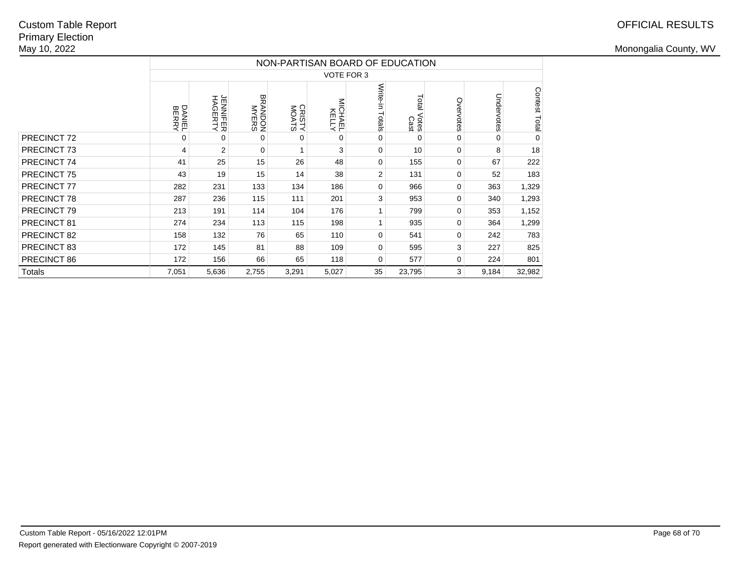|               |                 |                     |                         |                 |                     | NON-PARTISAN BOARD OF EDUCATION |                        |           |            |               |
|---------------|-----------------|---------------------|-------------------------|-----------------|---------------------|---------------------------------|------------------------|-----------|------------|---------------|
|               |                 |                     |                         |                 | VOTE FOR 3          |                                 |                        |           |            |               |
|               | DANIEL<br>BERRY | JENNIFER<br>HAGERTY | <b>BRANDON</b><br>MYERS | CRISTY<br>MOATS | MICHAELY<br>MICHAEL | Write-in<br>Totals              | Total<br>Votes<br>Cast | Overvotes | Undervotes | Contest Total |
| PRECINCT 72   | 0               | 0                   | $\Omega$                | 0               | $\Omega$            | 0                               | $\Omega$               | 0         | $\Omega$   | $\Omega$      |
| PRECINCT 73   | 4               | $\overline{2}$      | $\Omega$                |                 | 3                   | 0                               | 10                     | $\Omega$  | 8          | 18            |
| PRECINCT 74   | 41              | 25                  | 15                      | 26              | 48                  | 0                               | 155                    | 0         | 67         | 222           |
| PRECINCT 75   | 43              | 19                  | 15                      | 14              | 38                  | 2                               | 131                    | $\Omega$  | 52         | 183           |
| PRECINCT 77   | 282             | 231                 | 133                     | 134             | 186                 | 0                               | 966                    | 0         | 363        | 1,329         |
| PRECINCT 78   | 287             | 236                 | 115                     | 111             | 201                 | 3                               | 953                    | 0         | 340        | 1,293         |
| PRECINCT 79   | 213             | 191                 | 114                     | 104             | 176                 |                                 | 799                    | 0         | 353        | 1,152         |
| PRECINCT 81   | 274             | 234                 | 113                     | 115             | 198                 | 1                               | 935                    | 0         | 364        | 1,299         |
| PRECINCT 82   | 158             | 132                 | 76                      | 65              | 110                 | 0                               | 541                    | 0         | 242        | 783           |
| PRECINCT 83   | 172             | 145                 | 81                      | 88              | 109                 | 0                               | 595                    | 3         | 227        | 825           |
| PRECINCT 86   | 172             | 156                 | 66                      | 65              | 118                 | 0                               | 577                    | 0         | 224        | 801           |
| <b>Totals</b> | 7,051           | 5,636               | 2,755                   | 3,291           | 5,027               | 35                              | 23,795                 | 3         | 9,184      | 32,982        |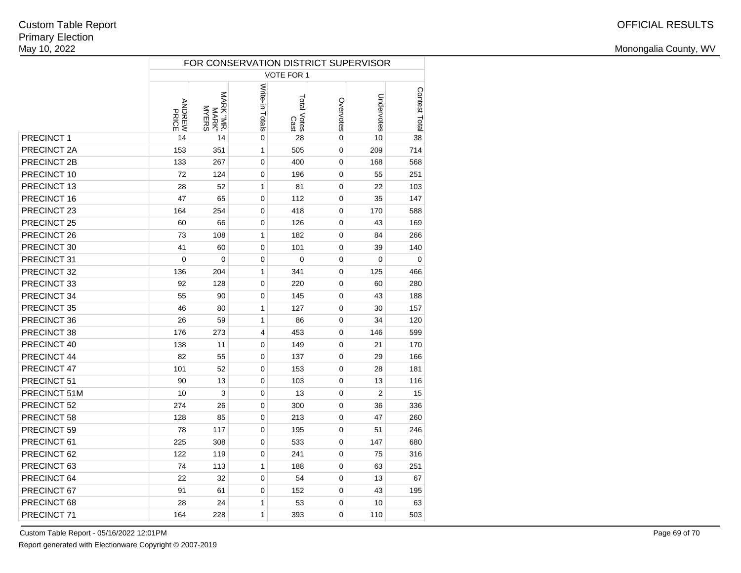|              |                 |                                           |                 |                     |             | FOR CONSERVATION DISTRICT SUPERVISOR |               |
|--------------|-----------------|-------------------------------------------|-----------------|---------------------|-------------|--------------------------------------|---------------|
|              |                 |                                           |                 | <b>VOTE FOR 1</b>   |             |                                      |               |
|              | ANDREW<br>MEREW | MARK "MR<br><b>MYERS</b><br><b>MARK</b> " | Write-in Totals | Total Votes<br>Cast | Overvotes   | Undervotes                           | Contest Total |
| PRECINCT 1   | 14              | 14                                        | $\mathbf 0$     | 28                  | $\mathbf 0$ | 10                                   | 38            |
| PRECINCT 2A  | 153             | 351                                       | $\mathbf{1}$    | 505                 | 0           | 209                                  | 714           |
| PRECINCT 2B  | 133             | 267                                       | $\pmb{0}$       | 400                 | 0           | 168                                  | 568           |
| PRECINCT 10  | 72              | 124                                       | $\mathbf 0$     | 196                 | 0           | 55                                   | 251           |
| PRECINCT 13  | 28              | 52                                        | 1               | 81                  | 0           | 22                                   | 103           |
| PRECINCT 16  | 47              | 65                                        | 0               | 112                 | 0           | 35                                   | 147           |
| PRECINCT 23  | 164             | 254                                       | 0               | 418                 | 0           | 170                                  | 588           |
| PRECINCT 25  | 60              | 66                                        | 0               | 126                 | 0           | 43                                   | 169           |
| PRECINCT 26  | 73              | 108                                       | 1               | 182                 | 0           | 84                                   | 266           |
| PRECINCT 30  | 41              | 60                                        | 0               | 101                 | 0           | 39                                   | 140           |
| PRECINCT 31  | $\mathbf 0$     | $\mathbf 0$                               | 0               | $\mathbf 0$         | 0           | $\mathbf 0$                          | $\mathbf 0$   |
| PRECINCT 32  | 136             | 204                                       | 1               | 341                 | 0           | 125                                  | 466           |
| PRECINCT 33  | 92              | 128                                       | 0               | 220                 | 0           | 60                                   | 280           |
| PRECINCT 34  | 55              | 90                                        | 0               | 145                 | 0           | 43                                   | 188           |
| PRECINCT 35  | 46              | 80                                        | 1               | 127                 | 0           | 30                                   | 157           |
| PRECINCT 36  | 26              | 59                                        | 1               | 86                  | 0           | 34                                   | 120           |
| PRECINCT 38  | 176             | 273                                       | 4               | 453                 | 0           | 146                                  | 599           |
| PRECINCT 40  | 138             | 11                                        | 0               | 149                 | 0           | 21                                   | 170           |
| PRECINCT 44  | 82              | 55                                        | 0               | 137                 | 0           | 29                                   | 166           |
| PRECINCT 47  | 101             | 52                                        | 0               | 153                 | 0           | 28                                   | 181           |
| PRECINCT 51  | 90              | 13                                        | 0               | 103                 | 0           | 13                                   | 116           |
| PRECINCT 51M | 10              | 3                                         | 0               | 13                  | 0           | $\overline{2}$                       | 15            |
| PRECINCT 52  | 274             | 26                                        | 0               | 300                 | 0           | 36                                   | 336           |
| PRECINCT 58  | 128             | 85                                        | 0               | 213                 | 0           | 47                                   | 260           |
| PRECINCT 59  | 78              | 117                                       | 0               | 195                 | 0           | 51                                   | 246           |
| PRECINCT 61  | 225             | 308                                       | 0               | 533                 | 0           | 147                                  | 680           |
| PRECINCT 62  | 122             | 119                                       | 0               | 241                 | 0           | 75                                   | 316           |
| PRECINCT 63  | 74              | 113                                       | 1               | 188                 | 0           | 63                                   | 251           |
| PRECINCT 64  | 22              | 32                                        | 0               | 54                  | 0           | 13                                   | 67            |
| PRECINCT 67  | 91              | 61                                        | 0               | 152                 | 0           | 43                                   | 195           |
| PRECINCT 68  | 28              | 24                                        | 1               | 53                  | 0           | 10                                   | 63            |
| PRECINCT 71  | 164             | 228                                       | $\mathbf{1}$    | 393                 | 0           | 110                                  | 503           |